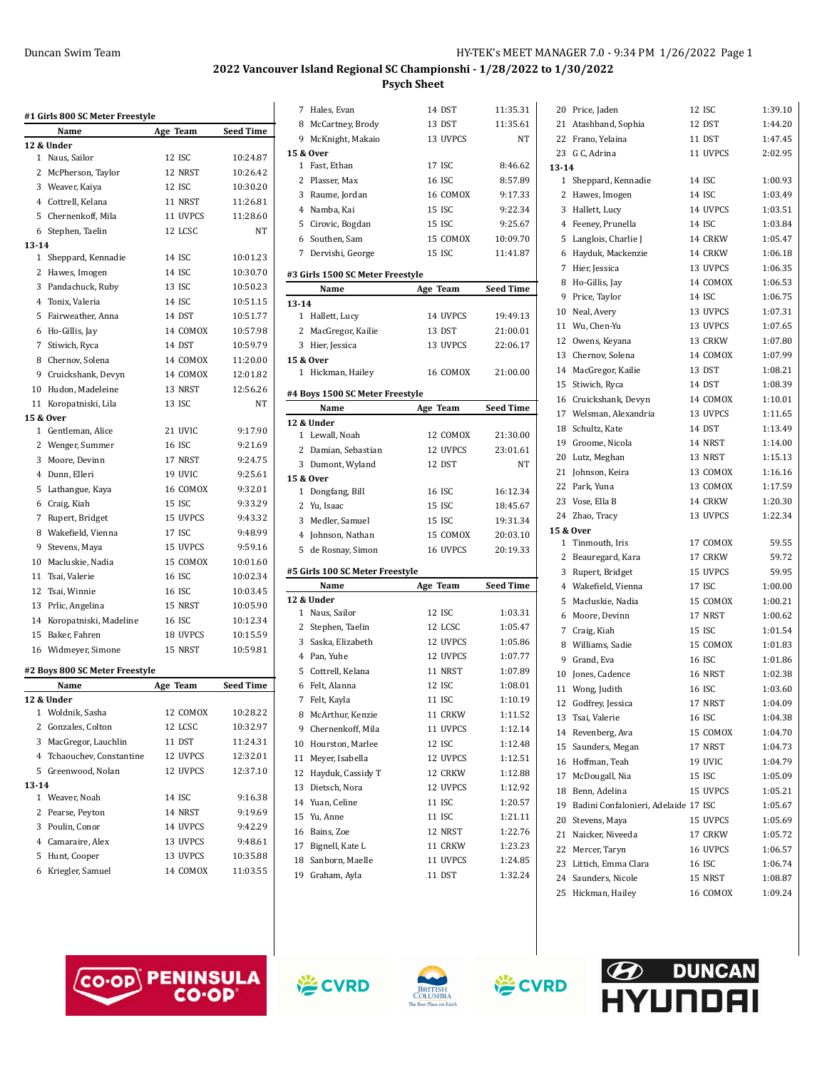| #1 Girls 800 SC Meter Freestyle |                                |          |                  |  |
|---------------------------------|--------------------------------|----------|------------------|--|
|                                 | Name                           | Age Team | <b>Seed Time</b> |  |
|                                 | 12 & Under                     |          |                  |  |
| $\mathbf{1}$                    | Naus, Sailor                   | 12 ISC   | 10:24.87         |  |
| 2                               | McPherson, Taylor              | 12 NRST  | 10:26.42         |  |
|                                 | 3 Weaver, Kaiya                | 12 ISC   | 10:30.20         |  |
|                                 | 4 Cottrell, Kelana             | 11 NRST  | 11:26.81         |  |
|                                 | 5 Chernenkoff, Mila            | 11 UVPCS | 11:28.60         |  |
|                                 | 6 Stephen, Taelin              | 12 LCSC  | NT               |  |
| $13 - 14$                       |                                |          |                  |  |
| 1                               | Sheppard, Kennadie             | 14 ISC   | 10:01.23         |  |
|                                 | 2 Hawes, Imogen                | 14 ISC   | 10:30.70         |  |
| 3                               | Pandachuck, Ruby               | 13 ISC   | 10:50.23         |  |
|                                 | 4 Tonix, Valeria               | 14 ISC   | 10:51.15         |  |
|                                 | 5 Fairweather, Anna            | 14 DST   | 10:51.77         |  |
|                                 | 6 Ho-Gillis, Jay               | 14 COMOX | 10:57.98         |  |
| 7                               | Stiwich, Ryca                  | 14 DST   | 10:59.79         |  |
| 8                               | Chernov, Solena                | 14 COMOX | 11:20.00         |  |
|                                 | 9 Cruickshank, Devyn           | 14 COMOX | 12:01.82         |  |
|                                 | 10 Hudon, Madeleine            | 13 NRST  | 12:56.26         |  |
| 11                              | Koropatniski, Lila             | 13 ISC   | NT               |  |
|                                 | 15 & Over                      |          |                  |  |
| 1                               | Gentleman, Alice               | 21 UVIC  | 9:17.90          |  |
|                                 | 2 Wenger, Summer               | 16 ISC   | 9:21.69          |  |
| 3                               | Moore, Devinn                  | 17 NRST  | 9:24.75          |  |
|                                 | 4 Dunn. Elleri                 | 19 UVIC  | 9:25.61          |  |
| 5                               | Lathangue, Kaya                | 16 COMOX | 9:32.01          |  |
|                                 | 6 Craig, Kiah                  | 15 ISC   | 9:33.29          |  |
| 7                               | Rupert, Bridget                | 15 UVPCS | 9:43.32          |  |
|                                 | 8 Wakefield, Vienna            | 17 ISC   | 9:48.99          |  |
| 9                               | Stevens, Maya                  | 15 UVPCS | 9:59.16          |  |
| 10                              | Macluskie, Nadia               | 15 COMOX | 10:01.60         |  |
|                                 | 11 Tsai, Valerie               | 16 ISC   | 10:02.34         |  |
|                                 | 12 Tsai, Winnie                | 16 ISC   | 10:03.45         |  |
| 13                              | Prlic, Angelina                | 15 NRST  | 10:05.90         |  |
| 14                              | Koropatniski, Madeline         | 16 ISC   | 10:12.34         |  |
| 15                              | Baker, Fahren                  | 18 UVPCS | 10:15.59         |  |
| 16                              | Widmeyer, Simone               | 15 NRST  | 10:59.81         |  |
|                                 |                                |          |                  |  |
|                                 | #2 Boys 800 SC Meter Freestyle |          | <b>Seed Time</b> |  |
|                                 | Name<br>12 & Under             | Age Team |                  |  |
|                                 | 1 Woldnik, Sasha               | 12 COMOX | 10:28.22         |  |
|                                 | 2 Gonzales, Colton             | 12 LCSC  | 10:32.97         |  |
| 3                               | MacGregor, Lauchlin            | 11 DST   | 11:24.31         |  |
| $\overline{4}$                  | Tchaouchev, Constantine        | 12 UVPCS | 12:32.01         |  |
| 5                               | Greenwood, Nolan               | 12 UVPCS | 12:37.10         |  |
| 13-14                           |                                |          |                  |  |
| 1                               | Weaver, Noah                   | 14 ISC   | 9:16.38          |  |
| 2                               | Pearse, Peyton                 | 14 NRST  | 9:19.69          |  |
|                                 | 3 Poulin, Conor                | 14 UVPCS | 9:42.29          |  |
|                                 | 4 Camaraire, Alex              | 13 UVPCS | 9:48.61          |  |
| 5                               | Hunt, Cooper                   | 13 UVPCS | 10:35.88         |  |
| 6                               | Kriegler, Samuel               | 14 COMOX | 11:03.55         |  |

|           | 7 Hales, Evan                         | 14 DST              | 11:35.31           |
|-----------|---------------------------------------|---------------------|--------------------|
|           | 8 McCartney, Brody                    | 13 DST              | 11:35.61           |
|           | 9 McKnight, Makaio                    | 13 UVPCS            | NΤ                 |
|           | 15 & Over                             |                     |                    |
|           | 1 Fast, Ethan                         | 17 ISC              | 8:46.62            |
|           | 2 Plasser, Max                        | 16 ISC              | 8:57.89            |
|           | 3 Raume, Jordan                       | 16 COMOX            | 9:17.33            |
|           | 4 Namba, Kai                          | 15 ISC              | 9:22.34            |
|           | 5 Cirovic, Bogdan                     | 15 ISC              | 9:25.67            |
|           | 6 Southen, Sam                        | 15 COMOX            | 10:09.70           |
| 7         | Dervishi, George                      | 15 ISC              | 11:41.87           |
|           | #3 Girls 1500 SC Meter Freestyle      |                     |                    |
|           | Name                                  | Age Team            | <b>Seed Time</b>   |
| $13 - 14$ |                                       |                     |                    |
|           | 1 Hallett, Lucy                       | 14 UVPCS            | 19:49.13           |
|           | 2 MacGregor, Kailie                   | 13 DST              | 21:00.01           |
|           | 3 Hier, Jessica                       | 13 UVPCS            | 22:06.17           |
|           | 15 & Over                             |                     |                    |
|           | 1 Hickman, Hailey                     | 16 COMOX            | 21:00.00           |
|           | #4 Boys 1500 SC Meter Freestyle       |                     |                    |
|           | Name                                  | Age Team            | Seed Time          |
|           | 12 & Under                            |                     |                    |
|           | 1 Lewall, Noah                        | 12 COMOX            | 21:30.00           |
|           | 2 Damian, Sebastian                   | 12 UVPCS            | 23:01.61           |
|           | 3 Dumont, Wyland                      | 12 DST              | NT                 |
|           | 15 & Over                             |                     |                    |
|           | 1 Dongfang, Bill                      | 16 ISC              | 16:12.34           |
|           | 2 Yu, Isaac                           | 15 ISC              | 18:45.67           |
|           | 3 Medler, Samuel                      | 15 ISC              | 19:31.34           |
|           | 4 Johnson, Nathan                     | 15 COMOX            | 20:03.10           |
|           | 5 de Rosnay, Simon                    | 16 UVPCS            | 20:19.33           |
|           | #5 Girls 100 SC Meter Freestyle       |                     |                    |
|           | Name                                  | Age Team            | <b>Seed Time</b>   |
|           | 12 & Under                            |                     |                    |
|           |                                       |                     |                    |
|           | 1 Naus, Sailor                        | 12 ISC              | 1:03.31            |
|           |                                       | 12 LCSC             | 1:05.47            |
| 3         | 2 Stephen, Taelin<br>Saska, Elizabeth | 12 UVPCS            | 1:05.86            |
|           | 4 Pan, Yuhe                           | 12 UVPCS            | 1:07.77            |
|           | 5 Cottrell, Kelana                    | 11 NRST             | 1:07.89            |
|           |                                       | 12 ISC              | 1:08.01            |
| 7         | 6 Felt, Alanna<br>Felt, Kayla         | 11 ISC              | 1:10.19            |
|           |                                       |                     |                    |
| 8         | McArthur, Kenzie                      | 11 CRKW<br>11 UVPCS | 1:11.52            |
| 9         | Chernenkoff, Mila                     |                     | 1:12.14            |
| 10        | Hourston, Marlee                      | 12 ISC              | 1:12.48<br>1:12.51 |
| 11        | Meyer, Isabella                       | 12 UVPCS            |                    |
| 12        | Hayduk, Cassidy T                     | 12 CRKW             | 1:12.88            |
| 13        | Dietsch, Nora                         | 12 UVPCS            | 1:12.92            |
| 14        | Yuan, Celine                          | 11 ISC              | 1:20.57            |
| 15        | Yu, Anne                              | 11 ISC              | 1:21.11            |
| 16        | Bains, Zoe                            | 12 NRST             | 1:22.76            |
| 17        | Bignell, Kate L                       | 11 CRKW             | 1:23.23            |
| 18        | Sanborn, Maelle<br>19 Graham, Ayla    | 11 UVPCS<br>11 DST  | 1:24.85<br>1:32.24 |

|           | 20 Price, Jaden                         | 12 ISC   | 1:39.10 |
|-----------|-----------------------------------------|----------|---------|
|           | 21 Atashband, Sophia                    | 12 DST   | 1:44.20 |
|           | 22 Frano, Yelaina                       | 11 DST   | 1:47.45 |
|           | 23 G C, Adrina                          | 11 UVPCS | 2:02.95 |
| $13 - 14$ |                                         |          |         |
|           | 1 Sheppard, Kennadie                    | 14 ISC   | 1:00.93 |
|           | 2 Hawes, Imogen                         | 14 ISC   | 1:03.49 |
|           | 3 Hallett, Lucy                         | 14 UVPCS | 1:03.51 |
|           | 4 Feeney, Prunella                      | 14 ISC   | 1:03.84 |
|           | 5 Langlois, Charlie J                   | 14 CRKW  | 1:05.47 |
|           | 6 Hayduk, Mackenzie                     | 14 CRKW  | 1:06.18 |
| 7         | Hier, Jessica                           | 13 UVPCS | 1:06.35 |
|           | 8 Ho-Gillis, Jay                        | 14 COMOX | 1:06.53 |
|           | 9 Price, Taylor                         | 14 ISC   | 1:06.75 |
|           | 10 Neal, Avery                          | 13 UVPCS | 1:07.31 |
|           | 11 Wu, Chen-Yu                          | 13 UVPCS | 1:07.65 |
|           | 12 Owens, Keyana                        | 13 CRKW  | 1:07.80 |
|           | 13 Chernov, Solena                      | 14 COMOX | 1:07.99 |
|           | 14 MacGregor, Kailie                    | 13 DST   | 1:08.21 |
|           | 15 Stiwich, Ryca                        | 14 DST   | 1:08.39 |
|           | 16 Cruickshank, Devyn                   | 14 COMOX | 1:10.01 |
|           | 17 Welsman, Alexandria                  | 13 UVPCS | 1:11.65 |
|           | 18 Schultz, Kate                        | 14 DST   | 1:13.49 |
|           | 19 Groome, Nicola                       | 14 NRST  | 1:14.00 |
|           | 20 Lutz, Meghan                         | 13 NRST  | 1:15.13 |
|           | 21 Johnson, Keira                       | 13 COMOX | 1:16.16 |
|           | 22 Park, Yuna                           | 13 COMOX | 1:17.59 |
|           | 23 Vose, Ella B                         | 14 CRKW  | 1:20.30 |
|           | 24 Zhao, Tracy                          | 13 UVPCS | 1:22.34 |
|           | 15 & Over                               |          |         |
|           | 1 Tinmouth, Iris                        | 17 COMOX | 59.55   |
|           | 2 Beauregard, Kara                      | 17 CRKW  | 59.72   |
|           | 3 Rupert, Bridget                       | 15 UVPCS | 59.95   |
|           | 4 Wakefield, Vienna                     | 17 ISC   | 1:00.00 |
| 5         | Macluskie, Nadia                        | 15 COMOX | 1:00.21 |
|           | 6 Moore, Devinn                         | 17 NRST  | 1:00.62 |
|           | 7 Craig, Kiah                           | 15 ISC   | 1:01.54 |
|           | 8 Williams, Sadie                       | 15 COMOX | 1:01.83 |
|           | 9 Grand, Eva                            | 16 ISC   | 1:01.86 |
|           | 10 Jones, Cadence                       | 16 NRST  | 1:02.38 |
| 11        | Wong, Judith                            | 16 ISC   | 1:03.60 |
| 12        | Godfrey, Jessica                        | 17 NRST  | 1:04.09 |
|           | 13 Tsai, Valerie                        | 16 ISC   | 1:04.38 |
|           | 14 Revenberg, Ava                       | 15 COMOX | 1:04.70 |
|           | 15 Saunders, Megan                      | 17 NRST  | 1:04.73 |
|           | 16 Hoffman, Teah                        | 19 UVIC  | 1:04.79 |
|           | 17 McDougall, Nia                       | 15 ISC   | 1:05.09 |
|           | 18 Benn, Adelina                        | 15 UVPCS | 1:05.21 |
|           | 19 Badini Confalonieri, Adelaide 17 ISC |          | 1:05.67 |
|           | 20 Stevens, Maya                        | 15 UVPCS | 1:05.69 |
|           | 21 Naicker, Niveeda                     | 17 CRKW  | 1:05.72 |
|           | 22 Mercer, Taryn                        | 16 UVPCS | 1:06.57 |
|           | 23 Littich, Emma Clara                  | 16 ISC   | 1:06.74 |
|           | 24 Saunders, Nicole                     | 15 NRST  | 1:08.87 |
|           | 25 Hickman, Hailey                      | 16 COMOX | 1:09.24 |







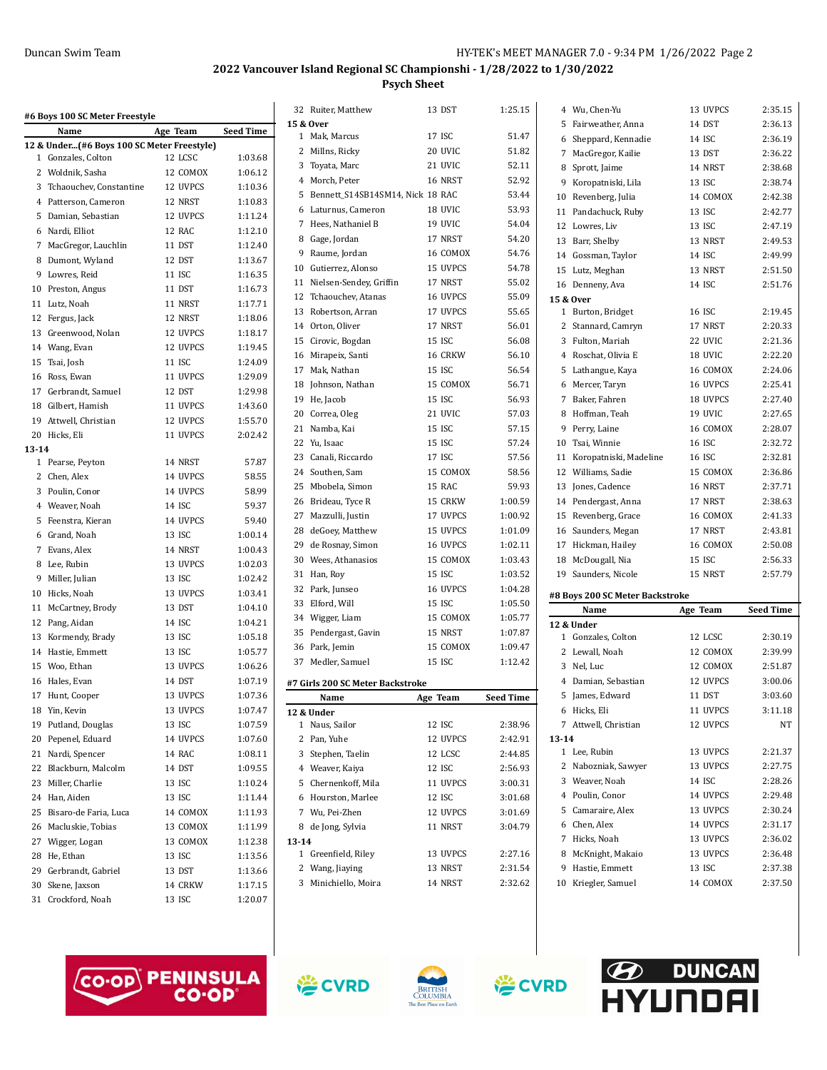| #6 Boys 100 SC Meter Freestyle |                                            |          |                    |  |
|--------------------------------|--------------------------------------------|----------|--------------------|--|
|                                | Name                                       | Age Team | <b>Seed Time</b>   |  |
|                                | 12 & Under(#6 Boys 100 SC Meter Freestyle) |          |                    |  |
| 1                              | Gonzales, Colton                           | 12 LCSC  | 1:03.68            |  |
| 2                              | Woldnik, Sasha                             | 12 COMOX | 1:06.12            |  |
| 3                              | Tchaouchev. Constantine                    | 12 UVPCS | 1:10.36            |  |
| 4                              | Patterson, Cameron                         | 12 NRST  | 1:10.83            |  |
| 5                              | Damian, Sebastian                          | 12 UVPCS | 1:11.24            |  |
| 6                              | Nardi, Elliot                              | 12 RAC   | 1:12.10            |  |
| 7                              | MacGregor, Lauchlin                        | 11 DST   | 1:12.40            |  |
| 8                              | Dumont, Wyland                             | 12 DST   | 1:13.67            |  |
| 9                              | Lowres, Reid                               | 11 ISC   | 1:16.35            |  |
| 10                             | Preston, Angus                             | 11 DST   | 1:16.73            |  |
| 11                             | Lutz, Noah                                 | 11 NRST  | 1:17.71            |  |
| 12                             | Fergus, Jack                               | 12 NRST  | 1:18.06            |  |
| 13                             | Greenwood, Nolan                           | 12 UVPCS | 1:18.17            |  |
| 14                             | Wang, Evan                                 | 12 UVPCS | 1:19.45            |  |
| 15                             | Tsai, Josh                                 | 11 ISC   | 1:24.09            |  |
| 16                             | Ross. Ewan                                 | 11 UVPCS | 1:29.09            |  |
| 17                             | Gerbrandt, Samuel                          | 12 DST   | 1:29.98            |  |
| 18                             | Gilbert, Hamish                            | 11 UVPCS | 1:43.60<br>1:55.70 |  |
| 19                             | Attwell, Christian                         | 12 UVPCS |                    |  |
| 20                             | Hicks, Eli                                 | 11 UVPCS | 2:02.42            |  |
| $13 - 14$<br>1                 | Pearse, Peyton                             | 14 NRST  | 57.87              |  |
| 2                              | Chen, Alex                                 | 14 UVPCS | 58.55              |  |
| 3                              | Poulin, Conor                              | 14 UVPCS | 58.99              |  |
| 4                              | Weaver, Noah                               | 14 ISC   | 59.37              |  |
| 5                              | Feenstra, Kieran                           | 14 UVPCS | 59.40              |  |
| 6                              | Grand, Noah                                | 13 ISC   | 1:00.14            |  |
| 7                              | Evans, Alex                                | 14 NRST  | 1:00.43            |  |
| 8                              | Lee, Rubin                                 | 13 UVPCS | 1:02.03            |  |
| 9                              | Miller, Julian                             | 13 ISC   | 1:02.42            |  |
| 10                             | Hicks, Noah                                | 13 UVPCS | 1:03.41            |  |
| 11                             | McCartney, Brody                           | 13 DST   | 1:04.10            |  |
| 12                             | Pang, Aidan                                | 14 ISC   | 1:04.21            |  |
| 13                             | Kormendy, Brady                            | 13 ISC   | 1:05.18            |  |
| 14                             | Hastie, Emmett                             | 13 ISC   | 1:05.77            |  |
| 15                             | Woo, Ethan                                 | 13 UVPCS | 1:06.26            |  |
| 16                             | Hales, Evan                                | 14 DST   | 1:07.19            |  |
| 17                             | Hunt, Cooper                               | 13 UVPCS | 1:07.36            |  |
| 18                             | Yin, Kevin                                 | 13 UVPCS | 1:07.47            |  |
| 19                             | Putland, Douglas                           | 13 ISC   | 1:07.59            |  |
| 20                             | Pepenel, Eduard                            | 14 UVPCS | 1:07.60            |  |
| 21                             | Nardi, Spencer                             | 14 RAC   | 1:08.11            |  |
| 22                             | Blackburn, Malcolm                         | 14 DST   | 1:09.55            |  |
| 23                             | Miller, Charlie                            | 13 ISC   | 1:10.24            |  |
| 24                             | Han, Aiden                                 | 13 ISC   | 1:11.44            |  |
| 25                             | Bisaro-de Faria, Luca                      | 14 COMOX | 1:11.93            |  |
| 26                             | Macluskie, Tobias                          | 13 COMOX | 1:11.99            |  |
| 27                             | Wigger, Logan                              | 13 COMOX | 1:12.38            |  |
| 28                             | He, Ethan                                  | 13 ISC   | 1:13.56            |  |
|                                | 29 Gerbrandt, Gabriel                      | 13 DST   | 1:13.66            |  |
| 30                             | Skene, Jaxson                              | 14 CRKW  | 1:17.15            |  |
| 31                             | Crockford, Noah                            | 13 ISC   | 1:20.07            |  |
|                                |                                            |          |                    |  |

|    | 15 & Over                        |          |           |
|----|----------------------------------|----------|-----------|
| 1  | Mak, Marcus                      | 17 ISC   | 51.47     |
| 2  | Millns, Ricky                    | 20 UVIC  | 51.82     |
|    | 3 Toyata, Marc                   | 21 UVIC  | 52.11     |
|    | 4 Morch, Peter                   | 16 NRST  | 52.92     |
| 5  | Bennett_S14SB14SM14, Nick 18 RAC |          | 53.44     |
|    | 6 Laturnus, Cameron              | 18 UVIC  | 53.93     |
| 7  | Hees, Nathaniel B                | 19 UVIC  | 54.04     |
| 8  | Gage, Jordan                     | 17 NRST  | 54.20     |
| 9  | Raume, Jordan                    | 16 COMOX | 54.76     |
| 10 | Gutierrez, Alonso                | 15 UVPCS | 54.78     |
| 11 | Nielsen-Sendey, Griffin          | 17 NRST  | 55.02     |
| 12 | Tchaouchev, Atanas               | 16 UVPCS | 55.09     |
| 13 | Robertson, Arran                 | 17 UVPCS | 55.65     |
|    | 14 Orton, Oliver                 | 17 NRST  | 56.01     |
| 15 | Cirovic, Bogdan                  | 15 ISC   | 56.08     |
| 16 | Mirapeix, Santi                  | 16 CRKW  | 56.10     |
| 17 | Mak, Nathan                      | 15 ISC   | 56.54     |
| 18 | Johnson, Nathan                  | 15 COMOX | 56.71     |
|    | 19 He, Jacob                     | 15 ISC   | 56.93     |
|    | 20 Correa, Oleg                  | 21 UVIC  | 57.03     |
| 21 | Namba, Kai                       | 15 ISC   | 57.15     |
| 22 | Yu, Isaac                        | 15 ISC   | 57.24     |
| 23 | Canali, Riccardo                 | 17 ISC   | 57.56     |
|    | 24 Southen, Sam                  | 15 COMOX | 58.56     |
| 25 | Mbobela, Simon                   | 15 RAC   | 59.93     |
|    | 26 Brideau, Tyce R               | 15 CRKW  | 1:00.59   |
|    | 27 Mazzulli, Justin              | 17 UVPCS | 1:00.92   |
|    | 28 deGoey, Matthew               | 15 UVPCS | 1:01.09   |
|    | 29 de Rosnay, Simon              | 16 UVPCS | 1:02.11   |
|    | 30 Wees, Athanasios              | 15 COMOX | 1:03.43   |
| 31 | Han, Roy                         | 15 ISC   | 1:03.52   |
| 32 | Park, Junseo                     | 16 UVPCS | 1:04.28   |
| 33 | Elford, Will                     | 15 ISC   | 1:05.50   |
| 34 | Wigger, Liam                     | 15 COMOX | 1:05.77   |
| 35 | Pendergast, Gavin                | 15 NRST  | 1:07.87   |
|    | 36 Park, Jemin                   | 15 COMOX | 1:09.47   |
|    | 37 Medler, Samuel                | 15 ISC   | 1:12.42   |
|    | #7 Girls 200 SC Meter Backstroke |          |           |
|    | Name                             | Age Team | Seed Time |
| 1  | 12 & Under<br>Naus, Sailor       | 12 ISC   | 2:38.96   |
|    | 2 Pan, Yuhe                      | 12 UVPCS | 2:42.91   |
| 3  | Stephen, Taelin                  | 12 LCSC  | 2:44.85   |
|    | 4 Weaver, Kaiya                  | 12 ISC   | 2:56.93   |
| 5  | Chernenkoff, Mila                | 11 UVPCS | 3:00.31   |
| 6  | Hourston, Marlee                 | 12 ISC   | 3:01.68   |

|        | 32 Ruiter, Matthew                 | 13 DST   | 1:25.15          |           | 4 Wu, Chen-Yu                   | 13 UVPCS | 2:35.15          |
|--------|------------------------------------|----------|------------------|-----------|---------------------------------|----------|------------------|
|        | l 5 & Over                         |          |                  |           | 5 Fairweather, Anna             | 14 DST   | 2:36.13          |
|        | 1 Mak, Marcus                      | 17 ISC   | 51.47            |           | 6 Sheppard, Kennadie            | 14 ISC   | 2:36.19          |
|        | 2 Millns, Ricky                    | 20 UVIC  | 51.82            |           | 7 MacGregor, Kailie             | 13 DST   | 2:36.22          |
|        | 3 Toyata, Marc                     | 21 UVIC  | 52.11            |           | 8 Sprott, Jaime                 | 14 NRST  | 2:38.68          |
|        | 4 Morch, Peter                     | 16 NRST  | 52.92            | 9         | Koropatniski, Lila              | 13 ISC   | 2:38.74          |
|        | 5 Bennett_S14SB14SM14, Nick 18 RAC |          | 53.44            |           | 10 Revenberg, Julia             | 14 COMOX | 2:42.38          |
|        | 6 Laturnus, Cameron                | 18 UVIC  | 53.93            |           | 11 Pandachuck, Ruby             | 13 ISC   | 2:42.77          |
|        | 7 Hees, Nathaniel B                | 19 UVIC  | 54.04            |           | 12 Lowres, Liv                  | 13 ISC   | 2:47.19          |
| 8      | Gage, Jordan                       | 17 NRST  | 54.20            |           | 13 Barr, Shelby                 | 13 NRST  | 2:49.53          |
| 9      | Raume, Jordan                      | 16 COMOX | 54.76            |           | 14 Gossman, Taylor              | 14 ISC   | 2:49.99          |
| 10     | Gutierrez, Alonso                  | 15 UVPCS | 54.78            |           | 15 Lutz, Meghan                 | 13 NRST  | 2:51.50          |
| 11     | Nielsen-Sendey, Griffin            | 17 NRST  | 55.02            |           | 16 Denneny, Ava                 | 14 ISC   | 2:51.76          |
|        | 12 Tchaouchev, Atanas              | 16 UVPCS | 55.09            |           | 15 & Over                       |          |                  |
| 13     | Robertson, Arran                   | 17 UVPCS | 55.65            |           | 1 Burton, Bridget               | 16 ISC   | 2:19.45          |
|        | 14 Orton, Oliver                   | 17 NRST  | 56.01            |           | 2 Stannard, Camryn              | 17 NRST  | 2:20.33          |
|        | 15 Cirovic, Bogdan                 | 15 ISC   | 56.08            |           | 3 Fulton, Mariah                | 22 UVIC  | 2:21.36          |
|        | 16 Mirapeix, Santi                 | 16 CRKW  | 56.10            |           | 4 Roschat, Olivia E             | 18 UVIC  | 2:22.20          |
| 17     | Mak, Nathan                        | 15 ISC   | 56.54            |           | 5 Lathangue, Kaya               | 16 COMOX | 2:24.06          |
| 18     | Johnson, Nathan                    | 15 COMOX | 56.71            |           | 6 Mercer, Taryn                 | 16 UVPCS | 2:25.41          |
| 19     | He, Jacob                          | 15 ISC   | 56.93            |           | 7 Baker, Fahren                 | 18 UVPCS | 2:27.40          |
|        |                                    | 21 UVIC  | 57.03            |           | 8 Hoffman, Teah                 | 19 UVIC  | 2:27.65          |
| 20     | Correa, Oleg                       |          |                  |           |                                 |          | 2:28.07          |
| 21     | Namba, Kai                         | 15 ISC   | 57.15            |           | 9 Perry, Laine                  | 16 COMOX |                  |
|        | 22 Yu, Isaac                       | 15 ISC   | 57.24            | 10        | Tsai, Winnie                    | 16 ISC   | 2:32.72          |
|        | 23 Canali, Riccardo                | 17 ISC   | 57.56            |           | 11 Koropatniski, Madeline       | 16 ISC   | 2:32.81          |
|        | 24 Southen, Sam                    | 15 COMOX | 58.56            |           | 12 Williams, Sadie              | 15 COMOX | 2:36.86          |
|        | 25 Mbobela, Simon                  | 15 RAC   | 59.93            |           | 13 Jones, Cadence               | 16 NRST  | 2:37.71          |
|        | 26 Brideau, Tyce R                 | 15 CRKW  | 1:00.59          |           | 14 Pendergast, Anna             | 17 NRST  | 2:38.63          |
| 27     | Mazzulli, Justin                   | 17 UVPCS | 1:00.92          |           | 15 Revenberg, Grace             | 16 COMOX | 2:41.33          |
|        | 28 deGoey, Matthew                 | 15 UVPCS | 1:01.09          |           | 16 Saunders, Megan              | 17 NRST  | 2:43.81          |
|        |                                    |          |                  |           |                                 |          |                  |
| 29     | de Rosnay, Simon                   | 16 UVPCS | 1:02.11          |           | 17 Hickman, Hailey              | 16 COMOX | 2:50.08          |
| 30     | Wees, Athanasios                   | 15 COMOX | 1:03.43          |           | 18 McDougall, Nia               | 15 ISC   | 2:56.33          |
|        | 31 Han, Roy                        | 15 ISC   | 1:03.52          |           | 19 Saunders, Nicole             | 15 NRST  | 2:57.79          |
| 32     | Park, Junseo                       | 16 UVPCS | 1:04.28          |           |                                 |          |                  |
|        | 33 Elford, Will                    | 15 ISC   | 1:05.50          |           | #8 Boys 200 SC Meter Backstroke |          |                  |
|        | 34 Wigger, Liam                    | 15 COMOX | 1:05.77          |           | Name                            | Age Team | <b>Seed Time</b> |
|        | 35 Pendergast, Gavin               | 15 NRST  | 1:07.87          |           | 12 & Under                      |          |                  |
|        | 36 Park, Jemin                     | 15 COMOX | 1:09.47          |           | 1 Gonzales, Colton              | 12 LCSC  | 2:30.19          |
|        | 37 Medler, Samuel                  | 15 ISC   | 1:12.42          |           | 2 Lewall, Noah                  | 12 COMOX | 2:39.99          |
|        |                                    |          |                  |           | 3 Nel, Luc                      | 12 COMOX | 2:51.87          |
|        | ‡7 Girls 200 SC Meter Backstroke   |          |                  |           | 4 Damian, Sebastian             | 12 UVPCS | 3:00.06          |
|        | Name                               | Age Team | <b>Seed Time</b> |           | 5 James, Edward                 | 11 DST   | 3:03.60          |
|        | l2 & Under                         |          |                  |           | 6 Hicks, Eli                    | 11 UVPCS | 3:11.18          |
|        | 1 Naus, Sailor                     | 12 ISC   | 2:38.96          |           | 7 Attwell, Christian            | 12 UVPCS | NT               |
|        | 2 Pan, Yuhe                        | 12 UVPCS | 2:42.91          | $13 - 14$ |                                 |          |                  |
|        | 3 Stephen, Taelin                  | 12 LCSC  | 2:44.85          |           | 1 Lee, Rubin                    | 13 UVPCS | 2:21.37          |
| 4      | Weaver, Kaiya                      | 12 ISC   | 2:56.93          |           | 2 Nabozniak, Sawyer             | 13 UVPCS | 2:27.75          |
| 5      | Chernenkoff, Mila                  | 11 UVPCS | 3:00.31          |           | 3 Weaver, Noah                  | 14 ISC   | 2:28.26          |
| 6      | Hourston, Marlee                   | 12 ISC   | 3:01.68          |           | 4 Poulin, Conor                 | 14 UVPCS | 2:29.48          |
|        | 7 Wu, Pei-Zhen                     | 12 UVPCS | 3:01.69          |           | 5 Camaraire, Alex               | 13 UVPCS | 2:30.24          |
|        | 8 de Jong, Sylvia                  | 11 NRST  | 3:04.79          |           | 6 Chen, Alex                    | 14 UVPCS | 2:31.17          |
| l 3-14 |                                    |          |                  |           | 7 Hicks, Noah                   | 13 UVPCS | 2:36.02          |
|        | 1 Greenfield, Riley                | 13 UVPCS | 2:27.16          |           | 8 McKnight, Makaio              | 13 UVPCS | 2:36.48          |
|        | 2 Wang, Jiaying                    | 13 NRST  | 2:31.54          | 9         | Hastie, Emmett                  | 13 ISC   | 2:37.38          |
|        | 3 Minichiello, Moira               | 14 NRST  | 2:32.62          |           | 10 Kriegler, Samuel             | 14 COMOX | 2:37.50          |





**13-14**





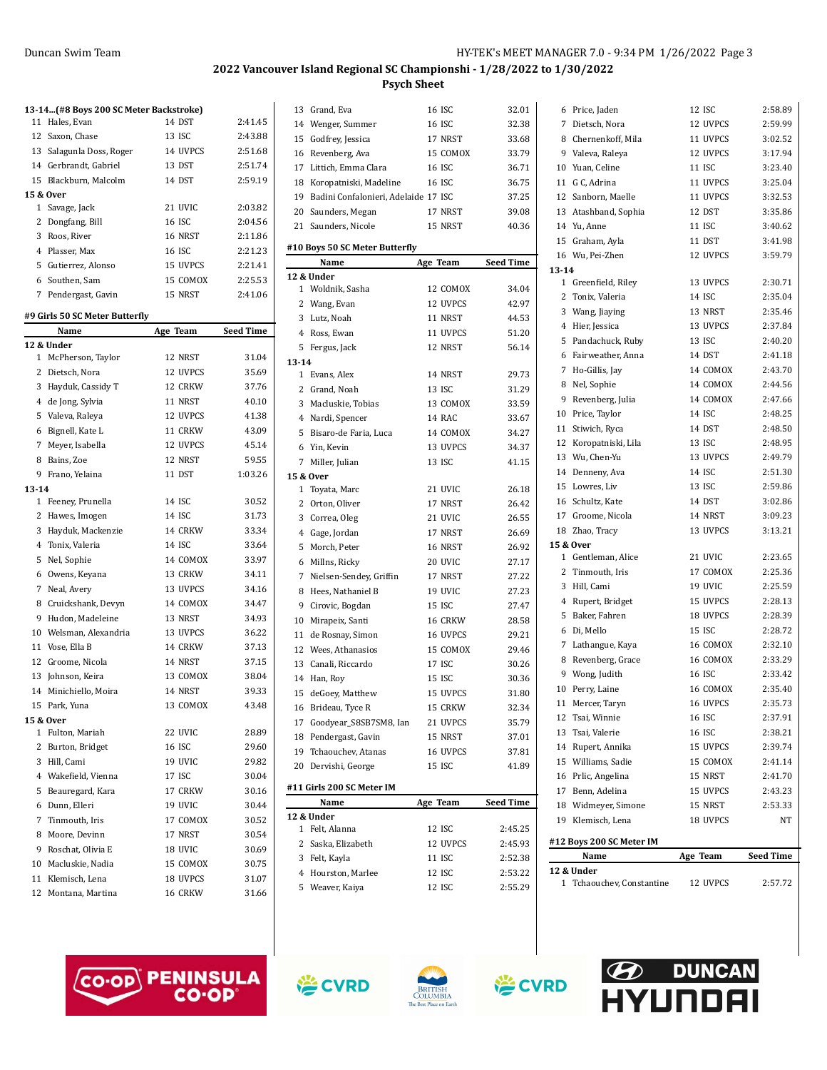|             |                                         |          | <i>L</i> U <i>ll</i> vailt |
|-------------|-----------------------------------------|----------|----------------------------|
|             |                                         |          |                            |
|             | 13-14 (#8 Boys 200 SC Meter Backstroke) |          |                            |
| 11          | Hales, Evan                             | 14 DST   | 2:41.45                    |
|             | 12 Saxon, Chase                         | 13 ISC   | 2:43.88                    |
|             | 13 Salagunla Doss, Roger                | 14 UVPCS | 2:51.68                    |
|             | 14 Gerbrandt, Gabriel                   | 13 DST   | 2:51.74                    |
|             | 15 Blackburn, Malcolm                   | 14 DST   | 2:59.19                    |
|             | 15 & Over                               |          |                            |
|             | 1 Savage, Jack                          | 21 UVIC  | 2:03.82                    |
|             | 2 Dongfang, Bill                        | 16 ISC   | 2:04.56                    |
|             | 3 Roos, River                           | 16 NRST  | 2:11.86                    |
|             | 4 Plasser, Max                          | 16 ISC   | 2:21.23                    |
|             | 5 Gutierrez, Alonso                     | 15 UVPCS | 2:21.41                    |
|             | 6 Southen, Sam                          | 15 COMOX | 2:25.53                    |
|             | 7 Pendergast, Gavin                     | 15 NRST  | 2:41.06                    |
|             | #9 Girls 50 SC Meter Butterfly          |          |                            |
|             | Name                                    | Age Team | Seed Time                  |
|             | 12 & Under                              |          |                            |
| $\mathbf 1$ | McPherson, Taylor                       | 12 NRST  | 31.04                      |
|             | 2 Dietsch, Nora                         | 12 UVPCS | 35.69                      |
|             | 3 Hayduk, Cassidy T                     | 12 CRKW  | 37.76                      |
|             | 4 de Jong, Sylvia                       | 11 NRST  | 40.10                      |
|             | 5 Valeva, Raleya                        | 12 UVPCS | 41.38                      |
|             | 6 Bignell, Kate L                       | 11 CRKW  | 43.09                      |
|             | 7 Meyer, Isabella                       | 12 UVPCS | 45.14                      |
|             | 8 Bains, Zoe                            | 12 NRST  | 59.55                      |
|             | 9 Frano, Yelaina                        | 11 DST   | 1:03.26                    |
| $13 - 14$   |                                         |          |                            |
|             | 1 Feeney, Prunella                      | 14 ISC   | 30.52                      |
|             | 2 Hawes, Imogen                         | 14 ISC   | 31.73                      |
|             | 3 Hayduk, Mackenzie                     | 14 CRKW  | 33.34                      |
|             | 4 Tonix, Valeria                        | 14 ISC   | 33.64                      |
|             | 5 Nel, Sophie                           | 14 COMOX | 33.97                      |
|             | 6 Owens, Keyana                         | 13 CRKW  | 34.11                      |
|             | 7 Neal, Avery                           | 13 UVPCS | 34.16                      |
| 8           | Cruickshank, Devyn                      | 14 COMOX | 34.47                      |
|             | 9 Hudon, Madeleine                      | 13 NRST  | 34.93                      |
|             | 10 Welsman, Alexandria                  | 13 UVPCS | 36.22                      |
|             | 11 Vose, Ella B                         | 14 CRKW  | 37.13                      |
| 12          | Groome, Nicola                          | 14 NRST  | 37.15                      |
|             | 13 Johnson, Keira                       | 13 COMOX | 38.04                      |
|             | 14 Minichiello, Moira                   | 14 NRST  | 39.33                      |
|             | 15 Park, Yuna                           | 13 COMOX | 43.48                      |
|             | 15 & Over                               |          |                            |
|             | 1 Fulton, Mariah                        | 22 UVIC  | 28.89                      |
|             | 2 Burton, Bridget                       | 16 ISC   | 29.60                      |
|             | 3 Hill, Cami                            | 19 UVIC  | 29.82                      |
|             | 4 Wakefield, Vienna                     | 17 ISC   | 30.04                      |
|             | 5 Beauregard, Kara                      | 17 CRKW  | 30.16                      |
|             | 6 Dunn, Elleri                          | 19 UVIC  | 30.44                      |
|             | 7 Tinmouth, Iris                        | 17 COMOX | 30.52                      |
|             | 8 Moore, Devinn                         | 17 NRST  | 30.54                      |

| 13    | Grand, Eva                              | 16 ISC           | 32.01              |
|-------|-----------------------------------------|------------------|--------------------|
|       | 14 Wenger, Summer                       | 16 ISC           | 32.38              |
|       | 15 Godfrey, Jessica                     | 17 NRST          | 33.68              |
|       | 16 Revenberg, Ava                       | 15 COMOX         | 33.79              |
|       | 17 Littich, Emma Clara                  | 16 ISC           | 36.71              |
|       | 18 Koropatniski, Madeline               | 16 ISC           | 36.75              |
|       | 19 Badini Confalonieri, Adelaide 17 ISC |                  | 37.25              |
|       | 20 Saunders, Megan                      | 17 NRST          | 39.08              |
|       | 21 Saunders, Nicole                     | 15 NRST          | 40.36              |
|       |                                         |                  |                    |
|       | #10 Boys 50 SC Meter Butterfly          |                  |                    |
|       | Name                                    | Age Team         | <b>Seed Time</b>   |
|       | 12 & Under                              |                  |                    |
|       | 1 Woldnik, Sasha                        | 12 COMOX         | 34.04              |
|       | 2 Wang, Evan                            | 12 UVPCS         | 42.97              |
|       | 3 Lutz, Noah                            | 11 NRST          | 44.53              |
|       | 4 Ross, Ewan                            | 11 UVPCS         | 51.20              |
|       | 5 Fergus, Jack                          | 12 NRST          | 56.14              |
| 13-14 |                                         |                  |                    |
|       | 1 Evans, Alex                           | 14 NRST          | 29.73              |
|       | 2 Grand, Noah                           | 13 ISC           | 31.29              |
|       | 3 Macluskie, Tobias                     | 13 COMOX         | 33.59              |
|       | 4 Nardi, Spencer                        | 14 RAC           | 33.67              |
|       | 5 Bisaro-de Faria, Luca                 | 14 COMOX         | 34.27              |
|       | 6 Yin, Kevin                            | 13 UVPCS         | 34.37              |
|       | 7 Miller, Julian                        | 13 ISC           | 41.15              |
|       | 15 & Over                               |                  |                    |
|       | 1 Toyata, Marc                          | 21 UVIC          | 26.18              |
|       | 2 Orton, Oliver                         | 17 NRST          | 26.42              |
|       | 3 Correa, Oleg                          | 21 UVIC          | 26.55              |
|       | 4 Gage, Jordan                          | 17 NRST          | 26.69              |
| 5     | Morch, Peter                            | 16 NRST          | 26.92              |
| 6     | Millns, Ricky                           | 20 UVIC          | 27.17              |
|       | 7 Nielsen-Sendey, Griffin               | 17 NRST          | 27.22              |
| 8     | Hees, Nathaniel B                       | 19 UVIC          | 27.23              |
| 9     | Cirovic, Bogdan                         | 15 ISC           | 27.47              |
|       | 10 Mirapeix, Santi                      | 16 CRKW          | 28.58              |
|       | 11 de Rosnay, Simon                     | 16 UVPCS         | 29.21              |
|       | 12 Wees, Athanasios                     | 15 COMOX         | 29.46              |
|       | 13 Canali, Riccardo                     | 17 ISC           | 30.26              |
|       | 14 Han, Roy                             | 15 ISC           | 30.36              |
| 15    | deGoey, Matthew                         | 15 UVPCS         | 31.80              |
| 16    | Brideau, Tyce R                         | 15 CRKW          | 32.34              |
|       | 17 Goodyear_S8SB7SM8, Ian               | 21 UVPCS         | 35.79              |
| 18    | Pendergast, Gavin                       | 15 NRST          | 37.01              |
|       | 19 Tchaouchev, Atanas                   | 16 UVPCS         | 37.81              |
| 20    | Dervishi, George                        | 15 ISC           | 41.89              |
|       |                                         |                  |                    |
|       | #11 Girls 200 SC Meter IM               |                  |                    |
|       | Name                                    | Age Team         | <b>Seed Time</b>   |
|       | 12 & Under                              |                  |                    |
| 1     | Felt, Alanna                            | 12 ISC           | 2:45.25            |
| 2     | Saska, Elizabeth                        | 12 UVPCS         | 2:45.93            |
|       | 3 Felt, Kayla                           | 11 ISC           | 2:52.38            |
|       | 4 Hourston, Marlee                      | 12 ISC<br>12 ISC | 2:53.22<br>2:55.29 |
| 5     | Weaver, Kaiya                           |                  |                    |

|           | 12 & Under                          |                      |                    |
|-----------|-------------------------------------|----------------------|--------------------|
|           | Name                                | Age Team             | <b>Seed Time</b>   |
|           | #12 Boys 200 SC Meter IM            |                      |                    |
|           | 19 Klemisch, Lena                   | 18 UVPCS             | NT                 |
|           | 18 Widmeyer, Simone                 | 15 NRST              | 2:53.33            |
|           | 17 Benn, Adelina                    | 15 UVPCS             | 2:43.23            |
|           | 16 Prlic, Angelina                  | 15 NRST              | 2:41.70            |
|           | 15 Williams, Sadie                  | 15 COMOX             | 2:41.14            |
|           | 14 Rupert, Annika                   | 15 UVPCS             | 2:39.74            |
| 13        | Tsai, Valerie                       | 16 ISC               | 2:38.21            |
| 12        | Tsai, Winnie                        | 16 ISC               | 2:37.91            |
|           | 11 Mercer, Taryn                    | 16 UVPCS             | 2:35.73            |
|           | 10 Perry, Laine                     | 16 COMOX             | 2:35.40            |
|           | 9 Wong, Judith                      | 16 ISC               | 2:33.42            |
|           | 8 Revenberg, Grace                  | 16 COMOX             | 2:33.29            |
|           | 7 Lathangue, Kaya                   | 16 COMOX             | 2:32.10            |
|           | 6 Di, Mello                         | 15 ISC               | 2:28.72            |
|           | 5 Baker, Fahren                     | 18 UVPCS             | 2:28.39            |
|           | 4 Rupert, Bridget                   | 15 UVPCS             | 2:28.13            |
|           | 3 Hill, Cami                        | 19 UVIC              | 2:25.59            |
|           | 2 Tinmouth, Iris                    | 17 COMOX             | 2:25.36            |
|           | 1 Gentleman, Alice                  | 21 UVIC              | 2:23.65            |
|           | 15 & Over                           |                      |                    |
|           | 18 Zhao, Tracy                      | 13 UVPCS             | 3:13.21            |
|           | 17 Groome, Nicola                   | 14 NRST              | 3:09.23            |
|           | 16 Schultz, Kate                    | 14 DST               | 3:02.86            |
|           | 15 Lowres, Liv                      | 13 ISC               | 2:59.86            |
|           | 14 Denneny, Ava                     | 14 ISC               | 2:51.30            |
|           | 13 Wu, Chen-Yu                      | 13 UVPCS             | 2:49.79            |
|           | 12 Koropatniski, Lila               | 13 ISC               | 2:48.95            |
|           | 11 Stiwich, Ryca                    | 14 DST               | 2:48.50            |
|           | 10 Price, Taylor                    | 14 ISC               | 2:48.25            |
|           | 9 Revenberg, Julia                  | 14 COMOX             | 2:47.66            |
|           | 8 Nel, Sophie                       |                      |                    |
|           |                                     | 14 COMOX             | 2:44.56            |
|           | 7 Ho-Gillis, Jay                    | 14 COMOX             | 2:43.70            |
|           | 6 Fairweather, Anna                 | 14 DST               | 2:41.18            |
|           | 5 Pandachuck, Ruby                  | 13 ISC               | 2:40.20            |
|           | 4 Hier, Jessica                     | 13 UVPCS             | 2:37.84            |
|           | 3 Wang, Jiaying                     | 13 NRST              | 2:35.46            |
|           | 2 Tonix, Valeria                    | 14 ISC               | 2:35.04            |
|           | 1 Greenfield, Riley                 | 13 UVPCS             | 2:30.71            |
| $13 - 14$ |                                     |                      |                    |
|           | 16 Wu, Pei-Zhen                     | 12 UVPCS             | 3:59.79            |
|           | 15 Graham, Ayla                     | 11 DST               | 3:41.98            |
|           | 14 Yu, Anne                         | 11 ISC               | 3:40.62            |
|           | 13 Atashband, Sophia                | 12 DST               | 3:35.86            |
|           | 12 Sanborn, Maelle                  | 11 UVPCS             | 3:32.53            |
|           | 11 G C, Adrina                      | 11 UVPCS             | 3:25.04            |
|           | 9 Valeva, Raleya<br>10 Yuan, Celine | 11 ISC               | 3:23.40            |
|           | 8 Chernenkoff, Mila                 | 12 UVPCS             | 3:17.94            |
|           | 7 Dietsch, Nora                     | 12 UVPCS<br>11 UVPCS | 2:59.99<br>3:02.52 |
|           | 6 Price, Jaden                      | 12 ISC               | 2:58.89            |
|           |                                     |                      |                    |



9 Roschat, Olivia E 18 UVIC 30.69 Macluskie, Nadia 15 COMOX 30.75 Klemisch, Lena 18 UVPCS 31.07 Montana, Martina 16 CRKW 31.66









Tchaouchev, Constantine 12 UVPCS 2:57.72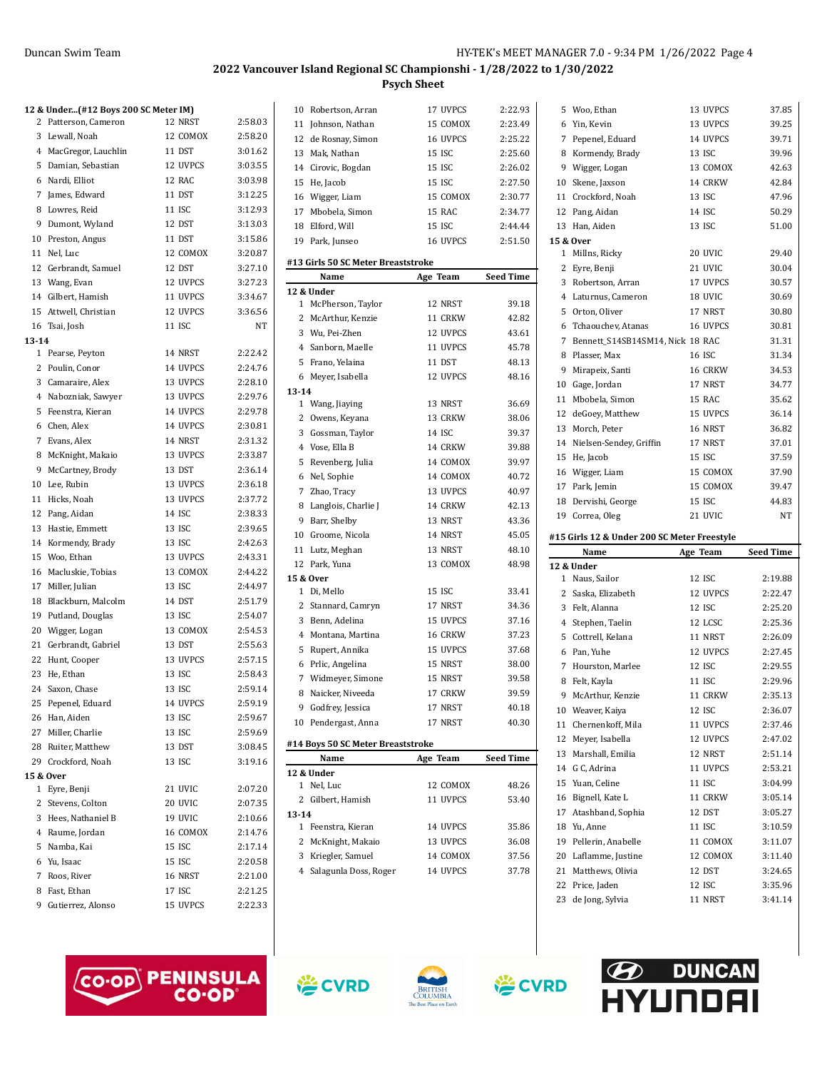# **12 & Under...(#12 Boys 200 SC Meter IM)** 2 Patterson, Cameron 12 NRST 2:58.03 Lewall, Noah 12 COMOX 2:58.20 MacGregor, Lauchlin 11 DST 3:01.62 Damian, Sebastian 12 UVPCS 3:03.55 Nardi, Elliot 12 RAC 3:03.98 James, Edward 11 DST 3:12.25 Lowres, Reid 11 ISC 3:12.93 Dumont, Wyland 12 DST 3:13.03 Preston, Angus 11 DST 3:15.86 Nel, Luc 12 COMOX 3:20.87 Gerbrandt, Samuel 12 DST 3:27.10 13 Wang, Evan 12 UVPCS 3:27.23 Gilbert, Hamish 11 UVPCS 3:34.67 15 Attwell, Christian 12 UVPCS 3:36.56 Tsai, Josh 11 ISC NT **13-14** Pearse, Peyton 14 NRST 2:22.42 Poulin, Conor 14 UVPCS 2:24.76 Camaraire, Alex 13 UVPCS 2:28.10 Nabozniak, Sawyer 13 UVPCS 2:29.76 Feenstra, Kieran 14 UVPCS 2:29.78 Chen, Alex 14 UVPCS 2:30.81 Evans, Alex 14 NRST 2:31.32 McKnight, Makaio 13 UVPCS 2:33.87 McCartney, Brody 13 DST 2:36.14 Lee, Rubin 13 UVPCS 2:36.18 Hicks, Noah 13 UVPCS 2:37.72 Pang, Aidan 14 ISC 2:38.33 Hastie, Emmett 13 ISC 2:39.65 Kormendy, Brady 13 ISC 2:42.63 Woo, Ethan 13 UVPCS 2:43.31 Macluskie, Tobias 13 COMOX 2:44.22 Miller, Julian 13 ISC 2:44.97 Blackburn, Malcolm 14 DST 2:51.79 Putland, Douglas 13 ISC 2:54.07 Wigger, Logan 13 COMOX 2:54.53 21 Gerbrandt, Gabriel 13 DST 2:55.63 Hunt, Cooper 13 UVPCS 2:57.15 23 He, Ethan 13 ISC 2:58.43 Saxon, Chase 13 ISC 2:59.14 25 Pepenel, Eduard 14 UVPCS 2:59.19 Han, Aiden 13 ISC 2:59.67 27 Miller, Charlie 13 ISC 2:59.69 Ruiter, Matthew 13 DST 3:08.45 Crockford, Noah 13 ISC 3:19.16 **15 & Over** Eyre, Benji 21 UVIC 2:07.20 Stevens, Colton 20 UVIC 2:07.35 Hees, Nathaniel B 19 UVIC 2:10.66 Raume, Jordan 16 COMOX 2:14.76 Namba, Kai 15 ISC 2:17.14 Yu, Isaac 15 ISC 2:20.58 Roos, River 16 NRST 2:21.00 Fast, Ethan 17 ISC 2:21.25 Gutierrez, Alonso 15 UVPCS 2:22.33

| 10        | Robertson, Arran                           | 17 UVPCS | 2:22.93          |
|-----------|--------------------------------------------|----------|------------------|
|           | 11 Johnson, Nathan                         | 15 COMOX | 2:23.49          |
|           | 12 de Rosnay, Simon                        | 16 UVPCS | 2:25.22          |
|           | 13 Mak, Nathan                             | 15 ISC   | 2:25.60          |
|           | 14 Cirovic, Bogdan                         | 15 ISC   | 2:26.02          |
|           | 15 He, Jacob                               | 15 ISC   | 2:27.50          |
|           | 16 Wigger, Liam                            | 15 COMOX | 2:30.77          |
|           | 17 Mbobela, Simon                          | 15 RAC   | 2:34.77          |
|           | 18 Elford, Will                            | 15 ISC   | 2:44.44          |
|           | 19 Park, Junseo                            | 16 UVPCS | 2:51.50          |
|           |                                            |          |                  |
|           | #13 Girls 50 SC Meter Breaststroke<br>Name | Age Team |                  |
|           | 12 & Under                                 |          | <b>Seed Time</b> |
|           | 1 McPherson, Taylor                        | 12 NRST  | 39.18            |
|           | 2 McArthur, Kenzie                         | 11 CRKW  | 42.82            |
|           | 3 Wu, Pei-Zhen                             | 12 UVPCS | 43.61            |
|           | 4 Sanborn, Maelle                          | 11 UVPCS | 45.78            |
|           | 5 Frano, Yelaina                           | 11 DST   | 48.13            |
|           | 6 Meyer, Isabella                          | 12 UVPCS | 48.16            |
| $13 - 14$ |                                            |          |                  |
|           | 1 Wang, Jiaying                            | 13 NRST  | 36.69            |
|           | 2 Owens, Keyana                            | 13 CRKW  | 38.06            |
|           | 3 Gossman, Taylor                          | 14 ISC   | 39.37            |
|           | 4 Vose, Ella B                             | 14 CRKW  | 39.88            |
|           | 5 Revenberg, Julia                         | 14 COMOX | 39.97            |
|           | 6 Nel, Sophie                              | 14 COMOX | 40.72            |
|           | 7 Zhao, Tracy                              | 13 UVPCS | 40.97            |
|           | 8 Langlois, Charlie J                      | 14 CRKW  | 42.13            |
|           | 9 Barr, Shelby                             | 13 NRST  | 43.36            |
|           | 10 Groome, Nicola                          | 14 NRST  | 45.05            |
|           | 11 Lutz, Meghan                            | 13 NRST  | 48.10            |
|           | 12 Park, Yuna                              | 13 COMOX | 48.98            |
|           | 15 & Over                                  |          |                  |
|           | 1 Di, Mello                                | 15 ISC   | 33.41            |
|           | 2 Stannard, Camryn                         | 17 NRST  | 34.36            |
|           | 3 Benn, Adelina                            | 15 UVPCS | 37.16            |
|           | 4 Montana, Martina                         | 16 CRKW  | 37.23            |
|           | 5 Rupert, Annika                           | 15 UVPCS | 37.68            |
|           | 6 Prlic, Angelina                          | 15 NRST  | 38.00            |
|           | 7 Widmeyer, Simone                         | 15 NRST  | 39.58            |
|           | 8 Naicker, Niveeda                         | 17 CRKW  | 39.59            |
|           | 9 Godfrey, Jessica                         | 17 NRST  | 40.18            |
|           | 10 Pendergast, Anna                        | 17 NRST  | 40.30            |
|           | #14 Boys 50 SC Meter Breaststroke          |          |                  |
|           | Name                                       | Age Team | <b>Seed Time</b> |
|           | 12 & Under                                 |          |                  |
|           | 1 Nel, Luc                                 | 12 COMOX | 48.26            |
|           | 2 Gilbert, Hamish                          | 11 UVPCS | 53.40            |
| $13 - 14$ |                                            |          |                  |
|           | 1 Feenstra, Kieran                         | 14 UVPCS | 35.86            |
|           | 2 McKnight, Makaio                         | 13 UVPCS | 36.08            |
|           | 3 Kriegler, Samuel                         | 14 COMOX | 37.56            |
|           | 4 Salagunla Doss, Roger                    | 14 UVPCS | 37.78            |
|           |                                            |          |                  |

|    | 5 Woo, Ethan                                | 13 UVPCS | 37.85            |
|----|---------------------------------------------|----------|------------------|
|    | 6 Yin, Kevin                                | 13 UVPCS | 39.25            |
|    | 7 Pepenel, Eduard                           | 14 UVPCS | 39.71            |
|    | 8 Kormendy, Brady                           | 13 ISC   | 39.96            |
|    | 9 Wigger, Logan                             | 13 COMOX | 42.63            |
|    | 10 Skene, Jaxson                            | 14 CRKW  | 42.84            |
|    | 11 Crockford, Noah                          | 13 ISC   | 47.96            |
|    | 12 Pang, Aidan                              | 14 ISC   | 50.29            |
|    | 13 Han, Aiden                               | 13 ISC   | 51.00            |
|    | 15 & Over                                   |          |                  |
| 1  | Millns, Ricky                               | 20 UVIC  | 29.40            |
|    | 2 Eyre, Benji                               | 21 UVIC  | 30.04            |
|    | 3 Robertson, Arran                          | 17 UVPCS | 30.57            |
|    | 4 Laturnus, Cameron                         | 18 UVIC  | 30.69            |
|    | 5 Orton, Oliver                             | 17 NRST  | 30.80            |
|    | 6 Tchaouchev, Atanas                        | 16 UVPCS | 30.81            |
|    | 7 Bennett_S14SB14SM14, Nick 18 RAC          |          | 31.31            |
|    | 8 Plasser, Max                              | 16 ISC   | 31.34            |
|    | 9 Mirapeix, Santi                           | 16 CRKW  | 34.53            |
|    | 10 Gage, Jordan                             | 17 NRST  | 34.77            |
|    | 11 Mbobela, Simon                           | 15 RAC   | 35.62            |
|    | 12 deGoey, Matthew                          | 15 UVPCS | 36.14            |
|    | 13 Morch, Peter                             | 16 NRST  | 36.82            |
|    | 14 Nielsen-Sendey, Griffin                  | 17 NRST  | 37.01            |
|    | 15 He, Jacob                                | 15 ISC   | 37.59            |
|    | 16 Wigger, Liam                             | 15 COMOX | 37.90            |
|    | 17 Park, Jemin                              | 15 COMOX | 39.47            |
|    | 18 Dervishi, George                         | 15 ISC   | 44.83            |
|    |                                             |          |                  |
|    | 19 Correa, Oleg                             | 21 UVIC  | NT               |
|    |                                             |          |                  |
|    | #15 Girls 12 & Under 200 SC Meter Freestyle |          |                  |
|    | Name<br>12 & Under                          | Age Team | <b>Seed Time</b> |
|    | 1 Naus, Sailor                              | 12 ISC   | 2:19.88          |
|    | 2 Saska, Elizabeth                          | 12 UVPCS | 2:22.47          |
|    | 3 Felt, Alanna                              | 12 ISC   | 2:25.20          |
|    | 4 Stephen, Taelin                           | 12 LCSC  | 2:25.36          |
| 5  | Cottrell, Kelana                            | 11 NRST  | 2:26.09          |
|    | 6 Pan, Yuhe                                 | 12 UVPCS | 2:27.45          |
|    | 7 Hourston, Marlee                          | 12 ISC   | 2:29.55          |
|    | 8 Felt, Kayla                               | 11 ISC   | 2:29.96          |
|    | 9 McArthur, Kenzie                          | 11 CRKW  | 2:35.13          |
|    | 10 Weaver, Kaiya                            | 12 ISC   | 2:36.07          |
|    | 11 Chernenkoff, Mila                        | 11 UVPCS | 2:37.46          |
|    | 12 Meyer, Isabella                          | 12 UVPCS | 2:47.02          |
|    | 13 Marshall, Emilia                         | 12 NRST  | 2:51.14          |
|    | 14 G C, Adrina                              | 11 UVPCS | 2:53.21          |
|    | 15 Yuan, Celine                             | 11 ISC   | 3:04.99          |
|    | 16 Bignell, Kate L                          | 11 CRKW  | 3:05.14          |
|    | 17 Atashband, Sophia                        | 12 DST   | 3:05.27          |
|    | 18 Yu, Anne                                 | 11 ISC   | 3:10.59          |
|    | 19 Pellerin, Anabelle                       | 11 COMOX | 3:11.07          |
|    | 20 Laflamme, Justine                        | 12 COMOX | 3:11.40          |
| 21 | Matthews, Olivia                            | 12 DST   | 3:24.65          |
| 22 | Price, Jaden                                | 12 ISC   | 3:35.96          |

**DUNCAN** 

VIINNA

 $\mathcal{L}$ 





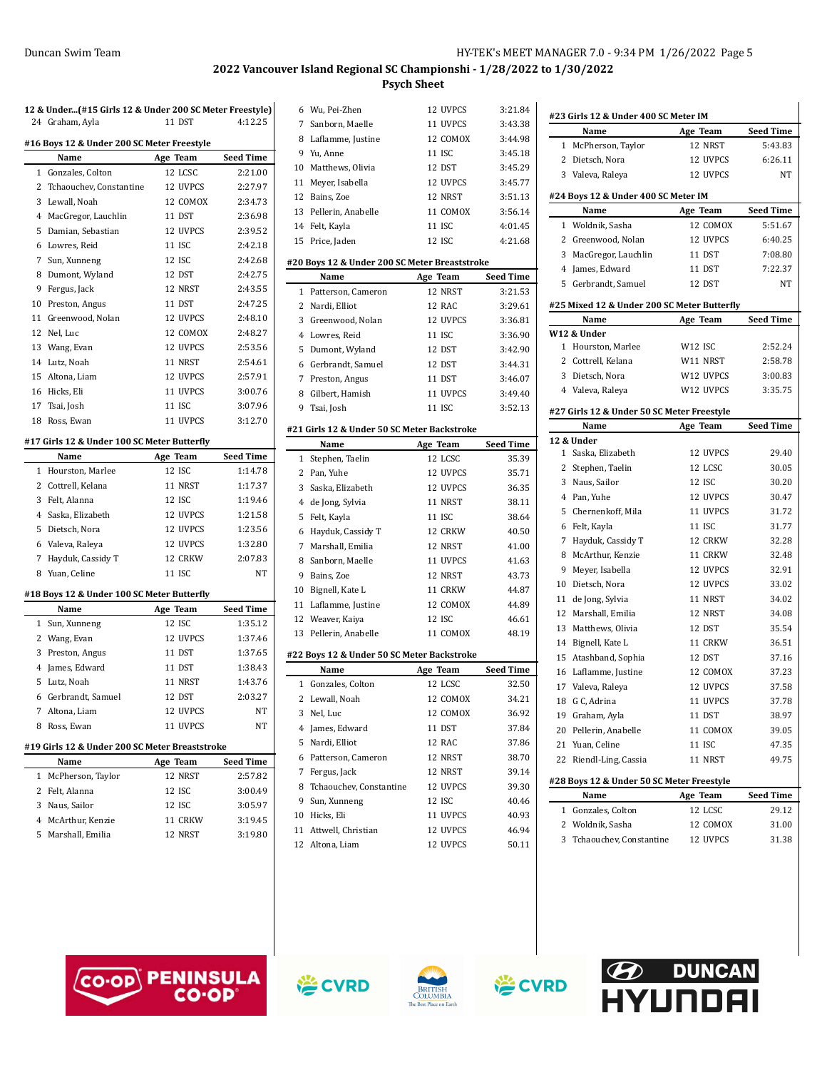| 12 & Under(#15 Girls 12 & Under 200 SC Meter Freestyle) |                                                |          |           |  |  |  |
|---------------------------------------------------------|------------------------------------------------|----------|-----------|--|--|--|
|                                                         | 24 Graham, Ayla                                | 11 DST   | 4:12.25   |  |  |  |
| #16 Boys 12 & Under 200 SC Meter Freestyle              |                                                |          |           |  |  |  |
|                                                         | Name                                           | Age Team | Seed Time |  |  |  |
| 1                                                       | Gonzales, Colton                               | 12 LCSC  | 2:21.00   |  |  |  |
|                                                         | 2 Tchaouchev, Constantine                      | 12 UVPCS | 2:27.97   |  |  |  |
|                                                         | 3 Lewall, Noah                                 | 12 COMOX | 2:34.73   |  |  |  |
|                                                         | 4 MacGregor, Lauchlin                          | 11 DST   | 2:36.98   |  |  |  |
| 5                                                       | Damian, Sebastian                              | 12 UVPCS | 2:39.52   |  |  |  |
|                                                         | 6 Lowres, Reid                                 | 11 ISC   | 2:42.18   |  |  |  |
| 7                                                       | Sun, Xunneng                                   | 12 ISC   | 2:42.68   |  |  |  |
|                                                         | 8 Dumont, Wyland                               | 12 DST   | 2:42.75   |  |  |  |
|                                                         | 9 Fergus, Jack                                 | 12 NRST  | 2:43.55   |  |  |  |
|                                                         | 10 Preston, Angus                              | 11 DST   | 2:47.25   |  |  |  |
|                                                         | 11 Greenwood, Nolan                            | 12 UVPCS | 2:48.10   |  |  |  |
|                                                         | 12 Nel, Luc                                    | 12 COMOX | 2:48.27   |  |  |  |
|                                                         | 13 Wang, Evan                                  | 12 UVPCS | 2:53.56   |  |  |  |
|                                                         | 14 Lutz, Noah                                  | 11 NRST  | 2:54.61   |  |  |  |
|                                                         | 15 Altona, Liam                                | 12 UVPCS | 2:57.91   |  |  |  |
|                                                         | 16 Hicks, Eli                                  | 11 UVPCS | 3:00.76   |  |  |  |
|                                                         | 17 Tsai, Josh                                  | 11 ISC   | 3:07.96   |  |  |  |
|                                                         | 18 Ross, Ewan                                  | 11 UVPCS | 3:12.70   |  |  |  |
|                                                         |                                                |          |           |  |  |  |
|                                                         | #17 Girls 12 & Under 100 SC Meter Butterfly    |          |           |  |  |  |
|                                                         | Name                                           | Age Team | Seed Time |  |  |  |
|                                                         | 1 Hourston, Marlee                             | 12 ISC   | 1:14.78   |  |  |  |
|                                                         | 2 Cottrell, Kelana                             | 11 NRST  | 1:17.37   |  |  |  |
|                                                         | 3 Felt, Alanna                                 | 12 ISC   | 1:19.46   |  |  |  |
|                                                         | 4 Saska, Elizabeth                             | 12 UVPCS | 1:21.58   |  |  |  |
|                                                         | 5 Dietsch, Nora                                | 12 UVPCS | 1:23.56   |  |  |  |
|                                                         | 6 Valeva, Raleya                               | 12 UVPCS | 1:32.80   |  |  |  |
|                                                         | 7 Hayduk, Cassidy T                            | 12 CRKW  | 2:07.83   |  |  |  |
|                                                         | 8 Yuan, Celine                                 | 11 ISC   | NT        |  |  |  |
|                                                         | #18 Boys 12 & Under 100 SC Meter Butterfly     |          |           |  |  |  |
|                                                         | Name                                           | Age Team | Seed Time |  |  |  |
| $\mathbf{1}$                                            | Sun, Xunneng                                   | 12 ISC   | 1:35.12   |  |  |  |
|                                                         | 2 Wang, Evan                                   | 12 UVPCS | 1:37.46   |  |  |  |
|                                                         | 3 Preston, Angus                               | 11 DST   | 1:37.65   |  |  |  |
|                                                         | 4 James, Edward                                | 11 DST   | 1:38.43   |  |  |  |
| 5                                                       | Lutz, Noah                                     | 11 NRST  | 1:43.76   |  |  |  |
|                                                         | 6 Gerbrandt, Samuel                            | 12 DST   | 2:03.27   |  |  |  |
| 7                                                       | Altona, Liam                                   | 12 UVPCS | NΤ        |  |  |  |
| 8                                                       | Ross, Ewan                                     | 11 UVPCS | NΤ        |  |  |  |
|                                                         |                                                |          |           |  |  |  |
|                                                         | #19 Girls 12 & Under 200 SC Meter Breaststroke |          |           |  |  |  |
|                                                         | Name                                           | Age Team | Seed Time |  |  |  |
| 1                                                       | McPherson, Taylor                              | 12 NRST  | 2:57.82   |  |  |  |
| 2                                                       | Felt, Alanna                                   | 12 ISC   | 3:00.49   |  |  |  |
| 3                                                       | Naus, Sailor                                   | 12 ISC   | 3:05.97   |  |  |  |
|                                                         | 4 McArthur, Kenzie                             | 11 CRKW  | 3:19.45   |  |  |  |
|                                                         | 5 Marshall, Emilia                             | 12 NRST  | 3:19.80   |  |  |  |
|                                                         |                                                |          |           |  |  |  |

|                | 6 Wu, Pei-Zhen                                     | 12 UVPCS             | 3:21.84          |
|----------------|----------------------------------------------------|----------------------|------------------|
| 7              | Sanborn, Maelle                                    | 11 UVPCS             | 3:43.38          |
|                | 8 Laflamme, Justine                                | 12 COMOX             | 3:44.98          |
|                | 9 Yu, Anne                                         | 11 ISC               | 3:45.18          |
|                | 10 Matthews, Olivia                                | 12 DST               | 3:45.29          |
| 11             | Meyer, Isabella                                    | 12 UVPCS             | 3:45.77          |
|                | 12 Bains, Zoe                                      | 12 NRST              | 3:51.13          |
|                | 13 Pellerin, Anabelle                              | 11 COMOX             | 3:56.14          |
|                | 14 Felt, Kayla                                     | 11 ISC               | 4:01.45          |
| 15             | Price, Jaden                                       | 12 ISC               | 4:21.68          |
|                | #20 Boys 12 & Under 200 SC Meter Breaststroke      |                      |                  |
|                | Name                                               | Age Team             | <b>Seed Time</b> |
| 1              | Patterson, Cameron                                 | 12 NRST              | 3:21.53          |
| 2              | Nardi, Elliot                                      | 12 RAC               | 3:29.61          |
| 3              | Greenwood, Nolan                                   | 12 UVPCS             | 3:36.81          |
|                | 4 Lowres, Reid                                     | 11 ISC               | 3:36.90          |
| 5              | Dumont, Wyland                                     | 12 DST               | 3:42.90          |
| 6              | Gerbrandt, Samuel                                  | 12 DST               | 3:44.31          |
| 7              | Preston, Angus                                     | 11 DST               | 3:46.07          |
| 8              | Gilbert, Hamish                                    | 11 UVPCS             | 3:49.40          |
| 9              | Tsai, Josh                                         | 11 ISC               | 3:52.13          |
|                | #21 Girls 12 & Under 50 SC Meter Backstroke        |                      |                  |
|                | Name                                               | Age Team             | <b>Seed Time</b> |
| 1              | Stephen, Taelin                                    | 12 LCSC              | 35.39            |
|                | 2 Pan, Yuhe                                        | 12 UVPCS             | 35.71            |
| 3              | Saska, Elizabeth                                   | 12 UVPCS             | 36.35            |
|                | 4 de Jong, Sylvia                                  | 11 NRST              | 38.11            |
| 5              | Felt, Kayla                                        | 11 ISC               | 38.64            |
| 6              | Hayduk, Cassidy T                                  | 12 CRKW              | 40.50            |
| $\overline{7}$ | Marshall, Emilia                                   | 12 NRST              | 41.00            |
| 8              | Sanborn, Maelle                                    | 11 UVPCS             | 41.63            |
| 9              | Bains, Zoe                                         | 12 NRST              | 43.73            |
| 10             | Bignell, Kate L                                    | 11 CRKW              | 44.87            |
| 11             | Laflamme, Justine                                  | 12 COMOX             | 44.89            |
|                | 12 Weaver, Kaiya                                   | 12 ISC               | 46.61            |
| 13             | Pellerin, Anabelle                                 | 11 COMOX             | 48.19            |
|                |                                                    |                      |                  |
|                | #22 Boys 12 & Under 50 SC Meter Backstroke<br>Name |                      |                  |
|                |                                                    | Age Team             | <b>Seed Time</b> |
| 1              | Gonzales, Colton                                   | 12 LCSC              | 32.50            |
| 2              | Lewall, Noah                                       | 12 COMOX             | 34.21            |
| 3              | Nel, Luc                                           | 12 COMOX             | 36.92            |
| 4              | James, Edward<br>Nardi, Elliot                     | 11 DST               | 37.84            |
| 5<br>6         | Patterson, Cameron                                 | 12 RAC<br>12 NRST    | 37.86<br>38.70   |
| 7              | Fergus, Jack                                       |                      |                  |
|                | Tchaouchev, Constantine                            | 12 NRST              | 39.14            |
| 8<br>9         |                                                    | 12 UVPCS<br>12 ISC   | 39.30            |
|                | Sun, Xunneng                                       | 11 UVPCS             | 40.46<br>40.93   |
| 10             | Hicks, Eli                                         |                      |                  |
| 11<br>12       | Attwell, Christian<br>Altona, Liam                 | 12 UVPCS<br>12 UVPCS | 46.94<br>50.11   |
|                |                                                    |                      |                  |

|                                             | #23 Girls 12 & Under 400 SC Meter IM       |                      |                             |  |
|---------------------------------------------|--------------------------------------------|----------------------|-----------------------------|--|
|                                             | Name                                       | Age Team<br>12 NRST  | <b>Seed Time</b><br>5:43.83 |  |
| 1                                           | McPherson, Taylor                          |                      |                             |  |
|                                             | 2 Dietsch, Nora                            | 12 UVPCS             | 6:26.11                     |  |
|                                             | 3 Valeva, Raleya                           | 12 UVPCS             | NT                          |  |
|                                             | #24 Boys 12 & Under 400 SC Meter IM        |                      |                             |  |
|                                             | Name                                       | Age Team             | <b>Seed Time</b>            |  |
|                                             | 1 Woldnik, Sasha                           | 12 COMOX             | 5:51.67                     |  |
|                                             | 2 Greenwood, Nolan                         | 12 UVPCS             | 6:40.25                     |  |
|                                             | 3 MacGregor, Lauchlin                      | 11 DST               | 7:08.80                     |  |
|                                             | 4 James, Edward                            | <b>11 DST</b>        | 7:22.37                     |  |
|                                             | 5 Gerbrandt, Samuel                        | <b>12 DST</b>        | NT                          |  |
| #25 Mixed 12 & Under 200 SC Meter Butterfly |                                            |                      |                             |  |
|                                             | Name                                       | Age Team             | <b>Seed Time</b>            |  |
|                                             | W12 & Under                                |                      |                             |  |
|                                             | 1 Hourston, Marlee                         | W <sub>12</sub> ISC  | 2:52.24                     |  |
|                                             | 2 Cottrell, Kelana                         | W11 NRST             | 2:58.78                     |  |
|                                             | 3 Dietsch. Nora                            | W12 UVPCS            | 3:00.83                     |  |
|                                             | 4 Valeva, Raleva                           | W12 UVPCS            | 3:35.75                     |  |
|                                             | #27 Girls 12 & Under 50 SC Meter Freestyle |                      |                             |  |
|                                             | Name                                       | Age Team             | <b>Seed Time</b>            |  |
|                                             | 12 & Under                                 |                      |                             |  |
|                                             | 1 Saska, Elizabeth                         | 12 UVPCS             | 29.40                       |  |
|                                             | 2 Stephen, Taelin                          | 12 LCSC              | 30.05                       |  |
|                                             | 3 Naus, Sailor                             | 12 ISC               | 30.20                       |  |
|                                             | 4 Pan, Yuhe                                | 12 UVPCS             | 30.47                       |  |
|                                             | 5 Chernenkoff, Mila                        | 11 UVPCS             | 31.72                       |  |
|                                             | 6 Felt, Kayla                              | 11 ISC               | 31.77                       |  |
|                                             | 7 Hayduk, Cassidy T                        | 12 CRKW              | 32.28                       |  |
|                                             | 8 McArthur, Kenzie                         | 11 CRKW              | 32.48                       |  |
|                                             | 9 Meyer, Isabella                          | 12 UVPCS             | 32.91                       |  |
|                                             | 10 Dietsch, Nora                           | 12 UVPCS             | 33.02                       |  |
|                                             | 11 de Jong, Sylvia                         | 11 NRST              | 34.02                       |  |
|                                             | 12 Marshall, Emilia                        | 12 NRST              | 34.08                       |  |
|                                             | 13 Matthews, Olivia                        | <b>12 DST</b>        | 35.54                       |  |
|                                             | 14 Bignell, Kate L                         | 11 CRKW              | 36.51                       |  |
|                                             | 15 Atashband, Sophia                       | <b>12 DST</b>        | 37.16                       |  |
|                                             | 16 Laflamme, Justine                       | 12 COMOX             | 37.23                       |  |
|                                             | 17 Valeva, Raleya                          | 12 UVPCS             | 37.58                       |  |
| 18                                          | G C, Adrina                                | 11 UVPCS             | 37.78                       |  |
| 19                                          |                                            | 11 DST               |                             |  |
|                                             | Graham, Ayla<br>Pellerin, Anabelle         |                      | 38.97                       |  |
| 20                                          |                                            | 11 COMOX             | 39.05                       |  |
| 21                                          | Yuan, Celine                               | 11 ISC               | 47.35                       |  |
| 22                                          | Riendl-Ling, Cassia                        | 11 NRST              | 49.75                       |  |
|                                             | #28 Boys 12 & Under 50 SC Meter Freestyle  |                      |                             |  |
|                                             | Name                                       | Age Team             | Seed Time                   |  |
| $\mathbf{1}$                                | Gonzales, Colton                           | 12 LCSC              | 29.12                       |  |
|                                             |                                            |                      |                             |  |
|                                             | 2 Woldnik, Sasha                           | 12 COMOX<br>12 UVPCS | 31.00                       |  |







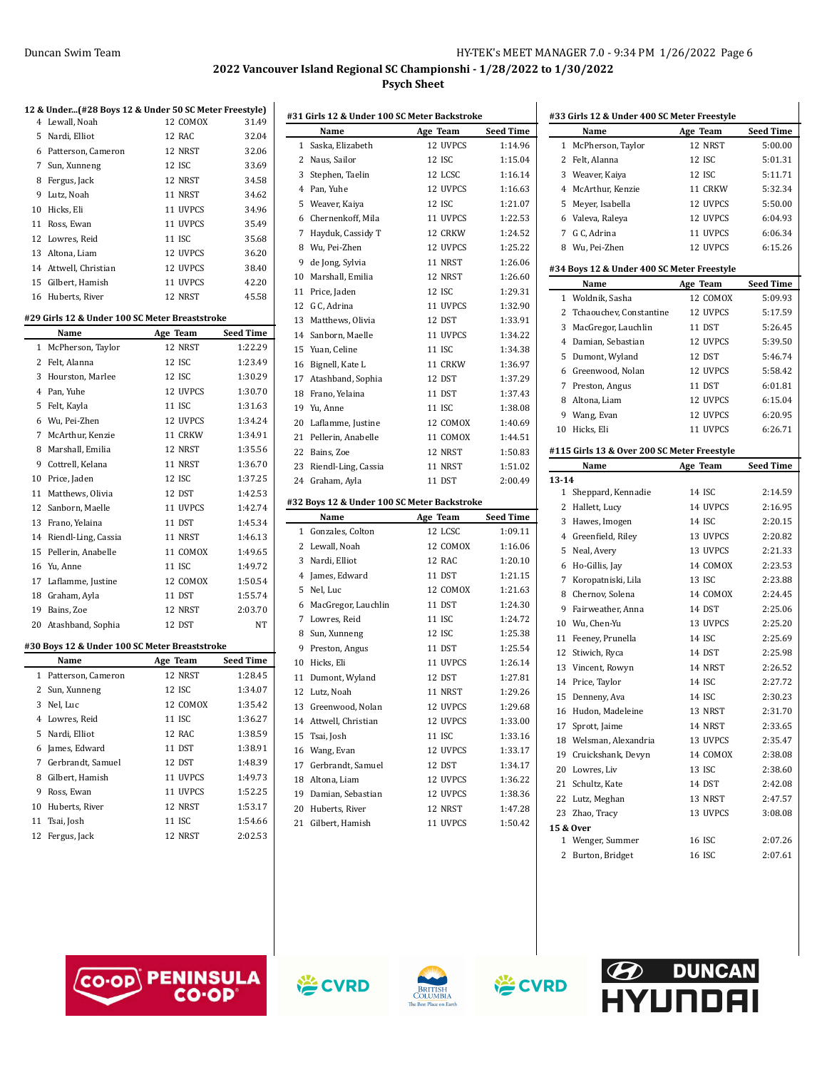|    | 12 & Under(#28 Boys 12 & Under 50 SC Meter Freestyle) |          |                  | #31            |
|----|-------------------------------------------------------|----------|------------------|----------------|
|    | 4 Lewall, Noah                                        | 12 COMOX | 31.49            |                |
| 5  | Nardi, Elliot                                         | 12 RAC   | 32.04            |                |
|    | 6 Patterson, Cameron                                  | 12 NRST  | 32.06            |                |
|    | 7 Sun, Xunneng                                        | 12 ISC   | 33.69            |                |
|    | 8 Fergus, Jack                                        | 12 NRST  | 34.58            |                |
|    | 9 Lutz, Noah                                          | 11 NRST  | 34.62            |                |
|    | 10 Hicks, Eli                                         | 11 UVPCS | 34.96            |                |
|    | 11 Ross, Ewan                                         | 11 UVPCS | 35.49            |                |
|    | 12 Lowres, Reid                                       | 11 ISC   | 35.68            |                |
|    | 13 Altona, Liam                                       | 12 UVPCS | 36.20            |                |
|    | 14 Attwell, Christian                                 | 12 UVPCS | 38.40            |                |
|    | 15 Gilbert, Hamish                                    | 11 UVPCS | 42.20            | $1\,$          |
|    | 16 Huberts, River                                     | 12 NRST  | 45.58            | $\mathbf{1}$   |
|    | #29 Girls 12 & Under 100 SC Meter Breaststroke        |          |                  | 1<br>1         |
|    | Name                                                  | Age Team | Seed Time        | 1 <sup>′</sup> |
| 1  | McPherson, Taylor                                     | 12 NRST  | 1:22.29          | 1!             |
|    | 2 Felt, Alanna                                        | 12 ISC   | 1:23.49          | $\mathbf{1}$   |
|    | 3 Hourston, Marlee                                    | 12 ISC   | 1:30.29          | $1^{\prime}$   |
|    | 4 Pan, Yuhe                                           | 12 UVPCS | 1:30.70          | 11             |
| 5  | Felt, Kayla                                           | 11 ISC   | 1:31.63          | $1^{\circ}$    |
|    | 6 Wu, Pei-Zhen                                        | 12 UVPCS | 1:34.24          | $\overline{2}$ |
| 7  | McArthur, Kenzie                                      | 11 CRKW  | 1:34.91          | $2^{\circ}$    |
| 8  | Marshall, Emilia                                      | 12 NRST  | 1:35.56          | 2:             |
|    | 9 Cottrell, Kelana                                    | 11 NRST  | 1:36.70          | 2:             |
|    | 10 Price, Jaden                                       | 12 ISC   | 1:37.25          |                |
|    | 11 Matthews, Olivia                                   | 12 DST   | 1:42.53          | 2,             |
|    | 12 Sanborn, Maelle                                    | 11 UVPCS | 1:42.74          | #32            |
|    | 13 Frano, Yelaina                                     | 11 DST   | 1:45.34          |                |
|    | 14 Riendl-Ling, Cassia                                | 11 NRST  | 1:46.13          |                |
|    | 15 Pellerin, Anabelle                                 | 11 COMOX | 1:49.65          |                |
|    | 16 Yu, Anne                                           | 11 ISC   | 1:49.72          |                |
|    | 17 Laflamme, Justine                                  | 12 COMOX | 1:50.54          |                |
|    | 18 Graham, Ayla                                       | 11 DST   | 1:55.74          |                |
|    | 19 Bains, Zoe                                         | 12 NRST  | 2:03.70          |                |
|    | 20 Atashband, Sophia                                  | 12 DST   | NT               |                |
|    |                                                       |          |                  |                |
|    | #30 Boys 12 & Under 100 SC Meter Breaststroke         |          |                  |                |
|    | Name                                                  | Age Team | <b>Seed Time</b> | 1 <sup>1</sup> |
|    | 1 Patterson, Cameron                                  | 12 NRST  | 1:28.45          | $\mathbf{1}$   |
|    | 2 Sun, Xunneng                                        | 12 ISC   | 1:34.07          | 1              |
|    | 3 Nel, Luc                                            | 12 COMOX | 1:35.42          | 1              |
|    | 4 Lowres, Reid                                        | 11 ISC   | 1:36.27          | $1\cdot$       |
| 5  | Nardi, Elliot                                         | 12 RAC   | 1:38.59          | 1!             |
| 6  | James, Edward                                         | 11 DST   | 1:38.91          | $\mathbf{1}$   |
| 7  | Gerbrandt, Samuel                                     | 12 DST   | 1:48.39          | $1^{\circ}$    |
| 8  | Gilbert, Hamish                                       | 11 UVPCS | 1:49.73          | $\mathbf{1}$   |
| 9  | Ross, Ewan                                            | 11 UVPCS | 1:52.25          | $1^{\prime}$   |
| 10 | Huberts, River                                        | 12 NRST  | 1:53.17          | $\overline{2}$ |
| 11 | Tsai, Josh                                            | 11 ISC   | 1:54.66          | $\overline{c}$ |
| 12 | Fergus, Jack                                          | 12 NRST  | 2:02.53          |                |
|    |                                                       |          |                  |                |

| #31 Girls 12 & Under 100 SC Meter Backstroke |                                             |                     |                    |
|----------------------------------------------|---------------------------------------------|---------------------|--------------------|
|                                              | Name                                        | Age Team            | <b>Seed Time</b>   |
| 1                                            | Saska, Elizabeth                            | 12 UVPCS            | 1:14.96            |
|                                              | 2 Naus, Sailor                              | 12 ISC              | 1:15.04            |
|                                              | 3 Stephen, Taelin                           | 12 LCSC             | 1:16.14            |
|                                              | 4 Pan, Yuhe                                 | 12 UVPCS            | 1:16.63            |
|                                              | 5 Weaver, Kaiya                             | 12 ISC              | 1:21.07            |
|                                              | 6 Chernenkoff, Mila                         | 11 UVPCS            | 1:22.53            |
| 7                                            | Hayduk, Cassidy T                           | 12 CRKW             | 1:24.52            |
|                                              | 8 Wu, Pei-Zhen                              | 12 UVPCS            | 1:25.22            |
|                                              | 9 de Jong, Sylvia                           | 11 NRST             | 1:26.06            |
|                                              | 10 Marshall, Emilia                         | 12 NRST             | 1:26.60            |
|                                              | 11 Price, Jaden                             | 12 ISC              | 1:29.31            |
|                                              | 12 G C, Adrina                              | 11 UVPCS            | 1:32.90            |
|                                              | 13 Matthews, Olivia                         | 12 DST              | 1:33.91            |
|                                              | 14 Sanborn, Maelle                          | 11 UVPCS            | 1:34.22            |
|                                              | 15 Yuan, Celine                             | 11 ISC              | 1:34.38            |
|                                              | 16 Bignell, Kate L                          | 11 CRKW             | 1:36.97            |
| 17                                           | Atashband, Sophia                           | 12 DST              | 1:37.29            |
|                                              | 18 Frano, Yelaina                           | 11 DST              | 1:37.43            |
|                                              | 19 Yu, Anne                                 | 11 ISC              | 1:38.08            |
|                                              | 20 Laflamme, Justine                        | 12 COMOX            | 1:40.69            |
|                                              | 21 Pellerin, Anabelle                       | 11 COMOX            | 1:44.51            |
|                                              | 22 Bains, Zoe                               | 12 NRST             | 1:50.83            |
|                                              | 23 Riendl-Ling, Cassia                      | 11 NRST             | 1:51.02            |
|                                              |                                             |                     |                    |
|                                              | 24 Graham, Ayla                             | 11 DST              | 2:00.49            |
|                                              | #32 Boys 12 & Under 100 SC Meter Backstroke |                     |                    |
|                                              | Name                                        | Age Team            | Seed Time          |
|                                              | 1 Gonzales, Colton                          | 12 LCSC             | 1:09.11            |
|                                              | 2 Lewall, Noah                              | 12 COMOX            | 1:16.06            |
|                                              | 3 Nardi, Elliot                             | 12 RAC              | 1:20.10            |
|                                              | 4 James, Edward                             | 11 DST              | 1:21.15            |
| 5                                            | Nel, Luc                                    | 12 COMOX            | 1:21.63            |
|                                              | 6 MacGregor, Lauchlin                       | 11 DST              | 1:24.30            |
|                                              | 7 Lowres, Reid                              | 11 ISC              | 1:24.72            |
|                                              | 8 Sun, Xunneng                              | 12 ISC              | 1:25.38            |
|                                              | 9 Preston, Angus                            | 11 DST              | 1:25.54            |
|                                              | 10 Hicks, Eli                               | 11 UVPCS            | 1:26.14            |
|                                              | 11 Dumont, Wyland                           | 12 DST              | 1:27.81            |
|                                              | 12 Lutz, Noah                               | 11 NRST             | 1:29.26            |
| 13                                           | Greenwood, Nolan                            | 12 UVPCS            | 1:29.68            |
|                                              | 14 Attwell, Christian                       | 12 UVPCS            | 1:33.00            |
| 15                                           | Tsai, Josh                                  | 11 ISC              | 1:33.16            |
| 16                                           | Wang, Evan                                  | 12 UVPCS            | 1:33.17            |
| 17                                           | Gerbrandt, Samuel                           | 12 DST              | 1:34.17            |
|                                              | 18 Altona, Liam                             | 12 UVPCS            | 1:36.22            |
|                                              | 19 Damian, Sebastian                        | 12 UVPCS            | 1:38.36            |
| 21                                           | 20 Huberts, River<br>Gilbert, Hamish        | 12 NRST<br>11 UVPCS | 1:47.28<br>1:50.42 |

| #33 Girls 12 & Under 400 SC Meter Freestyle |                                             |          |                  |
|---------------------------------------------|---------------------------------------------|----------|------------------|
|                                             | Name                                        | Age Team | <b>Seed Time</b> |
| 1                                           | McPherson, Taylor                           | 12 NRST  | 5:00.00          |
| 2                                           | Felt, Alanna                                | 12 ISC   | 5:01.31          |
|                                             | 3 Weaver, Kaiya                             | 12 ISC   | 5:11.71          |
|                                             | 4 McArthur, Kenzie                          | 11 CRKW  | 5:32.34          |
|                                             | 5 Meyer, Isabella                           | 12 UVPCS | 5:50.00          |
|                                             | 6 Valeva, Raleya                            | 12 UVPCS | 6:04.93          |
|                                             | 7 G C, Adrina                               | 11 UVPCS | 6:06.34          |
|                                             | 8 Wu, Pei-Zhen                              | 12 UVPCS | 6:15.26          |
|                                             | #34 Boys 12 & Under 400 SC Meter Freestyle  |          |                  |
|                                             | Name                                        | Age Team | <b>Seed Time</b> |
| 1                                           | Woldnik, Sasha                              | 12 COMOX | 5:09.93          |
|                                             | 2 Tchaouchev, Constantine                   | 12 UVPCS | 5:17.59          |
|                                             | 3 MacGregor, Lauchlin                       | 11 DST   | 5:26.45          |
|                                             | 4 Damian, Sebastian                         | 12 UVPCS | 5:39.50          |
|                                             | 5 Dumont, Wyland                            | 12 DST   | 5:46.74          |
|                                             | 6 Greenwood, Nolan                          | 12 UVPCS | 5:58.42          |
|                                             | 7 Preston, Angus                            | 11 DST   | 6:01.81          |
|                                             | 8 Altona, Liam                              | 12 UVPCS | 6:15.04          |
|                                             | 9 Wang, Evan                                | 12 UVPCS | 6:20.95          |
| 10                                          | Hicks, Eli                                  | 11 UVPCS | 6:26.71          |
|                                             | #115 Girls 13 & Over 200 SC Meter Freestyle |          |                  |
|                                             | Name                                        | Age Team | <b>Seed Time</b> |
| $13 - 14$                                   |                                             |          |                  |
|                                             | 1 Sheppard, Kennadie                        | 14 ISC   | 2:14.59          |
|                                             | 2 Hallett, Lucy                             | 14 UVPCS | 2:16.95          |
|                                             | 3 Hawes, Imogen                             | 14 ISC   | 2:20.15          |
|                                             | 4 Greenfield, Riley                         | 13 UVPCS | 2:20.82          |
| 5                                           | Neal, Avery                                 | 13 UVPCS | 2:21.33          |
|                                             | 6 Ho-Gillis, Jay                            | 14 COMOX | 2:23.53          |
|                                             | 7 Koropatniski, Lila                        | 13 ISC   | 2:23.88          |
|                                             | 8 Chernov, Solena                           | 14 COMOX | 2:24.45          |
| 9                                           | Fairweather, Anna                           | 14 DST   | 2:25.06          |
|                                             | 10 Wu, Chen-Yu                              | 13 UVPCS | 2:25.20          |
| 11                                          | Feeney, Prunella                            | 14 ISC   | 2:25.69          |
|                                             | 12 Stiwich, Ryca                            | 14 DST   | 2:25.98          |
|                                             | 13 Vincent, Rowyn                           | 14 NRST  | 2:26.52          |
|                                             | 14 Price, Taylor                            | 14 ISC   | 2:27.72          |
| 15                                          | Denneny, Ava                                | 14 ISC   | 2:30.23          |
| 16                                          | Hudon, Madeleine                            | 13 NRST  | 2:31.70          |
| 17                                          | Sprott, Jaime                               | 14 NRST  | 2:33.65          |
|                                             | 18 Welsman, Alexandria                      | 13 UVPCS | 2:35.47          |
|                                             | 19 Cruickshank, Devyn                       | 14 COMOX | 2:38.08          |
|                                             | 20 Lowres, Liv                              | 13 ISC   | 2:38.60          |
|                                             | 21 Schultz, Kate                            | 14 DST   | 2:42.08          |
|                                             | 22 Lutz, Meghan                             | 13 NRST  | 2:47.57          |
|                                             |                                             | 13 UVPCS | 3:08.08          |
| 23                                          |                                             |          |                  |
|                                             | Zhao, Tracy<br>15 & Over                    |          |                  |
|                                             | 1 Wenger, Summer                            | 16 ISC   | 2:07.26          |







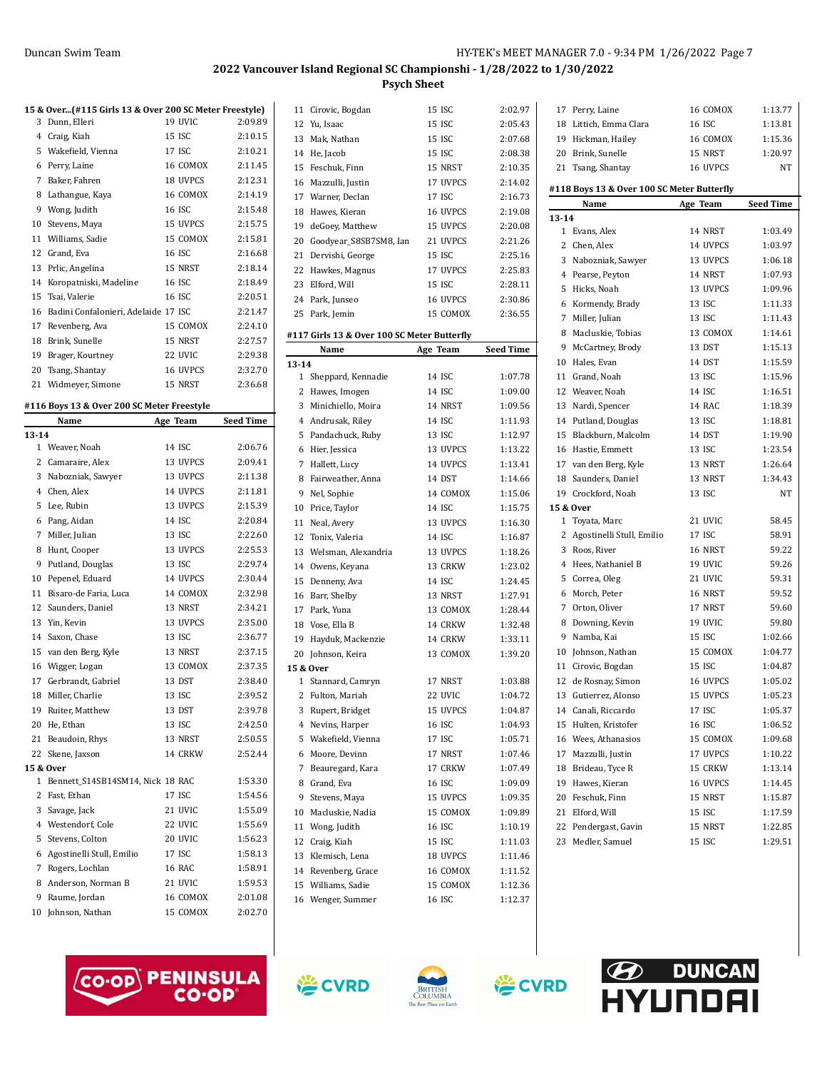$\overline{a}$ 

#### **2022 Vancouver Island Regional SC Championshi - 1/28/2022 to 1/30/2022 Psych Sheet**

|    | 15 & Over(#115 Girls 13 & Over 200 SC Meter Freestyle) |          |         |
|----|--------------------------------------------------------|----------|---------|
| 3  | Dunn, Elleri                                           | 19 UVIC  | 2:09.89 |
| 4  | Craig, Kiah                                            | 15 ISC   | 2:10.15 |
| 5  | Wakefield, Vienna                                      | 17 ISC   | 2:10.21 |
| 6  | Perry, Laine                                           | 16 COMOX | 2:11.45 |
| 7  | Baker, Fahren                                          | 18 UVPCS | 2:12.31 |
| 8  | Lathangue, Kaya                                        | 16 COMOX | 2:14.19 |
| 9  | Wong, Judith                                           | 16 ISC   | 2:15.48 |
| 10 | Stevens, Maya                                          | 15 UVPCS | 2:15.75 |
| 11 | Williams, Sadie                                        | 15 COMOX | 2:15.81 |
| 12 | Grand, Eva                                             | 16 ISC   | 2:16.68 |
| 13 | Prlic, Angelina                                        | 15 NRST  | 2:18.14 |
| 14 | Koropatniski, Madeline                                 | 16 ISC   | 2:18.49 |
| 15 | Tsai, Valerie                                          | 16 ISC   | 2:20.51 |
| 16 | Badini Confalonieri, Adelaide 17 ISC                   |          | 2:21.47 |
| 17 | Revenberg, Ava                                         | 15 COMOX | 2:24.10 |
| 18 | Brink, Sunelle                                         | 15 NRST  | 2:27.57 |
| 19 | Brager, Kourtney                                       | 22 UVIC  | 2:29.38 |
| 20 | Tsang, Shantay                                         | 16 UVPCS | 2:32.70 |
| 21 | Widmeyer, Simone                                       | 15 NRST  | 2:36.68 |
|    | #116 Boys 13 & Over 200 SC Meter Freestyle             |          |         |

|                | Name                             | Age Team      | <b>Seed Time</b> |
|----------------|----------------------------------|---------------|------------------|
| $13 - 14$      |                                  |               |                  |
|                | 1 Weaver, Noah                   | 14 ISC        | 2:06.76          |
| 2              | Camaraire, Alex                  | 13 UVPCS      | 2:09.41          |
| 3              | Nabozniak, Sawyer                | 13 UVPCS      | 2:11.38          |
|                | 4 Chen, Alex                     | 14 UVPCS      | 2:11.81          |
| 5              | Lee, Rubin                       | 13 UVPCS      | 2:15.39          |
| 6              | Pang, Aidan                      | 14 ISC        | 2:20.84          |
| 7              | Miller, Julian                   | 13 ISC        | 2:22.60          |
| 8              | Hunt, Cooper                     | 13 UVPCS      | 2:25.53          |
| 9              | Putland, Douglas                 | 13 ISC        | 2:29.74          |
| 10             | Pepenel, Eduard                  | 14 UVPCS      | 2:30.44          |
| 11             | Bisaro-de Faria, Luca            | 14 COMOX      | 2:32.98          |
| 12             | Saunders, Daniel                 | 13 NRST       | 2:34.21          |
| 13             | Yin. Kevin                       | 13 UVPCS      | 2:35.00          |
| 14             | Saxon, Chase                     | 13 ISC        | 2:36.77          |
| 15             | van den Berg, Kyle               | 13 NRST       | 2:37.15          |
| 16             | Wigger, Logan                    | 13 COMOX      | 2:37.35          |
| 17             | Gerbrandt, Gabriel               | 13 DST        | 2:38.40          |
|                | 18 Miller, Charlie               | 13 ISC        | 2:39.52          |
| 19             | Ruiter, Matthew                  | 13 DST        | 2:39.78          |
|                | 20 He, Ethan                     | 13 ISC        | 2:42.50          |
| 21             | Beaudoin, Rhys                   | 13 NRST       | 2:50.55          |
| 22             | Skene, Jaxson                    | 14 CRKW       | 2:52.44          |
|                | 15 & Over                        |               |                  |
| 1              | Bennett_S14SB14SM14, Nick 18 RAC |               | 1:53.30          |
| 2              | Fast, Ethan                      | 17 ISC        | 1:54.56          |
| 3              | Savage, Jack                     | 21 UVIC       | 1:55.09          |
| $\overline{4}$ | Westendorf, Cole                 | 22 UVIC       | 1:55.69          |
| 5              | Stevens, Colton                  | 20 UVIC       | 1:56.23          |
| 6              | Agostinelli Stull, Emilio        | 17 ISC        | 1:58.13          |
| 7              | Rogers, Lochlan                  | <b>16 RAC</b> | 1:58.91          |
| 8              | Anderson, Norman B               | 21 UVIC       | 1:59.53          |
| 9              | Raume, Jordan                    | 16 COMOX      | 2:01.08          |
| 10             | Johnson, Nathan                  | 15 COMOX      | 2:02.70          |

|              |                                             | rsych mieet |                  |
|--------------|---------------------------------------------|-------------|------------------|
|              | 11 Cirovic, Bogdan                          | 15 ISC      | 2:02.97          |
| 12           | Yu, Isaac                                   | 15 ISC      | 2:05.43          |
| 13           | Mak, Nathan                                 | 15 ISC      | 2:07.68          |
|              | 14 He, Jacob                                | 15 ISC      | 2:08.38          |
|              | 15 Feschuk, Finn                            | 15 NRST     | 2:10.35          |
|              | 16 Mazzulli, Justin                         | 17 UVPCS    | 2:14.02          |
|              | 17 Warner, Declan                           | 17 ISC      | 2:16.73          |
| 18           | Hawes, Kieran                               | 16 UVPCS    | 2:19.08          |
| 19           | deGoey, Matthew                             | 15 UVPCS    | 2:20.08          |
| 20           | Goodyear_S8SB7SM8, Ian                      | 21 UVPCS    | 2:21.26          |
|              | 21 Dervishi, George                         | 15 ISC      | 2:25.16          |
| 22           | Hawkes, Magnus                              | 17 UVPCS    | 2:25.83          |
| 23           | Elford, Will                                | 15 ISC      | 2:28.11          |
|              | 24 Park, Junseo                             | 16 UVPCS    | 2:30.86          |
|              | 25 Park, Jemin                              | 15 COMOX    | 2:36.55          |
|              | #117 Girls 13 & Over 100 SC Meter Butterfly |             |                  |
|              | Name                                        | Age Team    | <b>Seed Time</b> |
| $13 - 14$    |                                             |             |                  |
|              | 1 Sheppard, Kennadie                        | 14 ISC      | 1:07.78          |
|              | 2 Hawes, Imogen                             | 14 ISC      | 1:09.00          |
| 3            | Minichiello, Moira                          | 14 NRST     | 1:09.56          |
|              | 4 Andrusak, Riley                           | 14 ISC      | 1:11.93          |
|              | 5 Pandachuck, Ruby                          | 13 ISC      | 1:12.97          |
|              | 6 Hier, Jessica                             | 13 UVPCS    | 1:13.22          |
|              | 7 Hallett, Lucy                             | 14 UVPCS    | 1:13.41          |
| 8            | Fairweather, Anna                           | 14 DST      | 1:14.66          |
|              | 9 Nel, Sophie                               | 14 COMOX    | 1:15.06          |
|              | 10 Price, Taylor                            | 14 ISC      | 1:15.75          |
|              | 11 Neal, Avery                              | 13 UVPCS    | 1:16.30          |
|              | 12 Tonix, Valeria                           | 14 ISC      | 1:16.87          |
| 13           | Welsman, Alexandria                         | 13 UVPCS    | 1:18.26          |
|              | 14 Owens, Keyana                            | 13 CRKW     | 1:23.02          |
| 15           | Denneny, Ava                                | 14 ISC      | 1:24.45          |
|              | 16 Barr, Shelby                             | 13 NRST     | 1:27.91          |
|              | 17 Park, Yuna                               | 13 COMOX    | 1:28.44          |
|              | 18 Vose, Ella B                             | 14 CRKW     | 1:32.48          |
|              | 19 Hayduk, Mackenzie                        | 14 CRKW     | 1:33.11          |
|              | 20 Johnson, Keira                           | 13 COMOX    | 1:39.20          |
|              | 15 & Over                                   |             |                  |
| $\mathbf{1}$ | Stannard, Camryn                            | 17 NRST     | 1:03.88          |
| 2            | Fulton, Mariah                              | 22 UVIC     | 1:04.72          |
| 3            | Rupert, Bridget                             | 15 UVPCS    | 1:04.87          |
| 4            | Nevins, Harper                              | 16 ISC      | 1:04.93          |
| 5            | Wakefield, Vienna                           | 17 ISC      | 1:05.71          |
| 6            | Moore, Devinn                               | 17 NRST     | 1:07.46          |
| 7            | Beauregard, Kara                            | 17 CRKW     | 1:07.49          |
| 8            | Grand, Eva                                  | 16 ISC      | 1:09.09          |
| 9            | Stevens, Maya                               | 15 UVPCS    | 1:09.35          |
|              | 10 Macluskie, Nadia                         | 15 COMOX    | 1:09.89          |
| 11           | Wong, Judith                                | 16 ISC      | 1:10.19          |
|              | 12 Craig, Kiah                              | 15 ISC      | 1:11.03          |
|              | 13 Klemisch, Lena                           | 18 UVPCS    | 1:11.46          |
|              | 14 Revenberg, Grace                         | 16 COMOX    | 1:11.52          |
| 15           | Williams, Sadie                             | 15 COMOX    | 1:12.36          |
|              | 16 Wenger, Summer                           | 16 ISC      | 1:12.37          |
|              |                                             |             |                  |

| 17        | Perry, Laine                               | 16 COMOX | 1:13.77   |
|-----------|--------------------------------------------|----------|-----------|
|           | 18 Littich, Emma Clara                     | 16 ISC   | 1:13.81   |
|           | 19 Hickman, Hailey                         | 16 COMOX | 1:15.36   |
|           | 20 Brink, Sunelle                          | 15 NRST  | 1:20.97   |
|           | 21 Tsang, Shantay                          | 16 UVPCS | NΤ        |
|           | #118 Boys 13 & Over 100 SC Meter Butterfly |          |           |
|           | Name                                       | Age Team | Seed Time |
| $13 - 14$ |                                            |          |           |
|           | 1 Evans, Alex                              | 14 NRST  | 1:03.49   |
|           | 2 Chen, Alex                               | 14 UVPCS | 1:03.97   |
|           | 3 Nabozniak, Sawyer                        | 13 UVPCS | 1:06.18   |
|           | 4 Pearse, Peyton                           | 14 NRST  | 1:07.93   |
|           | 5 Hicks, Noah                              | 13 UVPCS | 1:09.96   |
|           | 6 Kormendy, Brady                          | 13 ISC   | 1:11.33   |
|           | 7 Miller, Julian                           | 13 ISC   | 1:11.43   |
|           | 8 Macluskie, Tobias                        | 13 COMOX | 1:14.61   |
|           | 9 McCartney, Brody                         | 13 DST   | 1:15.13   |
|           | 10 Hales, Evan                             | 14 DST   | 1:15.59   |
|           | 11 Grand, Noah                             | 13 ISC   | 1:15.96   |
|           | 12 Weaver, Noah                            | 14 ISC   | 1:16.51   |
|           | 13 Nardi, Spencer                          | 14 RAC   | 1:18.39   |
|           | 14 Putland, Douglas                        | 13 ISC   | 1:18.81   |
|           | 15 Blackburn, Malcolm                      | 14 DST   | 1:19.90   |
|           | 16 Hastie, Emmett                          | 13 ISC   | 1:23.54   |
|           | 17 van den Berg, Kyle                      | 13 NRST  | 1:26.64   |
|           | 18 Saunders, Daniel                        | 13 NRST  | 1:34.43   |
|           | 19 Crockford, Noah                         | 13 ISC   | NT        |
|           | 15 & Over                                  |          |           |
|           | 1 Toyata, Marc                             | 21 UVIC  | 58.45     |
|           | 2 Agostinelli Stull, Emilio                | 17 ISC   | 58.91     |
|           | 3 Roos, River                              | 16 NRST  | 59.22     |
|           | 4 Hees, Nathaniel B                        | 19 UVIC  | 59.26     |
|           | 5 Correa, Oleg                             | 21 UVIC  | 59.31     |
|           | 6 Morch, Peter                             | 16 NRST  | 59.52     |
|           | 7 Orton, Oliver                            | 17 NRST  | 59.60     |
|           | 8 Downing, Kevin                           | 19 UVIC  | 59.80     |
|           | 9 Namba, Kai                               | 15 ISC   | 1:02.66   |
|           | 10 Johnson, Nathan                         | 15 COMOX | 1:04.77   |
|           | 11 Cirovic, Bogdan                         | 15 ISC   | 1:04.87   |
|           | 12 de Rosnay, Simon                        | 16 UVPCS | 1:05.02   |
|           | 13 Gutierrez, Alonso                       | 15 UVPCS | 1:05.23   |
|           | 14 Canali, Riccardo                        | 17 ISC   | 1:05.37   |
| 15        | Hulten, Kristofer                          | 16 ISC   | 1:06.52   |
| 16        | Wees, Athanasios                           | 15 COMOX | 1:09.68   |
| 17        | Mazzulli, Justin                           | 17 UVPCS | 1:10.22   |
|           | 18 Brideau, Tyce R                         | 15 CRKW  | 1:13.14   |
| 19        | Hawes, Kieran                              | 16 UVPCS | 1:14.45   |
|           | 20 Feschuk, Finn                           | 15 NRST  | 1:15.87   |
|           | 21 Elford, Will                            | 15 ISC   | 1:17.59   |
|           | 22 Pendergast, Gavin                       | 15 NRST  | 1:22.85   |
| 23        | Medler, Samuel                             | 15 ISC   | 1:29.51   |







**巻CVRD** 

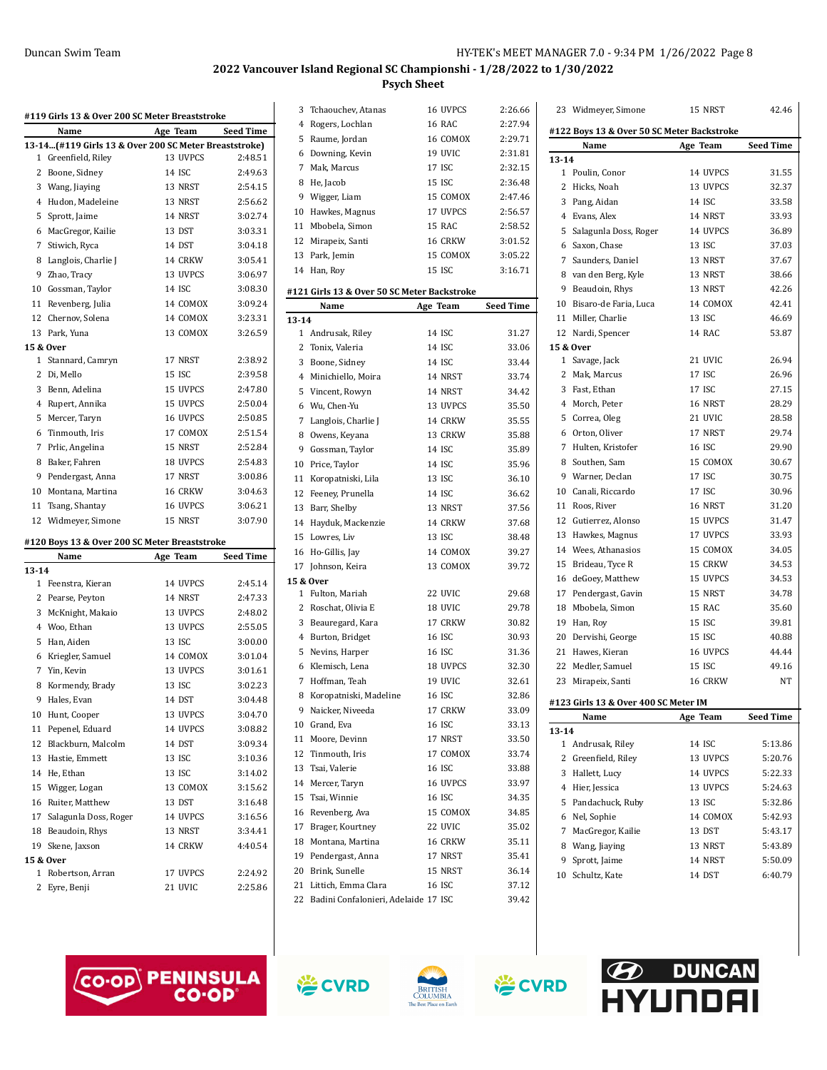| #119 Girls 13 & Over 200 SC Meter Breaststroke |                                                       |          |                  |
|------------------------------------------------|-------------------------------------------------------|----------|------------------|
|                                                | Name                                                  | Age Team | <b>Seed Time</b> |
|                                                | 13-14(#119 Girls 13 & Over 200 SC Meter Breaststroke) |          |                  |
| 1                                              | Greenfield, Riley                                     | 13 UVPCS | 2:48.51          |
| 2                                              | Boone, Sidney                                         | 14 ISC   | 2:49.63          |
| 3                                              | Wang, Jiaying                                         | 13 NRST  | 2:54.15          |
| $\overline{4}$                                 | Hudon, Madeleine                                      | 13 NRST  | 2:56.62          |
| 5                                              | Sprott, Jaime                                         | 14 NRST  | 3:02.74          |
| 6                                              | MacGregor, Kailie                                     | 13 DST   | 3:03.31          |
| 7                                              | Stiwich, Ryca                                         | 14 DST   | 3:04.18          |
| 8                                              | Langlois, Charlie J                                   | 14 CRKW  | 3:05.41          |
| 9                                              | Zhao, Tracy                                           | 13 UVPCS | 3:06.97          |
|                                                | 10 Gossman, Taylor                                    | 14 ISC   | 3:08.30          |
|                                                | 11 Revenberg, Julia                                   | 14 COMOX | 3:09.24          |
|                                                | 12 Chernov, Solena                                    | 14 COMOX | 3:23.31          |
| 13                                             | Park, Yuna                                            | 13 COMOX | 3:26.59          |
|                                                | 15 & Over                                             |          |                  |
| 1                                              | Stannard, Camryn                                      | 17 NRST  | 2:38.92          |
| $\overline{2}$                                 | Di, Mello                                             | 15 ISC   | 2:39.58          |
| 3                                              | Benn, Adelina                                         | 15 UVPCS | 2:47.80          |
| 4                                              | Rupert, Annika                                        | 15 UVPCS | 2:50.04          |
| 5                                              | Mercer, Taryn                                         | 16 UVPCS | 2:50.85          |
| 6                                              | Tinmouth, Iris                                        | 17 COMOX | 2:51.54          |
| 7                                              | Prlic, Angelina                                       | 15 NRST  | 2:52.84          |
| 8                                              | Baker, Fahren                                         | 18 UVPCS | 2:54.83          |
| 9                                              | Pendergast, Anna                                      | 17 NRST  | 3:00.86          |
| 10                                             | Montana, Martina                                      | 16 CRKW  | 3:04.63          |
| 11                                             | Tsang, Shantay                                        | 16 UVPCS | 3:06.21          |
| 12                                             | Widmeyer, Simone                                      | 15 NRST  | 3:07.90          |
|                                                | #120 Boys 13 & Over 200 SC Meter Breaststroke         |          |                  |
|                                                | Name                                                  | Age Team | <b>Seed Time</b> |
| $13 - 14$                                      |                                                       |          |                  |
| $\mathbf{1}$                                   | Feenstra, Kieran                                      | 14 UVPCS | 2:45.14          |
| 2                                              | Pearse, Peyton                                        | 14 NRST  | 2:47.33          |
| 3                                              | McKnight, Makaio                                      | 13 UVPCS | 2:48.02          |
|                                                | 4 Woo, Ethan                                          | 13 UVPCS | 2:55.05          |
| 5                                              | Han, Aiden                                            | 13 ISC   | 3:00.00          |
| 6                                              | Kriegler, Samuel                                      | 14 COMOX | 3:01.04          |
|                                                | 7 Yin, Kevin                                          | 13 UVPCS | 3:01.61          |
| 8                                              | Kormendy, Brady                                       | 13 ISC   | 3:02.23          |
| 9                                              | Hales, Evan                                           | 14 DST   | 3:04.48          |
| 10 <sup>°</sup>                                | Hunt, Cooper                                          | 13 UVPCS | 3:04.70          |
| 11                                             | Pepenel, Eduard                                       | 14 UVPCS | 3:08.82          |
| 12                                             | Blackburn, Malcolm                                    | 14 DST   | 3:09.34          |
| 13                                             | Hastie, Emmett                                        | 13 ISC   | 3:10.36          |
| 14                                             | He, Ethan                                             | 13 ISC   | 3:14.02          |
|                                                |                                                       |          |                  |

| 3<br>Tchaouchev, Atanas<br><b>16 RAC</b><br>4<br>Rogers, Lochlan<br>5<br>Raume, Jordan<br>Downing, Kevin<br>6<br>17 ISC<br>7 Mak, Marcus<br>15 ISC<br>8<br>He, Jacob<br>9<br>Wigger, Liam<br>10<br>Hawkes, Magnus<br>11 Mbobela, Simon<br>15 RAC<br>12 Mirapeix, Santi<br>13 Park, Jemin<br>15 ISC<br>14 Han, Roy<br>#121 Girls 13 & Over 50 SC Meter Backstroke<br>Age Team<br>Name<br>$13 - 14$<br>1 Andrusak, Riley<br>14 ISC<br>2 Tonix, Valeria<br>14 ISC<br>3 Boone, Sidney<br>14 ISC<br>4 Minichiello, Moira<br>14 NRST<br>5<br>Vincent, Rowyn<br>Wu, Chen-Yu<br>6<br>7<br>Langlois, Charlie J<br>8<br>Owens, Keyana<br>9<br>Gossman, Taylor<br>14 ISC<br>14 ISC<br>10 Price, Taylor<br>13 ISC<br>11 Koropatniski, Lila<br>12 Feeney, Prunella<br>14 ISC<br>13 Barr, Shelby<br>14 Hayduk, Mackenzie<br>15 Lowres, Liv<br>13 ISC<br>16<br>Ho-Gillis, Jay<br>17 Johnson, Keira<br>15 & Over<br>1 Fulton, Mariah<br>2<br>Roschat, Olivia E<br>3 Beauregard, Kara<br>16 ISC<br>4<br>Burton, Bridget<br>5<br>16 ISC<br>Nevins, Harper<br>6<br>Klemisch, Lena<br>7 Hoffman, Teah<br>8 Koropatniski, Madeline<br>16 ISC<br>9 Naicker, Niveeda<br>10 Grand, Eva<br>16 ISC<br>11 Moore, Devinn<br>12 Tinmouth, Iris<br>16 ISC<br>13 Tsai, Valerie<br>14<br>Mercer, Taryn<br>15 Tsai, Winnie<br>16 ISC | 16 UVPCS<br>2:26.66<br>2:27.94<br>16 COMOX<br>2:29.71<br>19 UVIC<br>2:31.81<br>2:32.15<br>2:36.48<br>15 COMOX<br>2:47.46<br>17 UVPCS<br>2:56.57<br>2:58.52<br>16 CRKW<br>3 01.52<br>15 COMOX<br>3:05.22<br>3:16.71 |
|-----------------------------------------------------------------------------------------------------------------------------------------------------------------------------------------------------------------------------------------------------------------------------------------------------------------------------------------------------------------------------------------------------------------------------------------------------------------------------------------------------------------------------------------------------------------------------------------------------------------------------------------------------------------------------------------------------------------------------------------------------------------------------------------------------------------------------------------------------------------------------------------------------------------------------------------------------------------------------------------------------------------------------------------------------------------------------------------------------------------------------------------------------------------------------------------------------------------------------------------------------------------------------------------------------|--------------------------------------------------------------------------------------------------------------------------------------------------------------------------------------------------------------------|
|                                                                                                                                                                                                                                                                                                                                                                                                                                                                                                                                                                                                                                                                                                                                                                                                                                                                                                                                                                                                                                                                                                                                                                                                                                                                                                     |                                                                                                                                                                                                                    |
|                                                                                                                                                                                                                                                                                                                                                                                                                                                                                                                                                                                                                                                                                                                                                                                                                                                                                                                                                                                                                                                                                                                                                                                                                                                                                                     |                                                                                                                                                                                                                    |
|                                                                                                                                                                                                                                                                                                                                                                                                                                                                                                                                                                                                                                                                                                                                                                                                                                                                                                                                                                                                                                                                                                                                                                                                                                                                                                     |                                                                                                                                                                                                                    |
|                                                                                                                                                                                                                                                                                                                                                                                                                                                                                                                                                                                                                                                                                                                                                                                                                                                                                                                                                                                                                                                                                                                                                                                                                                                                                                     |                                                                                                                                                                                                                    |
|                                                                                                                                                                                                                                                                                                                                                                                                                                                                                                                                                                                                                                                                                                                                                                                                                                                                                                                                                                                                                                                                                                                                                                                                                                                                                                     |                                                                                                                                                                                                                    |
|                                                                                                                                                                                                                                                                                                                                                                                                                                                                                                                                                                                                                                                                                                                                                                                                                                                                                                                                                                                                                                                                                                                                                                                                                                                                                                     |                                                                                                                                                                                                                    |
|                                                                                                                                                                                                                                                                                                                                                                                                                                                                                                                                                                                                                                                                                                                                                                                                                                                                                                                                                                                                                                                                                                                                                                                                                                                                                                     |                                                                                                                                                                                                                    |
|                                                                                                                                                                                                                                                                                                                                                                                                                                                                                                                                                                                                                                                                                                                                                                                                                                                                                                                                                                                                                                                                                                                                                                                                                                                                                                     |                                                                                                                                                                                                                    |
|                                                                                                                                                                                                                                                                                                                                                                                                                                                                                                                                                                                                                                                                                                                                                                                                                                                                                                                                                                                                                                                                                                                                                                                                                                                                                                     |                                                                                                                                                                                                                    |
|                                                                                                                                                                                                                                                                                                                                                                                                                                                                                                                                                                                                                                                                                                                                                                                                                                                                                                                                                                                                                                                                                                                                                                                                                                                                                                     |                                                                                                                                                                                                                    |
|                                                                                                                                                                                                                                                                                                                                                                                                                                                                                                                                                                                                                                                                                                                                                                                                                                                                                                                                                                                                                                                                                                                                                                                                                                                                                                     |                                                                                                                                                                                                                    |
|                                                                                                                                                                                                                                                                                                                                                                                                                                                                                                                                                                                                                                                                                                                                                                                                                                                                                                                                                                                                                                                                                                                                                                                                                                                                                                     |                                                                                                                                                                                                                    |
|                                                                                                                                                                                                                                                                                                                                                                                                                                                                                                                                                                                                                                                                                                                                                                                                                                                                                                                                                                                                                                                                                                                                                                                                                                                                                                     |                                                                                                                                                                                                                    |
|                                                                                                                                                                                                                                                                                                                                                                                                                                                                                                                                                                                                                                                                                                                                                                                                                                                                                                                                                                                                                                                                                                                                                                                                                                                                                                     |                                                                                                                                                                                                                    |
|                                                                                                                                                                                                                                                                                                                                                                                                                                                                                                                                                                                                                                                                                                                                                                                                                                                                                                                                                                                                                                                                                                                                                                                                                                                                                                     | <b>Seed Time</b>                                                                                                                                                                                                   |
|                                                                                                                                                                                                                                                                                                                                                                                                                                                                                                                                                                                                                                                                                                                                                                                                                                                                                                                                                                                                                                                                                                                                                                                                                                                                                                     |                                                                                                                                                                                                                    |
|                                                                                                                                                                                                                                                                                                                                                                                                                                                                                                                                                                                                                                                                                                                                                                                                                                                                                                                                                                                                                                                                                                                                                                                                                                                                                                     | 31.27                                                                                                                                                                                                              |
|                                                                                                                                                                                                                                                                                                                                                                                                                                                                                                                                                                                                                                                                                                                                                                                                                                                                                                                                                                                                                                                                                                                                                                                                                                                                                                     | 33.06                                                                                                                                                                                                              |
|                                                                                                                                                                                                                                                                                                                                                                                                                                                                                                                                                                                                                                                                                                                                                                                                                                                                                                                                                                                                                                                                                                                                                                                                                                                                                                     | 33.44                                                                                                                                                                                                              |
|                                                                                                                                                                                                                                                                                                                                                                                                                                                                                                                                                                                                                                                                                                                                                                                                                                                                                                                                                                                                                                                                                                                                                                                                                                                                                                     | 33.74                                                                                                                                                                                                              |
|                                                                                                                                                                                                                                                                                                                                                                                                                                                                                                                                                                                                                                                                                                                                                                                                                                                                                                                                                                                                                                                                                                                                                                                                                                                                                                     | 14 NRST<br>34.42                                                                                                                                                                                                   |
|                                                                                                                                                                                                                                                                                                                                                                                                                                                                                                                                                                                                                                                                                                                                                                                                                                                                                                                                                                                                                                                                                                                                                                                                                                                                                                     | 13 UVPCS<br>35.50                                                                                                                                                                                                  |
|                                                                                                                                                                                                                                                                                                                                                                                                                                                                                                                                                                                                                                                                                                                                                                                                                                                                                                                                                                                                                                                                                                                                                                                                                                                                                                     | 35.55<br>14 CRKW                                                                                                                                                                                                   |
|                                                                                                                                                                                                                                                                                                                                                                                                                                                                                                                                                                                                                                                                                                                                                                                                                                                                                                                                                                                                                                                                                                                                                                                                                                                                                                     |                                                                                                                                                                                                                    |
|                                                                                                                                                                                                                                                                                                                                                                                                                                                                                                                                                                                                                                                                                                                                                                                                                                                                                                                                                                                                                                                                                                                                                                                                                                                                                                     | 13 CRKW<br>35.88                                                                                                                                                                                                   |
|                                                                                                                                                                                                                                                                                                                                                                                                                                                                                                                                                                                                                                                                                                                                                                                                                                                                                                                                                                                                                                                                                                                                                                                                                                                                                                     | 35.89                                                                                                                                                                                                              |
|                                                                                                                                                                                                                                                                                                                                                                                                                                                                                                                                                                                                                                                                                                                                                                                                                                                                                                                                                                                                                                                                                                                                                                                                                                                                                                     | 35.96                                                                                                                                                                                                              |
|                                                                                                                                                                                                                                                                                                                                                                                                                                                                                                                                                                                                                                                                                                                                                                                                                                                                                                                                                                                                                                                                                                                                                                                                                                                                                                     | 36.10                                                                                                                                                                                                              |
|                                                                                                                                                                                                                                                                                                                                                                                                                                                                                                                                                                                                                                                                                                                                                                                                                                                                                                                                                                                                                                                                                                                                                                                                                                                                                                     | 36.62                                                                                                                                                                                                              |
|                                                                                                                                                                                                                                                                                                                                                                                                                                                                                                                                                                                                                                                                                                                                                                                                                                                                                                                                                                                                                                                                                                                                                                                                                                                                                                     | 37.56<br>13 NRST                                                                                                                                                                                                   |
|                                                                                                                                                                                                                                                                                                                                                                                                                                                                                                                                                                                                                                                                                                                                                                                                                                                                                                                                                                                                                                                                                                                                                                                                                                                                                                     | 14 CRKW<br>37.68                                                                                                                                                                                                   |
|                                                                                                                                                                                                                                                                                                                                                                                                                                                                                                                                                                                                                                                                                                                                                                                                                                                                                                                                                                                                                                                                                                                                                                                                                                                                                                     | 38.48                                                                                                                                                                                                              |
|                                                                                                                                                                                                                                                                                                                                                                                                                                                                                                                                                                                                                                                                                                                                                                                                                                                                                                                                                                                                                                                                                                                                                                                                                                                                                                     | 14 COMOX<br>39.27                                                                                                                                                                                                  |
|                                                                                                                                                                                                                                                                                                                                                                                                                                                                                                                                                                                                                                                                                                                                                                                                                                                                                                                                                                                                                                                                                                                                                                                                                                                                                                     | 13 COMOX<br>39.72                                                                                                                                                                                                  |
|                                                                                                                                                                                                                                                                                                                                                                                                                                                                                                                                                                                                                                                                                                                                                                                                                                                                                                                                                                                                                                                                                                                                                                                                                                                                                                     |                                                                                                                                                                                                                    |
|                                                                                                                                                                                                                                                                                                                                                                                                                                                                                                                                                                                                                                                                                                                                                                                                                                                                                                                                                                                                                                                                                                                                                                                                                                                                                                     | 22 UVIC<br>29.68                                                                                                                                                                                                   |
|                                                                                                                                                                                                                                                                                                                                                                                                                                                                                                                                                                                                                                                                                                                                                                                                                                                                                                                                                                                                                                                                                                                                                                                                                                                                                                     | 18 UVIC<br>29.78                                                                                                                                                                                                   |
|                                                                                                                                                                                                                                                                                                                                                                                                                                                                                                                                                                                                                                                                                                                                                                                                                                                                                                                                                                                                                                                                                                                                                                                                                                                                                                     | 17 CRKW<br>30.82                                                                                                                                                                                                   |
|                                                                                                                                                                                                                                                                                                                                                                                                                                                                                                                                                                                                                                                                                                                                                                                                                                                                                                                                                                                                                                                                                                                                                                                                                                                                                                     | 30.93                                                                                                                                                                                                              |
|                                                                                                                                                                                                                                                                                                                                                                                                                                                                                                                                                                                                                                                                                                                                                                                                                                                                                                                                                                                                                                                                                                                                                                                                                                                                                                     | 31.36                                                                                                                                                                                                              |
|                                                                                                                                                                                                                                                                                                                                                                                                                                                                                                                                                                                                                                                                                                                                                                                                                                                                                                                                                                                                                                                                                                                                                                                                                                                                                                     | 32.30                                                                                                                                                                                                              |
|                                                                                                                                                                                                                                                                                                                                                                                                                                                                                                                                                                                                                                                                                                                                                                                                                                                                                                                                                                                                                                                                                                                                                                                                                                                                                                     | 18 UVPCS<br>19 UVIC<br>32.61                                                                                                                                                                                       |
|                                                                                                                                                                                                                                                                                                                                                                                                                                                                                                                                                                                                                                                                                                                                                                                                                                                                                                                                                                                                                                                                                                                                                                                                                                                                                                     | 32.86                                                                                                                                                                                                              |
|                                                                                                                                                                                                                                                                                                                                                                                                                                                                                                                                                                                                                                                                                                                                                                                                                                                                                                                                                                                                                                                                                                                                                                                                                                                                                                     |                                                                                                                                                                                                                    |
|                                                                                                                                                                                                                                                                                                                                                                                                                                                                                                                                                                                                                                                                                                                                                                                                                                                                                                                                                                                                                                                                                                                                                                                                                                                                                                     | 17 CRKW<br>33.09                                                                                                                                                                                                   |
|                                                                                                                                                                                                                                                                                                                                                                                                                                                                                                                                                                                                                                                                                                                                                                                                                                                                                                                                                                                                                                                                                                                                                                                                                                                                                                     | 33.13                                                                                                                                                                                                              |
|                                                                                                                                                                                                                                                                                                                                                                                                                                                                                                                                                                                                                                                                                                                                                                                                                                                                                                                                                                                                                                                                                                                                                                                                                                                                                                     | 17 NRST<br>33.50                                                                                                                                                                                                   |
|                                                                                                                                                                                                                                                                                                                                                                                                                                                                                                                                                                                                                                                                                                                                                                                                                                                                                                                                                                                                                                                                                                                                                                                                                                                                                                     | 17 COMOX<br>33.74                                                                                                                                                                                                  |
|                                                                                                                                                                                                                                                                                                                                                                                                                                                                                                                                                                                                                                                                                                                                                                                                                                                                                                                                                                                                                                                                                                                                                                                                                                                                                                     | 33.88                                                                                                                                                                                                              |
|                                                                                                                                                                                                                                                                                                                                                                                                                                                                                                                                                                                                                                                                                                                                                                                                                                                                                                                                                                                                                                                                                                                                                                                                                                                                                                     | 16 UVPCS<br>33.97                                                                                                                                                                                                  |
| 16<br>Revenberg, Ava                                                                                                                                                                                                                                                                                                                                                                                                                                                                                                                                                                                                                                                                                                                                                                                                                                                                                                                                                                                                                                                                                                                                                                                                                                                                                | 34.35                                                                                                                                                                                                              |
| 17 Brager, Kourtney                                                                                                                                                                                                                                                                                                                                                                                                                                                                                                                                                                                                                                                                                                                                                                                                                                                                                                                                                                                                                                                                                                                                                                                                                                                                                 | 15 COMOX<br>34.85                                                                                                                                                                                                  |
| 18 Montana, Martina                                                                                                                                                                                                                                                                                                                                                                                                                                                                                                                                                                                                                                                                                                                                                                                                                                                                                                                                                                                                                                                                                                                                                                                                                                                                                 | 22 UVIC<br>35.02                                                                                                                                                                                                   |
| 19 Pendergast, Anna                                                                                                                                                                                                                                                                                                                                                                                                                                                                                                                                                                                                                                                                                                                                                                                                                                                                                                                                                                                                                                                                                                                                                                                                                                                                                 | 16 CRKW<br>35.11                                                                                                                                                                                                   |
| 20 Brink, Sunelle                                                                                                                                                                                                                                                                                                                                                                                                                                                                                                                                                                                                                                                                                                                                                                                                                                                                                                                                                                                                                                                                                                                                                                                                                                                                                   | 17 NRST<br>35.41                                                                                                                                                                                                   |
| 21 Littich, Emma Clara<br>16 ISC                                                                                                                                                                                                                                                                                                                                                                                                                                                                                                                                                                                                                                                                                                                                                                                                                                                                                                                                                                                                                                                                                                                                                                                                                                                                    | 15 NRST<br>36.14                                                                                                                                                                                                   |
| 22 Badini Confalonieri, Adelaide 17 ISC                                                                                                                                                                                                                                                                                                                                                                                                                                                                                                                                                                                                                                                                                                                                                                                                                                                                                                                                                                                                                                                                                                                                                                                                                                                             | 37.12<br>39.42                                                                                                                                                                                                     |

|             | 23 Widmeyer, Simone                        | 15 NRST       | 42.46            |
|-------------|--------------------------------------------|---------------|------------------|
|             | #122 Boys 13 & Over 50 SC Meter Backstroke |               |                  |
|             | Name                                       | Age Team      | <b>Seed Time</b> |
| $13 - 14$   |                                            |               |                  |
| $\mathbf 1$ | Poulin, Conor                              | 14 UVPCS      | 31.55            |
| 2           | Hicks, Noah                                | 13 UVPCS      | 32.37            |
| 3           | Pang, Aidan                                | 14 ISC        | 33.58            |
| 4           | Evans, Alex                                | 14 NRST       | 33.93            |
| 5           | Salagunla Doss, Roger                      | 14 UVPCS      | 36.89            |
| 6           | Saxon, Chase                               | 13 ISC        | 37.03            |
| 7           | Saunders, Daniel                           | 13 NRST       | 37.67            |
|             | 8 van den Berg, Kyle                       | 13 NRST       | 38.66            |
| 9           | Beaudoin, Rhys                             | 13 NRST       | 42.26            |
|             | 10 Bisaro-de Faria, Luca                   | 14 COMOX      | 42.41            |
|             | 11 Miller, Charlie                         | 13 ISC        | 46.69            |
|             | 12 Nardi, Spencer                          | 14 RAC        | 53.87            |
|             | 15 & Over                                  |               |                  |
| $\mathbf 1$ | Savage, Jack                               | 21 UVIC       | 26.94            |
| 2           | Mak, Marcus                                | 17 ISC        | 26.96            |
|             | 3 Fast, Ethan                              | 17 ISC        | 27.15            |
| 4           | Morch, Peter                               | 16 NRST       | 28.29            |
| 5           | Correa, Oleg                               | 21 UVIC       | 28.58            |
| 6           | Orton, Oliver                              | 17 NRST       | 29.74            |
| 7           | Hulten, Kristofer                          | 16 ISC        | 29.90            |
| 8           | Southen, Sam                               | 15 COMOX      | 30.67            |
| 9           | Warner, Declan                             | 17 ISC        | 30.75            |
|             | 10 Canali, Riccardo                        | 17 ISC        | 30.96            |
| 11          | Roos, River                                | 16 NRST       | 31.20            |
| 12          | Gutierrez, Alonso                          | 15 UVPCS      | 31.47            |
| 13          | Hawkes, Magnus                             | 17 UVPCS      | 33.93            |
|             | 14 Wees, Athanasios                        | 15 COMOX      | 34.05            |
| 15          | Brideau, Tyce R                            | 15 CRKW       | 34.53            |
| 16          | deGoey, Matthew                            | 15 UVPCS      | 34.53            |
| 17          | Pendergast, Gavin                          | 15 NRST       | 34.78            |
| 18          | Mbobela, Simon                             | 15 RAC        | 35.60            |
| 19          | Han, Roy                                   | 15 ISC        | 39.81            |
| 20          | Dervishi, George                           | <b>15 ISC</b> | 40.88            |
| 21          | Hawes, Kieran                              | 16 UVPCS      | 44.44            |
| 22          | Medler, Samuel                             | 15 ISC        | 49.16            |
|             | 23 Mirapeix, Santi                         | 16 CRKW       | NΤ               |
|             |                                            |               |                  |
|             | #123 Girls 13 & Over 400 SC Meter IM       |               |                  |
|             | Name                                       | Age Team      | <b>Seed Time</b> |
| $13 - 14$   |                                            |               |                  |
| 1           | Andrusak, Riley                            | 14 ISC        | 5:13.86          |
| 2           | Greenfield, Riley                          | 13 UVPCS      | 5:20.76          |
| 3           | Hallett, Lucy                              | 14 UVPCS      | 5:22.33          |
| 4           | Hier, Jessica                              | 13 UVPCS      | 5:24.63          |
| 5           | Pandachuck, Ruby                           | 13 ISC        | 5:32.86          |
| 6           | Nel, Sophie                                | 14 COMOX      | 5:42.93          |
| 7           | MacGregor, Kailie                          | 13 DST        | 5:43.17          |
| 8           | Wang, Jiaying                              | 13 NRST       | 5:43.89          |
| 9           | Sprott, Jaime                              | 14 NRST       | 5:50.09          |
| 10          | Schultz, Kate                              | 14 DST        | 6:40.79          |
|             |                                            |               |                  |



 Wigger, Logan 13 COMOX 3:15.62 Ruiter, Matthew 13 DST 3:16.48 Salagunla Doss, Roger 14 UVPCS 3:16.56 Beaudoin, Rhys 13 NRST 3:34.41 Skene, Jaxson 14 CRKW 4:40.54

 Robertson, Arran 17 UVPCS 2:24.92 Eyre, Benji 21 UVIC 2:25.86

**15 & Over**





学CVRD

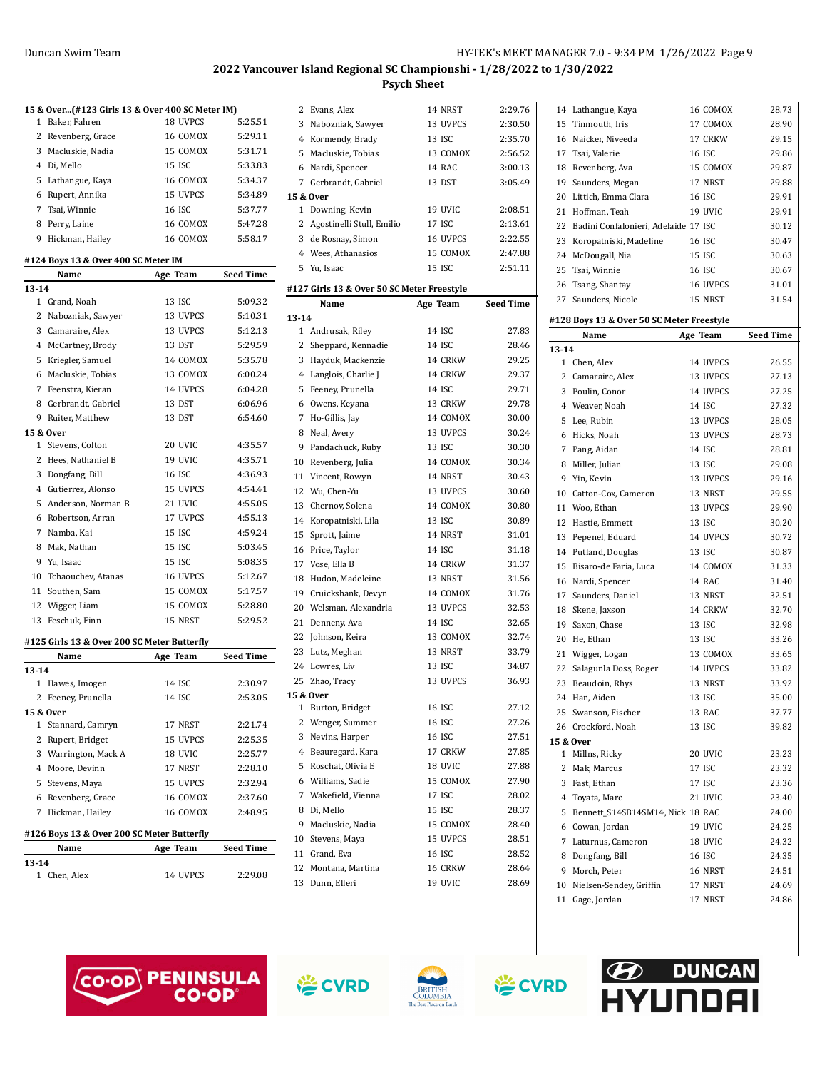Lathangue, Kaya 16 COMOX 28.73

|              | 15 & Over(#123 Girls 13 & Over 400 SC Meter IM) |          |                  |  |
|--------------|-------------------------------------------------|----------|------------------|--|
| 1            | Baker, Fahren                                   | 18 UVPCS | 5:25.51          |  |
| 2            | Revenberg, Grace                                | 16 COMOX | 5:29.11          |  |
|              | 3 Macluskie, Nadia                              | 15 COMOX | 5:31.71          |  |
|              | 4 Di, Mello                                     | 15 ISC   | 5:33.83          |  |
|              | 5 Lathangue, Kaya                               | 16 COMOX | 5:34.37          |  |
|              | 6 Rupert, Annika                                | 15 UVPCS | 5:34.89          |  |
|              | 7 Tsai, Winnie                                  | 16 ISC   | 5:37.77          |  |
|              |                                                 | 16 COMOX | 5:47.28          |  |
| 9            | 8 Perry, Laine                                  | 16 COMOX | 5:58.17          |  |
|              | Hickman, Hailey                                 |          |                  |  |
|              | #124 Boys 13 & Over 400 SC Meter IM             |          |                  |  |
|              | Name                                            | Age Team | <b>Seed Time</b> |  |
| 13-14        |                                                 |          |                  |  |
|              | 1 Grand, Noah                                   | 13 ISC   | 5:09.32          |  |
|              | 2 Nabozniak, Sawyer                             | 13 UVPCS | 5:10.31          |  |
|              | 3 Camaraire, Alex                               | 13 UVPCS | 5:12.13          |  |
|              | 4 McCartney, Brody                              | 13 DST   | 5:29.59          |  |
|              | 5 Kriegler, Samuel                              | 14 COMOX | 5:35.78          |  |
|              | 6 Macluskie, Tobias                             | 13 COMOX | 6:00.24          |  |
|              | 7 Feenstra, Kieran                              | 14 UVPCS | 6:04.28          |  |
|              | 8 Gerbrandt, Gabriel                            | 13 DST   | 6:06.96          |  |
|              | 9 Ruiter, Matthew                               | 13 DST   | 6:54.60          |  |
|              | 15 & Over                                       |          |                  |  |
| $\mathbf{1}$ | Stevens, Colton                                 | 20 UVIC  | 4:35.57          |  |
|              | 2 Hees, Nathaniel B                             | 19 UVIC  | 4:35.71          |  |
|              | 3 Dongfang, Bill                                | 16 ISC   | 4:36.93          |  |
|              | 4 Gutierrez, Alonso                             | 15 UVPCS | 4:54.41          |  |
| 5            | Anderson, Norman B                              | 21 UVIC  | 4:55.05          |  |
| 6            | Robertson, Arran                                | 17 UVPCS | 4:55.13          |  |
|              | 7 Namba, Kai                                    | 15 ISC   | 4:59.24          |  |
|              | 8 Mak, Nathan                                   | 15 ISC   | 5:03.45          |  |
|              | 9 Yu, Isaac                                     | 15 ISC   | 5:08.35          |  |
|              | 10 Tchaouchev, Atanas                           | 16 UVPCS | 5:12.67          |  |
|              | 11 Southen, Sam                                 | 15 COMOX | 5:17.57          |  |
|              | 12 Wigger, Liam                                 | 15 COMOX | 5:28.80          |  |
| 13           | Feschuk, Finn                                   | 15 NRST  | 5:29.52          |  |
|              |                                                 |          |                  |  |
|              | #125 Girls 13 & Over 200 SC Meter Butterfly     |          |                  |  |
|              | Name                                            | Age Team | <b>Seed Time</b> |  |
| $13 - 14$    |                                                 |          |                  |  |
| 1            | Hawes, Imogen                                   | 14 ISC   | 2:30.97          |  |
| 2            | Feeney, Prunella                                | 14 ISC   | 2:53.05          |  |
|              | 15 & Over                                       |          |                  |  |
| 1            | Stannard, Camryn                                | 17 NRST  | 2:21.74          |  |
|              | 2 Rupert, Bridget                               | 15 UVPCS | 2:25.35          |  |
|              | 3 Warrington, Mack A                            | 18 UVIC  | 2:25.77          |  |
|              | 4 Moore, Devinn                                 | 17 NRST  | 2:28.10          |  |
|              | 5 Stevens, Maya                                 | 15 UVPCS | 2:32.94          |  |
|              | 6 Revenberg, Grace                              | 16 COMOX | 2:37.60          |  |
|              | 7 Hickman, Hailey                               | 16 COMOX | 2:48.95          |  |
|              | #126 Boys 13 & Over 200 SC Meter Butterfly      |          |                  |  |
|              | Name                                            | Age Team | Seed Time        |  |
| 13-14        |                                                 |          |                  |  |
|              | 1 Chen, Alex                                    | 14 UVPCS | 2:29.08          |  |
|              |                                                 |          |                  |  |

|           | 2 Evans, Alex                                      | 14 NRST  | 2:29.76          |
|-----------|----------------------------------------------------|----------|------------------|
| 3         | Nabozniak, Sawyer                                  | 13 UVPCS | 2:30.50          |
|           | 4 Kormendy, Brady                                  | 13 ISC   | 2:35.70          |
|           | 5 Macluskie, Tobias                                | 13 COMOX | 2:56.52          |
|           | 6 Nardi, Spencer                                   | 14 RAC   | 3:00.13          |
|           | 7 Gerbrandt, Gabriel                               | 13 DST   | 3:05.49          |
|           | 15 & Over                                          |          |                  |
|           | 1 Downing, Kevin                                   | 19 UVIC  | 2:08.51          |
|           | 2 Agostinelli Stull, Emilio                        | 17 ISC   | 2:13.61          |
|           | 3 de Rosnay, Simon                                 | 16 UVPCS | 2:22.55          |
|           | 4 Wees, Athanasios                                 | 15 COMOX | 2:47.88          |
|           | 5 Yu, Isaac                                        | 15 ISC   | 2:51.11          |
|           |                                                    |          |                  |
|           | #127 Girls 13 & Over 50 SC Meter Freestyle<br>Name |          | <b>Seed Time</b> |
| $13 - 14$ |                                                    | Age Team |                  |
|           | 1 Andrusak, Riley                                  | 14 ISC   | 27.83            |
|           | 2 Sheppard, Kennadie                               | 14 ISC   | 28.46            |
|           | 3 Hayduk, Mackenzie                                | 14 CRKW  | 29.25            |
|           | 4 Langlois, Charlie J                              | 14 CRKW  | 29.37            |
|           | 5 Feeney, Prunella                                 | 14 ISC   | 29.71            |
|           | 6 Owens, Keyana                                    | 13 CRKW  | 29.78            |
|           | 7 Ho-Gillis, Jay                                   | 14 COMOX | 30.00            |
|           | 8 Neal, Avery                                      | 13 UVPCS | 30.24            |
| 9         | Pandachuck, Ruby                                   | 13 ISC   | 30.30            |
|           | 10 Revenberg, Julia                                | 14 COMOX | 30.34            |
|           |                                                    | 14 NRST  | 30.43            |
|           | 11 Vincent, Rowyn<br>12 Wu, Chen-Yu                | 13 UVPCS | 30.60            |
|           |                                                    |          |                  |
|           | 13 Chernov, Solena                                 | 14 COMOX | 30.80            |
|           | 14 Koropatniski, Lila                              | 13 ISC   | 30.89            |
|           | 15 Sprott, Jaime                                   | 14 NRST  | 31.01            |
|           | 16 Price, Taylor                                   | 14 ISC   | 31.18            |
|           | 17 Vose, Ella B                                    | 14 CRKW  | 31.37            |
|           | 18 Hudon, Madeleine                                | 13 NRST  | 31.56            |
| 19        | Cruickshank, Devyn                                 | 14 COMOX | 31.76            |
|           | 20 Welsman, Alexandria                             | 13 UVPCS | 32.53            |
|           | 21 Denneny, Ava                                    | 14 ISC   | 32.65            |
|           | 22 Johnson, Keira                                  | 13 COMOX | 32.74            |
|           | 23 Lutz, Meghan                                    | 13 NRST  | 33.79            |
|           | 24 Lowres, Liv                                     | 13 ISC   | 34.87            |
|           | 25 Zhao, Tracy                                     | 13 UVPCS | 36.93            |
|           | 15 & Over                                          |          |                  |
|           | 1 Burton, Bridget                                  | 16 ISC   | 27.12            |
|           | 2 Wenger, Summer                                   | 16 ISC   | 27.26            |
|           | 3 Nevins, Harper                                   | 16 ISC   | 27.51            |
|           | 4 Beauregard, Kara                                 | 17 CRKW  | 27.85            |
|           | 5 Roschat, Olivia E                                | 18 UVIC  | 27.88            |
| 6         | Williams, Sadie                                    | 15 COMOX | 27.90            |
|           | 7 Wakefield, Vienna                                | 17 ISC   | 28.02            |
| 8         | Di, Mello                                          | 15 ISC   | 28.37            |
|           | 9 Macluskie, Nadia                                 | 15 COMOX | 28.40            |
|           | 10 Stevens, Maya                                   | 15 UVPCS | 28.51            |
|           | 11 Grand, Eva                                      | 16 ISC   | 28.52            |
| 12        | Montana, Martina                                   | 16 CRKW  | 28.64            |
| 13        | Dunn, Elleri                                       | 19 UVIC  | 28.69            |
|           |                                                    |          |                  |

| 15        | Tinmouth, Iris                            | 17 COMOX | 28.90            |
|-----------|-------------------------------------------|----------|------------------|
|           | 16 Naicker, Niveeda                       | 17 CRKW  | 29.15            |
|           | 17 Tsai, Valerie                          | 16 ISC   | 29.86            |
|           | 18 Revenberg, Ava                         | 15 COMOX | 29.87            |
|           | 19 Saunders, Megan                        | 17 NRST  | 29.88            |
|           | 20 Littich, Emma Clara                    | 16 ISC   | 29.91            |
|           | 21 Hoffman, Teah                          | 19 UVIC  | 29.91            |
|           | 22 Badini Confalonieri, Adelaide 17 ISC   |          | 30.12            |
|           | 23 Koropatniski, Madeline                 | 16 ISC   | 30.47            |
|           | 24 McDougall, Nia                         | 15 ISC   | 30.63            |
|           | 25 Tsai, Winnie                           | 16 ISC   | 30.67            |
|           | 26 Tsang, Shantay                         | 16 UVPCS | 31.01            |
|           | 27 Saunders, Nicole                       | 15 NRST  | 31.54            |
|           |                                           |          |                  |
|           | #128 Boys 13 & Over 50 SC Meter Freestyle |          |                  |
|           | Name                                      | Age Team | <b>Seed Time</b> |
| $13 - 14$ |                                           |          |                  |
|           | 1 Chen, Alex                              | 14 UVPCS | 26.55            |
|           | 2 Camaraire, Alex                         | 13 UVPCS | 27.13            |
|           | 3 Poulin, Conor                           | 14 UVPCS | 27.25            |
|           | 4 Weaver. Noah                            | 14 ISC   | 27.32            |
|           | 5 Lee, Rubin                              | 13 UVPCS | 28.05            |
|           | 6 Hicks, Noah                             | 13 UVPCS | 28.73            |
|           | 7 Pang, Aidan                             | 14 ISC   | 28.81            |
|           | 8 Miller, Julian                          | 13 ISC   | 29.08            |
|           | 9 Yin, Kevin                              | 13 UVPCS | 29.16            |
|           | 10 Catton-Cox, Cameron                    | 13 NRST  | 29.55            |
|           | 11 Woo, Ethan                             | 13 UVPCS | 29.90            |
|           | 12 Hastie, Emmett                         | 13 ISC   | 30.20            |
|           | 13 Pepenel, Eduard                        | 14 UVPCS | 30.72            |
|           | 14 Putland, Douglas                       | 13 ISC   | 30.87            |
|           | 15 Bisaro-de Faria, Luca                  | 14 COMOX | 31.33            |
|           | 16 Nardi, Spencer                         | 14 RAC   | 31.40            |
|           | 17 Saunders, Daniel                       | 13 NRST  | 32.51            |
|           | 18 Skene, Jaxson                          | 14 CRKW  | 32.70            |
|           | 19 Saxon, Chase                           | 13 ISC   | 32.98            |
|           | 20 He, Ethan                              | 13 ISC   | 33.26            |
|           | 21 Wigger, Logan                          | 13 COMOX | 33.65            |
|           | 22 Salagunla Doss, Roger                  | 14 UVPCS | 33.82            |
|           | 23 Beaudoin, Rhys                         | 13 NRST  | 33.92            |
|           | 24 Han, Aiden                             | 13 ISC   | 35.00            |
|           | 25 Swanson, Fischer                       | 13 RAC   | 37.77            |
|           | 26 Crockford, Noah                        | 13 ISC   | 39.82            |
|           | 15 & Over                                 |          |                  |
| 1         | Millns, Ricky                             | 20 UVIC  | 23.23            |
|           | 2 Mak, Marcus                             | 17 ISC   | 23.32            |
|           | 3 Fast, Ethan                             | 17 ISC   | 23.36            |
|           | 4 Toyata, Marc                            | 21 UVIC  | 23.40            |
| 5         | Bennett_S14SB14SM14, Nick 18 RAC          |          | 24.00            |
|           | 6 Cowan, Jordan                           | 19 UVIC  | 24.25            |
|           | 7 Laturnus, Cameron                       | 18 UVIC  | 24.32            |
|           | 8 Dongfang, Bill                          | 16 ISC   | 24.35            |
|           | 9 Morch, Peter                            | 16 NRST  | 24.51            |
|           | 10 Nielsen-Sendey, Griffin                | 17 NRST  | 24.69            |
| 11        | Gage, Jordan                              | 17 NRST  | 24.86            |







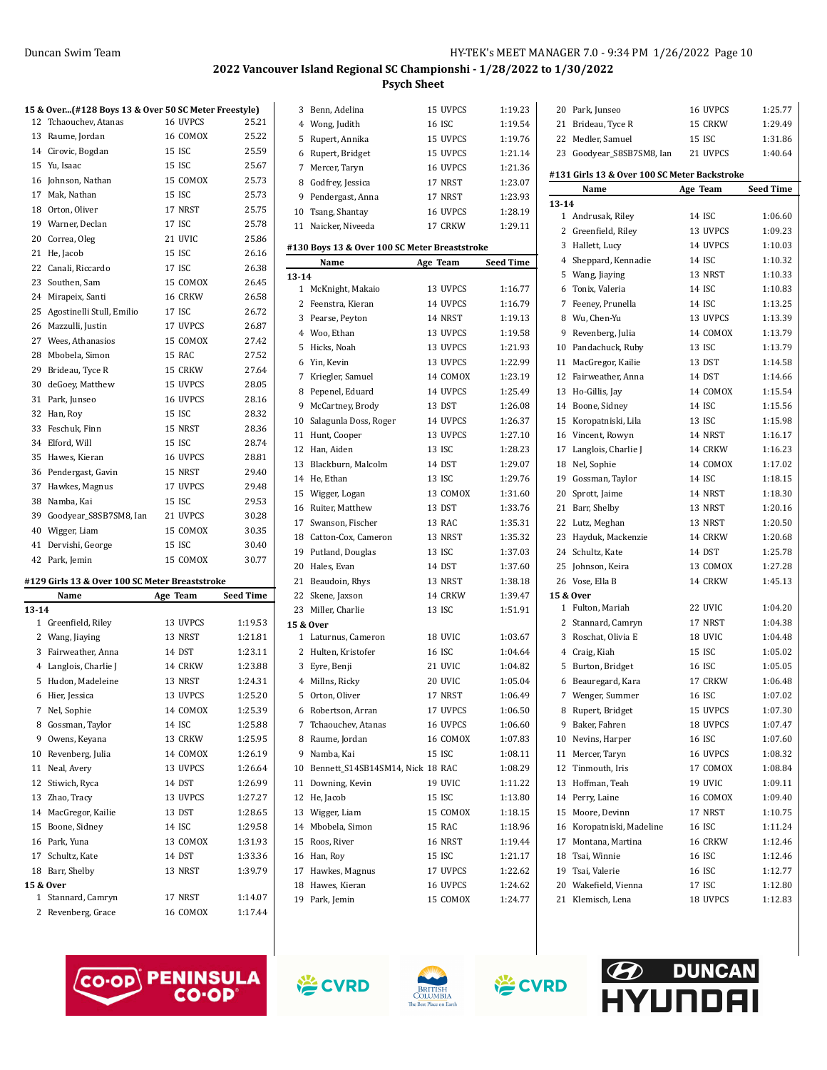| 12        | 15 & Over(#128 Boys 13 & Over 50 SC Meter Freestyle)<br>Tchaouchev, Atanas | 16 UVPCS      | 25.21     |
|-----------|----------------------------------------------------------------------------|---------------|-----------|
| 13        |                                                                            | 16 COMOX      | 25.22     |
|           | Raume, Jordan                                                              |               |           |
|           | 14 Cirovic, Bogdan                                                         | 15 ISC        | 25.59     |
| 15        | Yu, Isaac                                                                  | 15 ISC        | 25.67     |
| 16        | Johnson, Nathan                                                            | 15 COMOX      | 25.73     |
| 17        | Mak, Nathan                                                                | 15 ISC        | 25.73     |
| 18        | Orton, Oliver                                                              | 17 NRST       | 25.75     |
| 19        | Warner, Declan                                                             | 17 ISC        | 25.78     |
| 20        | Correa, Oleg                                                               | 21 UVIC       | 25.86     |
| 21        | He, Jacob                                                                  | 15 ISC        | 26.16     |
| 22        | Canali, Riccardo                                                           | 17 ISC        | 26.38     |
| 23        | Southen, Sam                                                               | 15 COMOX      | 26.45     |
| 24        | Mirapeix, Santi                                                            | 16 CRKW       | 26.58     |
| 25        | Agostinelli Stull, Emilio                                                  | 17 ISC        | 26.72     |
| 26        | Mazzulli, Justin                                                           | 17 UVPCS      | 26.87     |
| 27        | Wees, Athanasios                                                           | 15 COMOX      | 27.42     |
| 28        | Mbobela, Simon                                                             | 15 RAC        | 27.52     |
| 29        | Brideau, Tyce R                                                            | 15 CRKW       | 27.64     |
| 30        | deGoey, Matthew                                                            | 15 UVPCS      | 28.05     |
| 31        | Park, Junseo                                                               | 16 UVPCS      | 28.16     |
| 32        | Han, Roy                                                                   | 15 ISC        | 28.32     |
| 33        | Feschuk. Finn                                                              | 15 NRST       | 28.36     |
| 34        | Elford, Will                                                               | 15 ISC        | 28.74     |
| 35        | Hawes, Kieran                                                              | 16 UVPCS      | 28.81     |
| 36        | Pendergast, Gavin                                                          | 15 NRST       | 29.40     |
| 37        | Hawkes, Magnus                                                             | 17 UVPCS      | 29.48     |
| 38        | Namba, Kai                                                                 | 15 ISC        | 29.53     |
| 39        | Goodyear_S8SB7SM8, Ian                                                     | 21 UVPCS      | 30.28     |
| 40        | Wigger, Liam                                                               | 15 COMOX      | 30.35     |
| 41        | Dervishi, George                                                           | 15 ISC        | 30.40     |
| 42        | Park, Jemin                                                                | 15 COMOX      | 30.77     |
|           |                                                                            |               |           |
|           | #129 Girls 13 & Over 100 SC Meter Breaststroke                             |               |           |
|           | Name                                                                       | Age Team      | Seed Time |
| $13 - 14$ |                                                                            |               |           |
|           | 1 Greenfield, Riley                                                        | 13 UVPCS      | 1:19.53   |
| 2         | Wang, Jiaying                                                              | 13 NRST       | 1:21.81   |
| 3         | Fairweather, Anna                                                          | <b>14 DST</b> | 1:23.11   |
| 4         | Langlois, Charlie J                                                        | 14 CRKW       | 1:23.88   |
| 5         | Hudon. Madeleine                                                           | 13 NRST       | 1:24.31   |
| 6         | Hier. Jessica                                                              | 13 UVPCS      | 1:25.20   |
|           | 7 Nel, Sophie                                                              | 14 COMOX      | 1:25.39   |
| 8         | Gossman, Taylor                                                            | 14 ISC        | 1:25.88   |
| 9         | Owens, Keyana                                                              | 13 CRKW       | 1:25.95   |
| 10        | Revenberg, Julia                                                           | 14 COMOX      | 1:26.19   |
| 11        | Neal, Avery                                                                | 13 UVPCS      | 1:26.64   |
| 12        | Stiwich, Ryca                                                              | 14 DST        | 1:26.99   |
| 13        | Zhao, Tracy                                                                | 13 UVPCS      | 1:27.27   |
| 14        | MacGregor, Kailie                                                          | 13 DST        | 1:28.65   |
| 15        | Boone, Sidney                                                              | 14 ISC        | 1:29.58   |
|           | 16 Park, Yuna                                                              | 13 COMOX      | 1:31.93   |
| 17        | Schultz, Kate                                                              | 14 DST        | 1:33.36   |
| 18        | Barr, Shelby                                                               | 13 NRST       | 1:39.79   |
|           | 15 & Over                                                                  |               |           |

| 3                         | Benn, Adelina                                 | 15 UVPCS      | 1:19.23          |
|---------------------------|-----------------------------------------------|---------------|------------------|
|                           | 4 Wong, Judith                                | 16 ISC        | 1:19.54          |
| 5                         | Rupert, Annika                                | 15 UVPCS      | 1:19.76          |
| 6                         | Rupert, Bridget                               | 15 UVPCS      | 1:21.14          |
| 7                         | Mercer, Taryn                                 | 16 UVPCS      | 1:21.36          |
| 8                         | Godfrey, Jessica                              | 17 NRST       | 1:23.07          |
| 9                         | Pendergast, Anna                              | 17 NRST       | 1:23.93          |
|                           | 10 Tsang, Shantay                             | 16 UVPCS      | 1:28.19          |
|                           | 11 Naicker, Niveeda                           | 17 CRKW       | 1:29.11          |
|                           |                                               |               |                  |
|                           | #130 Boys 13 & Over 100 SC Meter Breaststroke |               |                  |
|                           | Name                                          | Age Team      | <b>Seed Time</b> |
| $13 - 14$<br>$\mathbf{1}$ | McKnight, Makaio                              | 13 UVPCS      | 1:16.77          |
|                           |                                               |               |                  |
|                           | 2 Feenstra, Kieran                            | 14 UVPCS      | 1:16.79          |
| 3                         | Pearse, Peyton                                | 14 NRST       | 1:19.13          |
|                           | 4 Woo, Ethan                                  | 13 UVPCS      | 1:19.58          |
| 5                         | Hicks, Noah                                   | 13 UVPCS      | 1:21.93          |
|                           | 6 Yin, Kevin                                  | 13 UVPCS      | 1:22.99          |
|                           | 7 Kriegler, Samuel                            | 14 COMOX      | 1:23.19          |
| 8                         | Pepenel, Eduard                               | 14 UVPCS      | 1:25.49          |
| 9                         | McCartney, Brody                              | <b>13 DST</b> | 1:26.08          |
| 10                        | Salagunla Doss, Roger                         | 14 UVPCS      | 1:26.37          |
| 11                        | Hunt, Cooper                                  | 13 UVPCS      | 1:27.10          |
| 12                        | Han, Aiden                                    | 13 ISC        | 1:28.23          |
| 13                        | Blackburn, Malcolm                            | 14 DST        | 1:29.07          |
|                           | 14 He, Ethan                                  | 13 ISC        | 1:29.76          |
| 15                        | Wigger, Logan                                 | 13 COMOX      | 1:31.60          |
| 16                        | Ruiter, Matthew                               | 13 DST        | 1:33.76          |
|                           | 17 Swanson, Fischer                           | 13 RAC        | 1:35.31          |
| 18                        | Catton-Cox, Cameron                           | 13 NRST       | 1:35.32          |
| 19                        | Putland, Douglas                              | 13 ISC        | 1:37.03          |
| 20                        | Hales, Evan                                   | 14 DST        | 1:37.60          |
| 21                        | Beaudoin, Rhys                                | 13 NRST       | 1:38.18          |
| 22                        | Skene, Jaxson                                 | 14 CRKW       | 1:39.47          |
|                           | 23 Miller, Charlie                            | 13 ISC        | 1:51.91          |
|                           | 15 & Over                                     |               |                  |
| 1                         | Laturnus, Cameron                             | 18 UVIC       | 1:03.67          |
|                           | 2 Hulten, Kristofer                           | 16 ISC        | 1:04.64          |
|                           | 3 Eyre, Benji                                 | 21 UVIC       | 1:04.82          |
|                           | 4 Millns, Ricky                               | 20 UVIC       | 1:05.04          |
| 5                         | Orton, Oliver                                 | 17 NRST       | 1:06.49          |
| 6                         | Robertson, Arran                              | 17 UVPCS      | 1:06.50          |
| 7                         | Tchaouchev, Atanas                            | 16 UVPCS      | 1:06.60          |
| 8                         | Raume, Jordan                                 | 16 COMOX      | 1:07.83          |
| 9                         | Namba, Kai                                    | 15 ISC        | 1:08.11          |
| 10                        | Bennett_S14SB14SM14, Nick 18 RAC              |               | 1:08.29          |
| 11                        | Downing, Kevin                                | 19 UVIC       | 1:11.22          |
| 12                        | He, Jacob                                     | 15 ISC        | 1:13.80          |
| 13                        | Wigger, Liam                                  | 15 COMOX      | 1:18.15          |
| 14                        | Mbobela, Simon                                | 15 RAC        | 1:18.96          |
| 15                        | Roos, River                                   | 16 NRST       | 1:19.44          |
|                           | 16 Han, Roy                                   | 15 ISC        | 1:21.17          |
|                           | 17 Hawkes, Magnus                             | 17 UVPCS      | 1:22.62          |
| 18                        | Hawes, Kieran                                 | 16 UVPCS      | 1:24.62          |
| 19                        | Park, Jemin                                   | 15 COMOX      | 1:24.77          |
|                           |                                               |               |                  |

|                                              | 20 Park, Junseo           | 16 UVPCS      | 1:25.77          |  |  |
|----------------------------------------------|---------------------------|---------------|------------------|--|--|
|                                              | 21 Brideau, Tyce R        | 15 CRKW       | 1:29.49          |  |  |
|                                              | 22 Medler, Samuel         | 15 ISC        | 1:31.86          |  |  |
|                                              | 23 Goodyear_S8SB7SM8, Ian | 21 UVPCS      | 1:40.64          |  |  |
|                                              |                           |               |                  |  |  |
| #131 Girls 13 & Over 100 SC Meter Backstroke |                           |               |                  |  |  |
|                                              | Name                      | Age Team      | <b>Seed Time</b> |  |  |
| $13 - 14$                                    |                           |               |                  |  |  |
|                                              | 1 Andrusak, Riley         | 14 ISC        | 1:06.60          |  |  |
|                                              | 2 Greenfield, Riley       | 13 UVPCS      | 1:09.23          |  |  |
|                                              | 3 Hallett, Lucy           | 14 UVPCS      | 1:10.03          |  |  |
|                                              | 4 Sheppard, Kennadie      | 14 ISC        | 1:10.32          |  |  |
|                                              | 5 Wang, Jiaying           | 13 NRST       | 1:10.33          |  |  |
|                                              | 6 Tonix, Valeria          | 14 ISC        | 1:10.83          |  |  |
|                                              | 7 Feeney, Prunella        | 14 ISC        | 1:13.25          |  |  |
|                                              | 8 Wu, Chen-Yu             | 13 UVPCS      | 1:13.39          |  |  |
|                                              | 9 Revenberg, Julia        | 14 COMOX      | 1:13.79          |  |  |
|                                              | 10 Pandachuck, Ruby       | 13 ISC        | 1:13.79          |  |  |
|                                              | 11 MacGregor, Kailie      | 13 DST        | 1:14.58          |  |  |
|                                              | 12 Fairweather, Anna      | 14 DST        | 1:14.66          |  |  |
|                                              | 13 Ho-Gillis, Jay         | 14 COMOX      | 1:15.54          |  |  |
|                                              | 14 Boone, Sidney          | 14 ISC        | 1:15.56          |  |  |
|                                              | 15 Koropatniski, Lila     | 13 ISC        | 1:15.98          |  |  |
|                                              | 16 Vincent, Rowyn         | 14 NRST       | 1:16.17          |  |  |
|                                              | 17 Langlois, Charlie J    | 14 CRKW       | 1:16.23          |  |  |
|                                              | 18 Nel, Sophie            | 14 COMOX      | 1:17.02          |  |  |
|                                              | 19 Gossman, Taylor        | 14 ISC        | 1:18.15          |  |  |
|                                              | 20 Sprott, Jaime          | 14 NRST       | 1:18.30          |  |  |
|                                              | 21 Barr, Shelby           | 13 NRST       | 1:20.16          |  |  |
|                                              | 22 Lutz, Meghan           | 13 NRST       | 1:20.50          |  |  |
|                                              | 23 Hayduk, Mackenzie      | 14 CRKW       | 1:20.68          |  |  |
|                                              | 24 Schultz, Kate          | 14 DST        | 1:25.78          |  |  |
|                                              | 25 Johnson, Keira         | 13 COMOX      | 1:27.28          |  |  |
|                                              | 26 Vose, Ella B           | 14 CRKW       | 1:45.13          |  |  |
|                                              | 15 & Over                 |               |                  |  |  |
|                                              | 1 Fulton, Mariah          | 22 UVIC       | 1:04.20          |  |  |
| 2                                            | Stannard, Camryn          | 17 NRST       | 1:04.38          |  |  |
|                                              | 3 Roschat, Olivia E       | 18 UVIC       | 1:04.48          |  |  |
|                                              | 4 Craig, Kiah             | 15 ISC        | 1:05.02          |  |  |
|                                              | 5 Burton, Bridget         | 16 ISC        | 1:05.05          |  |  |
|                                              | 6 Beauregard, Kara        | 17 CRKW       | 1:06.48          |  |  |
|                                              | 7 Wenger, Summer          | <b>16 ISC</b> | 1:07.02          |  |  |
|                                              | 8 Rupert, Bridget         | 15 UVPCS      | 1:07.30          |  |  |
|                                              | 9 Baker, Fahren           | 18 UVPCS      | 1:07.47          |  |  |
|                                              | 10 Nevins, Harper         | 16 ISC        | 1:07.60          |  |  |
| 11                                           | Mercer, Taryn             | 16 UVPCS      | 1:08.32          |  |  |
|                                              | 12 Tinmouth, Iris         | 17 COMOX      | 1:08.84          |  |  |
|                                              | 13 Hoffman, Teah          | 19 UVIC       | 1:09.11          |  |  |
|                                              | 14 Perry, Laine           | 16 COMOX      | 1:09.40          |  |  |
|                                              | 15 Moore, Devinn          | 17 NRST       | 1:10.75          |  |  |
|                                              | 16 Koropatniski, Madeline | 16 ISC        | 1:11.24          |  |  |
| 17                                           | Montana, Martina          | 16 CRKW       | 1:12.46          |  |  |
|                                              | 18 Tsai, Winnie           | 16 ISC        | 1:12.46          |  |  |
|                                              | 19 Tsai, Valerie          | 16 ISC        | 1:12.77          |  |  |
|                                              | 20 Wakefield, Vienna      | 17 ISC        | 1:12.80          |  |  |
|                                              | 21 Klemisch, Lena         | 18 UVPCS      | 1:12.83          |  |  |



 Stannard, Camryn 17 NRST 1:14.07 2 Revenberg, Grace 16 COMOX 1:17.44





学CVRD

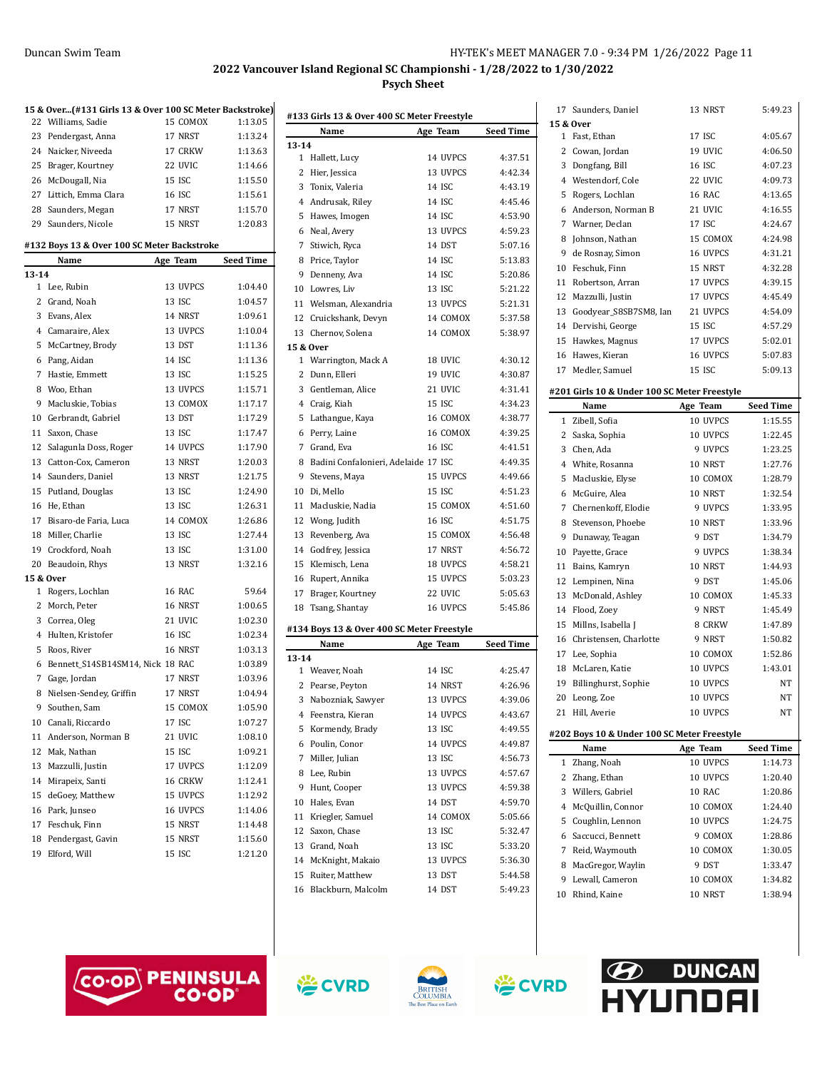|       | 15 & Over (#131 Girls 13 & Over 100 SC Meter Backstroke) |          |                  |
|-------|----------------------------------------------------------|----------|------------------|
| 22    | Williams, Sadie                                          | 15 COMOX | 1:13.05          |
| 23    | Pendergast, Anna                                         | 17 NRST  | 1:13.24          |
|       | 24 Naicker, Niveeda                                      | 17 CRKW  | 1:13.63          |
| 25    | Brager, Kourtney                                         | 22 UVIC  | 1:14.66          |
|       | 26 McDougall, Nia                                        | 15 ISC   | 1:15.50          |
|       | 27 Littich, Emma Clara                                   | 16 ISC   | 1:15.61          |
|       | 28 Saunders, Megan                                       | 17 NRST  | 1:15.70          |
|       | 29 Saunders, Nicole                                      | 15 NRST  | 1:20.83          |
|       | #132 Boys 13 & Over 100 SC Meter Backstroke              |          |                  |
|       | Name                                                     | Age Team | <b>Seed Time</b> |
| 13-14 |                                                          |          |                  |
|       | 1 Lee, Rubin                                             | 13 UVPCS | 1:04.40          |
|       | 2 Grand, Noah                                            | 13 ISC   | 1:04.57          |
|       | 3 Evans, Alex                                            | 14 NRST  | 1:09.61          |
|       | 4 Camaraire, Alex                                        | 13 UVPCS | 1:10.04          |
|       | 5 McCartney, Brody                                       | 13 DST   | 1:11.36          |
|       | 6 Pang, Aidan                                            | 14 ISC   | 1:11.36          |
|       | 7 Hastie, Emmett                                         | 13 ISC   | 1:15.25          |
|       | 8 Woo, Ethan                                             | 13 UVPCS | 1:15.71          |
|       | 9 Macluskie, Tobias                                      | 13 COMOX | 1:17.17          |
|       | 10 Gerbrandt, Gabriel                                    | 13 DST   | 1:17.29          |
|       | 11 Saxon, Chase                                          | 13 ISC   | 1:17.47          |
|       | 12 Salagunla Doss, Roger                                 | 14 UVPCS | 1:17.90          |
|       | 13 Catton-Cox, Cameron                                   | 13 NRST  | 1:20.03          |
|       | 14 Saunders, Daniel                                      | 13 NRST  | 1:21.75          |
| 15    | Putland, Douglas                                         | 13 ISC   | 1:24.90          |
| 16    | He, Ethan                                                | 13 ISC   | 1:26.31          |
|       | 17 Bisaro-de Faria, Luca                                 | 14 COMOX | 1:26.86          |
|       | 18 Miller, Charlie                                       | 13 ISC   | 1:27.44          |
|       | 19 Crockford, Noah                                       | 13 ISC   | 1:31.00          |
| 20    | Beaudoin, Rhys                                           | 13 NRST  | 1:32.16          |
|       | 15 & Over                                                |          |                  |
| 1     | Rogers, Lochlan                                          | 16 RAC   | 59.64            |
|       | 2 Morch, Peter                                           | 16 NRST  | 1:00.65          |
|       | 3 Correa, Oleg                                           | 21 UVIC  | 1:02.30          |
|       | 4 Hulten, Kristofer                                      | 16 ISC   | 1:02.34          |
|       | 5 Roos, River                                            | 16 NRST  | 1:03.13          |
|       | 6 Bennett_S14SB14SM14, Nick 18 RAC                       |          | 1:03.89          |
|       | 7 Gage, Jordan                                           | 17 NRST  | 1:03.96          |
|       | 8 Nielsen-Sendey, Griffin                                | 17 NRST  | 1:04.94          |
|       | 9 Southen, Sam                                           | 15 COMOX | 1:05.90          |
|       | 10 Canali, Riccardo                                      | 17 ISC   | 1:07.27          |
| 11    | Anderson, Norman B                                       | 21 UVIC  | 1:08.10          |
| 12    | Mak, Nathan                                              | 15 ISC   | 1:09.21          |
| 13    | Mazzulli, Justin                                         | 17 UVPCS | 1:12.09          |
|       | 14 Mirapeix, Santi                                       | 16 CRKW  | 1:12.41          |
| 15    | deGoey, Matthew                                          | 15 UVPCS | 1:12.92          |
|       | 16 Park, Junseo                                          | 16 UVPCS | 1:14.06          |
|       | 17 Feschuk, Finn                                         | 15 NRST  | 1:14.48          |
|       | 18 Pendergast, Gavin                                     | 15 NRST  | 1:15.60          |
| 19    | Elford, Will                                             | 15 ISC   | 1:21.20          |

| $13 - 14$<br>1<br>2<br>3<br>5<br>6<br>7<br>8 | Name<br>Hallett, Lucy<br>Hier, Jessica<br>Tonix, Valeria | Age Team<br>14 UVPCS | <b>Seed Time</b><br>4:37.51 |
|----------------------------------------------|----------------------------------------------------------|----------------------|-----------------------------|
|                                              |                                                          |                      |                             |
|                                              |                                                          |                      |                             |
|                                              |                                                          | 13 UVPCS             | 4:42.34                     |
|                                              |                                                          | 14 ISC               | 4:43.19                     |
|                                              | 4 Andrusak, Riley                                        | 14 ISC               | 4:45.46                     |
|                                              | Hawes, Imogen                                            | 14 ISC               | 4:53.90                     |
|                                              | Neal, Avery                                              | 13 UVPCS             | 4:59.23                     |
|                                              | Stiwich, Ryca                                            | 14 DST               | 5:07.16                     |
|                                              | Price, Taylor                                            | 14 ISC               | 5:13.83                     |
| 9                                            | Denneny, Ava                                             | 14 ISC               | 5:20.86                     |
|                                              | 10 Lowres, Liv                                           | 13 ISC               | 5:21.22                     |
|                                              | 11 Welsman, Alexandria                                   | 13 UVPCS             | 5:21.31                     |
|                                              | 12 Cruickshank, Devyn                                    | 14 COMOX             | 5:37.58                     |
|                                              | 13 Chernov, Solena                                       | 14 COMOX             | 5:38.97                     |
|                                              | 15 & Over                                                |                      |                             |
| $\mathbf{1}$                                 | Warrington, Mack A                                       | 18 UVIC              | 4:30.12                     |
| 2                                            | Dunn, Elleri                                             | 19 UVIC              | 4:30.87                     |
|                                              | 3 Gentleman, Alice                                       | 21 UVIC              | 4.31.41                     |
|                                              | 4 Craig, Kiah                                            | 15 ISC               | 4:34.23                     |
| 5                                            | Lathangue, Kaya                                          | 16 COMOX             | 4:38.77                     |
| 6                                            | Perry, Laine                                             | 16 COMOX             | 4:39.25                     |
|                                              | 7 Grand, Eva                                             | 16 ISC               | 4:41.51                     |
| 8                                            | Badini Confalonieri, Adelaide 17 ISC                     |                      | 4:49.35                     |
| 9                                            | Stevens, Maya                                            | 15 UVPCS             | 4:49.66                     |
| 10                                           | Di, Mello                                                | <b>15 ISC</b>        | 4:51.23                     |
| 11                                           | Macluskie, Nadia                                         | 15 COMOX             | 4:51.60                     |
| 12                                           |                                                          | 16 ISC               | 4:51.75                     |
| 13                                           | Wong, Judith                                             | 15 COMOX             | 4:56.48                     |
|                                              | Revenberg, Ava                                           | 17 NRST              | 4:56.72                     |
|                                              | 14 Godfrey, Jessica                                      |                      |                             |
| 15                                           | Klemisch, Lena                                           | 18 UVPCS             | 4:58.21                     |
| 16                                           | Rupert, Annika                                           | 15 UVPCS             | 5:03.23                     |
| 17                                           | Brager, Kourtney                                         | 22 UVIC              | 5:05.63                     |
| 18                                           | Tsang, Shantay                                           | 16 UVPCS             | 5:45.86                     |
|                                              | #134 Boys 13 & Over 400 SC Meter Freestyle               |                      |                             |
|                                              | Name                                                     | Age Team             | <b>Seed Time</b>            |
| $13 - 14$                                    |                                                          |                      |                             |
|                                              | 1 Weaver, Noah                                           | 14 ISC               | 4:25.47                     |
| 2                                            | Pearse, Peyton                                           | 14 NRST              | 4:26.96                     |
| 3                                            | Nabozniak, Sawyer                                        | 13 UVPCS             | 4:39.06                     |
| 4                                            | Feenstra, Kieran                                         | 14 UVPCS             | 4:43.67                     |
| 5                                            | Kormendy, Brady                                          | 13 ISC               | 4:49.55                     |
| 6                                            | Poulin, Conor                                            | 14 UVPCS             | 4:49.87                     |
| 7                                            | Miller, Julian                                           | 13 ISC               | 4:56.73                     |
| 8                                            | Lee, Rubin                                               | 13 UVPCS             | 4:57.67                     |
| 9                                            | Hunt, Cooper                                             | 13 UVPCS             | 4:59.38                     |
| 10                                           | Hales, Evan                                              | 14 DST               | 4:59.70                     |
| 11                                           | Kriegler, Samuel                                         | 14 COMOX             | 5:05.66                     |
| 12                                           | Saxon, Chase                                             | 13 ISC               | 5:32.47                     |
|                                              | 13 Grand, Noah                                           | 13 ISC               | 5:33.20                     |
|                                              | 14 McKnight, Makaio                                      | 13 UVPCS             | 5:36.30                     |
| 15                                           | Ruiter, Matthew                                          | 13 DST               | 5:44.58                     |
| 16                                           | Blackburn, Malcolm                                       | 14 DST               | 5:49.23                     |
|                                              |                                                          |                      |                             |

|         | 17 Saunders, Daniel                                 | 13 NRST             | 5:49.23            |
|---------|-----------------------------------------------------|---------------------|--------------------|
|         | 15 & Over                                           |                     |                    |
|         | 1 Fast, Ethan                                       | 17 ISC              | 4:05.67            |
|         | 2 Cowan, Jordan                                     | 19 UVIC             | 4:06.50            |
| 3       | Dongfang, Bill                                      | 16 ISC              | 4:07.23            |
|         | 4 Westendorf, Cole                                  | 22 UVIC             | 4:09.73            |
| 5       | Rogers, Lochlan                                     | <b>16 RAC</b>       | 4:13.65            |
|         | 6 Anderson, Norman B                                | 21 UVIC             | 4:16.55            |
|         | 7 Warner, Declan                                    | 17 ISC              | 4:24.67            |
|         | 8 Johnson, Nathan                                   | 15 COMOX            | 4:24.98            |
| 9       | de Rosnay, Simon                                    | 16 UVPCS            | 4:31.21            |
|         | 10 Feschuk, Finn                                    | 15 NRST             | 4:32.28            |
|         | 11 Robertson, Arran                                 | 17 UVPCS            | 4:39.15            |
|         | 12 Mazzulli, Justin                                 | 17 UVPCS            | 4:45.49            |
| 13      | Goodyear_S8SB7SM8, Ian                              | 21 UVPCS            | 4:54.09            |
|         | 14 Dervishi, George                                 | 15 ISC              | 4:57.29            |
| 15      | Hawkes, Magnus                                      | 17 UVPCS            | 5:02.01            |
|         | 16 Hawes, Kieran                                    | 16 UVPCS            | 5:07.83            |
|         | 17 Medler, Samuel                                   | 15 ISC              | 5:09.13            |
|         |                                                     |                     |                    |
|         | #201 Girls 10 & Under 100 SC Meter Freestyle        |                     |                    |
|         | Name                                                | Age Team            | <b>Seed Time</b>   |
| 1       | Zibell, Sofia                                       | 10 UVPCS            | 1:15.55            |
|         | 2 Saska, Sophia                                     | 10 UVPCS            | 1:22.45            |
|         | 3 Chen. Ada                                         | 9 UVPCS             | 1:23.25            |
|         | 4 White, Rosanna                                    | 10 NRST             | 1:27.76            |
| 5       | Macluskie, Elyse                                    | 10 COMOX            | 1:28.79            |
|         | 6 McGuire, Alea                                     | 10 NRST             | 1:32.54            |
| 7       | Chernenkoff, Elodie                                 | 9 UVPCS             | 1:33.95            |
|         |                                                     |                     |                    |
| 8       | Stevenson, Phoebe                                   | 10 NRST             | 1:33.96            |
| 9       | Dunaway, Teagan                                     | 9 DST               | 1:34.79            |
| 10      | Payette, Grace                                      | 9 UVPCS             | 1:38.34            |
|         | 11 Bains, Kamryn                                    | 10 NRST             | 1:44.93            |
|         | 12 Lempinen, Nina                                   | 9 DST               | 1:45.06            |
| 13      | McDonald, Ashley                                    | 10 COMOX            | 1:45.33            |
|         | 14 Flood, Zoey                                      | 9 NRST              | 1:45.49            |
|         | 15 Millns, Isabella J                               | 8 CRKW              | 1:47.89            |
|         | 16 Christensen, Charlotte                           | 9 NRST              | 1:50.82            |
|         | 17 Lee, Sophia                                      | 10 COMOX            | 1:52.86            |
| 18      | McLaren, Katie                                      | 10 UVPCS            | 1:43.01            |
| 19      | Billinghurst, Sophie                                | 10 UVPCS            | NΤ                 |
|         | 20 Leong, Zoe                                       | 10 UVPCS            | NT                 |
|         | 21 Hill, Averie                                     | 10 UVPCS            | NΤ                 |
|         |                                                     |                     |                    |
|         | #202 Boys 10 & Under 100 SC Meter Freestyle<br>Name |                     |                    |
| 1       |                                                     | Age Team            | <b>Seed Time</b>   |
|         | Zhang, Noah                                         | 10 UVPCS            | 1:14.73            |
| 2       | Zhang, Ethan                                        | 10 UVPCS            | 1:20.40            |
|         | 3 Willers, Gabriel                                  | 10 RAC              | 1:20.86            |
| 4       | McQuillin, Connor                                   | 10 COMOX            | 1:24.40            |
| 5       | Coughlin, Lennon                                    | 10 UVPCS            | 1:24.75            |
| 6       | Saccucci, Bennett                                   | 9 COMOX             | 1:28.86            |
| 7       | Reid, Waymouth                                      | 10 COMOX            | 1:30.05            |
|         | 8 MacGregor, Waylin                                 | 9 DST               | 1:33.47            |
| 9<br>10 | Lewall, Cameron<br>Rhind, Kaine                     | 10 COMOX<br>10 NRST | 1:34.82<br>1:38.94 |







学CVRD

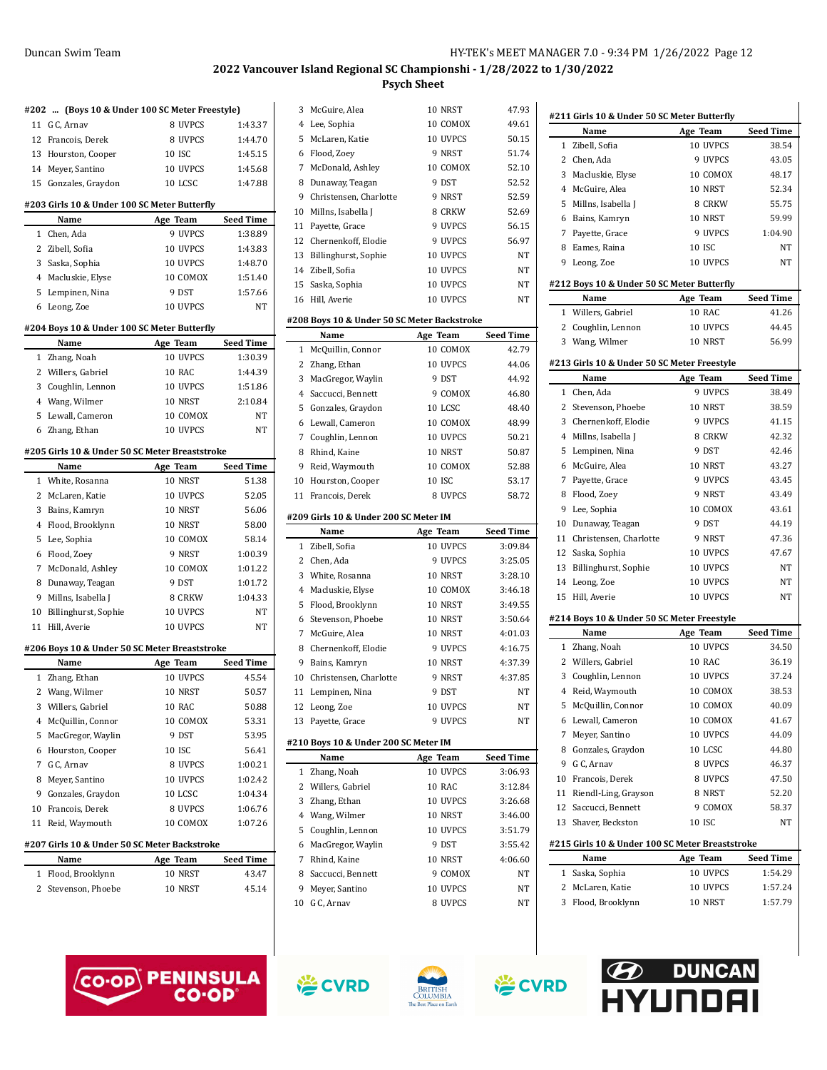|              | #202  (Boys 10 & Under 100 SC Meter Freestyle) |               |                  |
|--------------|------------------------------------------------|---------------|------------------|
|              | 11 G C, Arnav                                  | 8 UVPCS       | 1:43.37          |
| 12           | Francois, Derek                                | 8 UVPCS       | 1:44.70          |
|              | 13 Hourston, Cooper                            | <b>10 ISC</b> | 1:45.15          |
|              | 14 Meyer, Santino                              | 10 UVPCS      | 1:45.68          |
|              | 15 Gonzales, Graydon                           | 10 LCSC       | 1:47.88          |
|              |                                                |               |                  |
|              | #203 Girls 10 & Under 100 SC Meter Butterfly   |               |                  |
|              | Name                                           | Age Team      | <b>Seed Time</b> |
| $\mathbf 1$  | Chen, Ada                                      | 9 UVPCS       | 1:38.89          |
| 2            | Zibell, Sofia                                  | 10 UVPCS      | 1:43.83          |
| 3            | Saska, Sophia                                  | 10 UVPCS      | 1:48.70          |
|              | 4 Macluskie, Elyse                             | 10 COMOX      | 1:51.40          |
|              | 5 Lempinen, Nina                               | 9 DST         | 1:57.66          |
|              | 6 Leong, Zoe                                   | 10 UVPCS      | NT               |
|              | #204 Boys 10 & Under 100 SC Meter Butterfly    |               |                  |
|              | Name                                           | Age Team      | Seed Time        |
| $\mathbf{1}$ | Zhang, Noah                                    | 10 UVPCS      | 1:30.39          |
|              | 2 Willers, Gabriel                             | 10 RAC        | 1:44.39          |
|              | 3 Coughlin, Lennon                             | 10 UVPCS      | 1:51.86          |
|              | 4 Wang, Wilmer                                 | 10 NRST       | 2:10.84          |
| 5            | Lewall, Cameron                                | 10 COMOX      | NT               |
|              | 6 Zhang, Ethan                                 | 10 UVPCS      | NT               |
|              | #205 Girls 10 & Under 50 SC Meter Breaststroke |               |                  |
|              | Name                                           | Age Team      | Seed Time        |
| 1            | White, Rosanna                                 | 10 NRST       | 51.38            |
| 2            | McLaren, Katie                                 | 10 UVPCS      | 52.05            |
| 3            | Bains, Kamryn                                  | 10 NRST       | 56.06            |
| 4            | Flood, Brooklynn                               | 10 NRST       | 58.00            |
| 5            | Lee, Sophia                                    | 10 COMOX      | 58.14            |
| 6            | Flood, Zoey                                    | 9 NRST        | 1:00.39          |
|              | 7 McDonald, Ashley                             | 10 COMOX      | 1:01.22          |
|              | 8 Dunaway, Teagan                              | 9 DST         | 1:01.72          |
| 9            | Millns, Isabella J                             | 8 CRKW        | 1:04.33          |
| 10           | Billinghurst, Sophie                           | 10 UVPCS      | NT               |
| 11           | Hill, Averie                                   | 10 UVPCS      | NT               |
|              | #206 Boys 10 & Under 50 SC Meter Breaststroke  |               |                  |
|              | Name                                           | Age Team      | Seed Time        |
| 1            | Zhang, Ethan                                   | 10 UVPCS      | 45.54            |
| 2            | Wang, Wilmer                                   | 10 NRST       | 50.57            |
| 3            | Willers, Gabriel                               | 10 RAC        | 50.88            |
| 4            | McQuillin, Connor                              | 10 COMOX      | 53.31            |
| 5            | MacGregor, Waylin                              | 9 DST         | 53.95            |
| 6            | Hourston, Cooper                               | 10 ISC        | 56.41            |
| 7            | G C, Arnav                                     | 8 UVPCS       | 1:00.21          |
| 8            | Meyer, Santino                                 | 10 UVPCS      | 1:02.42          |
| 9            | Gonzales, Graydon                              | 10 LCSC       | 1:04.34          |
| 10           | Francois, Derek                                | 8 UVPCS       | 1:06.76          |
| 11           | Reid, Waymouth                                 | 10 COMOX      | 1:07.26          |
|              | #207 Girls 10 & Under 50 SC Meter Backstroke   |               |                  |
|              | Name                                           | Age Team      | <b>Seed Time</b> |
| 1            | Flood, Brooklynn                               | 10 NRST       | 43.47            |
| 2            | Stevenson, Phoebe                              | 10 NRST       | 45.14            |
|              |                                                |               |                  |

|    | 3 McGuire, Alea                               | 10 NRST              | 47.93            |
|----|-----------------------------------------------|----------------------|------------------|
|    | 4 Lee, Sophia                                 | 10 COMOX             | 49.61            |
|    | 5 McLaren, Katie                              | 10 UVPCS             | 50.15            |
|    | 6 Flood, Zoey                                 | 9 NRST               | 51.74            |
|    | 7 McDonald, Ashley                            | 10 COMOX             | 52.10            |
|    | 8 Dunaway, Teagan                             | 9 DST                | 52.52            |
|    | 9 Christensen, Charlotte                      | 9 NRST               | 52.59            |
|    | 10 Millns, Isabella J                         | 8 CRKW               | 52.69            |
| 11 | Payette, Grace                                | 9 UVPCS              | 56.15            |
|    | 12 Chernenkoff, Elodie                        | 9 UVPCS              | 56.97            |
|    | 13 Billinghurst, Sophie                       | 10 UVPCS             | NT               |
|    | 14 Zibell, Sofia                              | 10 UVPCS             | NΤ               |
|    | 15 Saska, Sophia                              | 10 UVPCS             | NT               |
| 16 | Hill, Averie                                  | 10 UVPCS             | NT               |
|    | #208 Boys 10 & Under 50 SC Meter Backstroke   |                      |                  |
|    | Name                                          | Age Team             | <b>Seed Time</b> |
| 1  | McQuillin, Connor                             | 10 COMOX             | 42.79            |
|    | 2 Zhang, Ethan                                | 10 UVPCS             | 44.06            |
|    | 3 MacGregor, Waylin                           | 9 DST                | 44.92            |
|    | 4 Saccucci, Bennett                           | 9 COMOX              | 46.80            |
|    | 5 Gonzales, Graydon                           | 10 LCSC              | 48.40            |
|    | 6 Lewall, Cameron                             | 10 COMOX             | 48.99            |
|    | 7 Coughlin, Lennon                            | 10 UVPCS             | 50.21            |
|    | 8 Rhind, Kaine                                | 10 NRST              | 50.87            |
|    | 9 Reid, Waymouth                              | 10 COMOX             | 52.88            |
|    | 10 Hourston, Cooper                           | <b>10 ISC</b>        | 53.17            |
| 11 | Francois, Derek                               | 8 UVPCS              | 58.72            |
|    |                                               |                      |                  |
|    |                                               |                      |                  |
|    | #209 Girls 10 & Under 200 SC Meter IM<br>Name |                      | Seed Time        |
| 1  | Zibell, Sofia                                 | Age Team<br>10 UVPCS | 3:09.84          |
|    | 2 Chen, Ada                                   | 9 UVPCS              | 3:25.05          |
|    | 3 White, Rosanna                              | 10 NRST              | 3:28.10          |
|    | 4 Macluskie, Elyse                            | 10 COMOX             | 3:46.18          |
|    | 5 Flood, Brooklynn                            | 10 NRST              | 3:49.55          |
|    | 6 Stevenson, Phoebe                           | 10 NRST              | 3:50.64          |
|    | 7 McGuire, Alea                               | 10 NRST              | 4:01.03          |
|    | 8 Chernenkoff, Elodie                         | 9 UVPCS              | 4:16.75          |
| 9  | Bains, Kamryn                                 | 10 NRST              | 4:37.39          |
|    | 10 Christensen, Charlotte                     | 9 NRST               | 4:37.85          |
| 11 | Lempinen, Nina                                | 9 DST                | NT               |
| 12 | Leong, Zoe                                    | 10 UVPCS             | NT               |
| 13 | Payette, Grace                                | 9 UVPCS              | NΤ               |
|    |                                               |                      |                  |
|    | #210 Boys 10 & Under 200 SC Meter IM<br>Name  | Age Team             | Seed Time        |
| 1  | Zhang, Noah                                   | 10 UVPCS             | 3:06.93          |
| 2  | Willers, Gabriel                              | 10 RAC               | 3:12.84          |
| 3  | Zhang, Ethan                                  | 10 UVPCS             | 3:26.68          |
|    | 4 Wang, Wilmer                                | 10 NRST              | 3:46.00          |
|    | 5 Coughlin, Lennon                            | 10 UVPCS             | 3:51.79          |
|    | 6 MacGregor, Waylin                           | 9 DST                | 3:55.42          |
|    | 7 Rhind, Kaine                                | 10 NRST              | 4:06.60          |
|    | 8 Saccucci, Bennett                           | 9 COMOX              | NΤ               |
|    | 9 Meyer, Santino                              | 10 UVPCS             | NΤ               |
|    | 10 G C, Arnav                                 | 8 UVPCS              | NT               |
|    |                                               |                      |                  |

 $\frac{1}{2}$ 

|              | #211 Girls 10 & Under 50 SC Meter Butterfly        |               |                  |
|--------------|----------------------------------------------------|---------------|------------------|
|              | Name                                               | Age Team      | <b>Seed Time</b> |
| 1            | Zibell, Sofia                                      | 10 UVPCS      | 38.54            |
| 2            | Chen, Ada                                          | 9 UVPCS       | 43.05            |
| 3            | Macluskie, Elyse                                   | 10 COMOX      | 48.17            |
|              | 4 McGuire, Alea                                    | 10 NRST       | 52.34            |
| 5            | Millns, Isabella J                                 | 8 CRKW        | 55.75            |
| 6            | Bains, Kamryn                                      | 10 NRST       | 59.99            |
|              | 7 Payette, Grace                                   | 9 UVPCS       | 1:04.90          |
|              | 8 Eames, Raina                                     | <b>10 ISC</b> | NT               |
| 9            | Leong, Zoe                                         | 10 UVPCS      | NT               |
|              | #212 Boys 10 & Under 50 SC Meter Butterfly         |               |                  |
|              | Name                                               | Age Team      | <b>Seed Time</b> |
|              | 1 Willers, Gabriel                                 | 10 RAC        | 41.26            |
| 2            | Coughlin, Lennon                                   | 10 UVPCS      | 44.45            |
|              | 3 Wang, Wilmer                                     | 10 NRST       | 56.99            |
|              |                                                    |               |                  |
|              | #213 Girls 10 & Under 50 SC Meter Freestyle        |               |                  |
|              | Name                                               | Age Team      | <b>Seed Time</b> |
| 1            | Chen, Ada                                          | 9 UVPCS       | 38.49            |
| 2            | Stevenson, Phoebe                                  | 10 NRST       | 38.59            |
| 3            | Chernenkoff, Elodie                                | 9 UVPCS       | 41.15            |
| 4            | Millns, Isabella J                                 | 8 CRKW        | 42.32            |
| 5            | Lempinen, Nina                                     | 9 DST         | 42.46            |
| 6            | McGuire, Alea                                      | 10 NRST       | 43.27            |
| 7            | Payette, Grace                                     | 9 UVPCS       | 43.45            |
| 8            | Flood, Zoey                                        | 9 NRST        | 43.49            |
| 9            | Lee, Sophia                                        | 10 COMOX      | 43.61            |
| 10           | Dunaway, Teagan                                    | 9 DST         | 44.19            |
| 11           | Christensen, Charlotte                             | 9 NRST        | 47.36            |
|              | 12 Saska, Sophia                                   | 10 UVPCS      | 47.67            |
|              | 13 Billinghurst, Sophie                            | 10 UVPCS      | NT               |
|              | 14 Leong, Zoe                                      | 10 UVPCS      | NT               |
| 15           | Hill, Averie                                       | 10 UVPCS      | NΤ               |
|              |                                                    |               |                  |
|              | #214 Boys 10 & Under 50 SC Meter Freestyle<br>Name | Age Team      | Seed Time        |
| 1            | Zhang, Noah                                        | 10 UVPCS      | 34.50            |
| 2            | Willers, Gabriel                                   | 10 RAC        | 36.19            |
| 3            |                                                    | 10 UVPCS      | 37.24            |
| 4            | Coughlin, Lennon<br>Reid, Waymouth                 | 10 COMOX      | 38.53            |
|              |                                                    |               |                  |
|              | 5 McQuillin, Connor                                | 10 COMOX      | 40.09            |
|              | 6 Lewall, Cameron                                  | 10 COMOX      | 41.67            |
| 7            | Meyer, Santino                                     | 10 UVPCS      | 44.09            |
|              | 8 Gonzales, Graydon                                | 10 LCSC       | 44.80            |
|              | 9 G C, Arnav                                       | 8 UVPCS       | 46.37            |
|              | 10 Francois, Derek                                 | 8 UVPCS       | 47.50            |
|              | 11 Riendl-Ling, Grayson                            | 8 NRST        | 52.20            |
|              | 12 Saccucci, Bennett                               | 9 COMOX       | 58.37            |
|              | 13 Shaver, Beckston                                | <b>10 ISC</b> | NΤ               |
|              | #215 Girls 10 & Under 100 SC Meter Breaststroke    |               |                  |
|              | Name                                               | Age Team      | <b>Seed Time</b> |
| $\mathbf{1}$ | Saska, Sophia                                      | 10 UVPCS      | 1:54.29          |
|              | 2 McLaren, Katie                                   | 10 UVPCS      | 1:57.24          |
|              | 3 Flood, Brooklynn                                 | 10 NRST       | 1:57.79          |
|              |                                                    |               |                  |
|              |                                                    |               |                  |
|              |                                                    |               |                  |







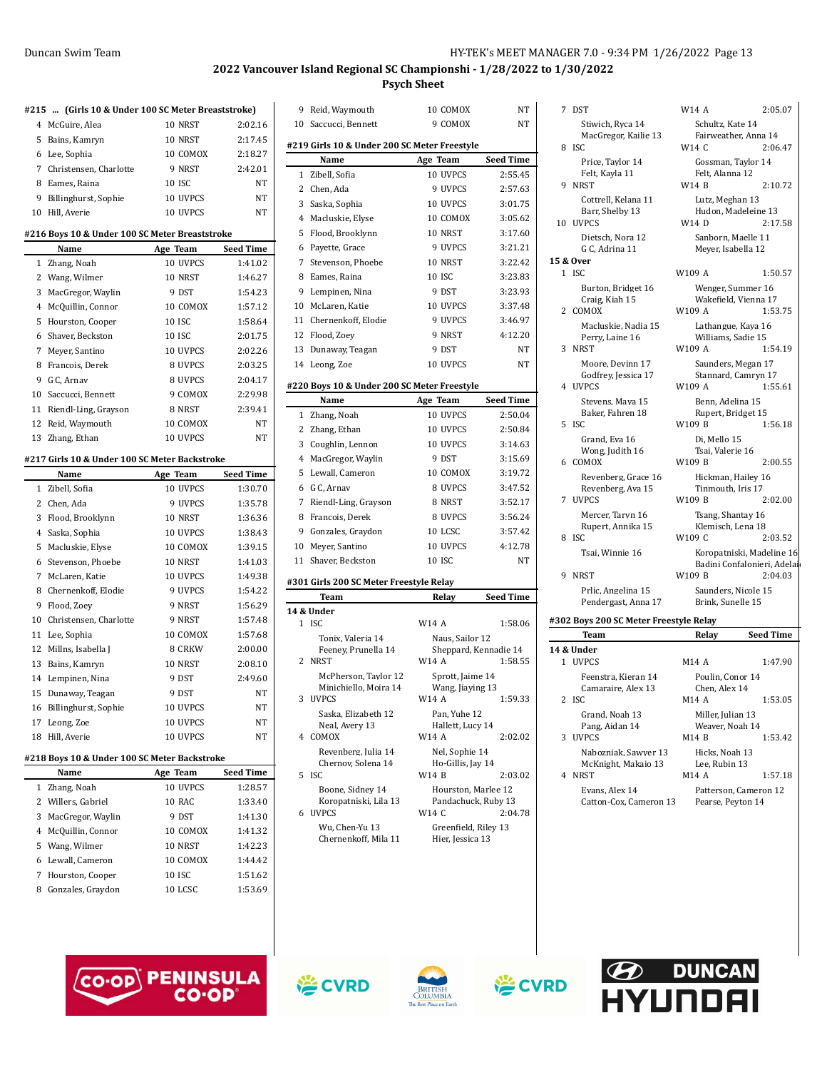| #215           | (Girls 10 & Under 100 SC Meter Breaststroke)   |               |           |
|----------------|------------------------------------------------|---------------|-----------|
|                | 4 McGuire, Alea                                | 10 NRST       | 2:02.16   |
| 5              | Bains, Kamryn                                  | 10 NRST       | 2:17.45   |
|                | 6 Lee, Sophia                                  | 10 COMOX      | 2:18.27   |
|                | 7 Christensen, Charlotte                       | 9 NRST        | 2:42.01   |
| 8              | Eames, Raina                                   | <b>10 ISC</b> | NΤ        |
| 9              | Billinghurst, Sophie                           | 10 UVPCS      | NT        |
| 10             | Hill, Averie                                   | 10 UVPCS      | NT        |
|                | #216 Boys 10 & Under 100 SC Meter Breaststroke |               |           |
|                | Name                                           | Age Team      | Seed Time |
| 1              | Zhang, Noah                                    | 10 UVPCS      | 1:41.02   |
| 2              | Wang, Wilmer                                   | 10 NRST       | 1:46.27   |
| 3              | MacGregor, Waylin                              | 9 DST         | 1:54.23   |
|                | 4 McQuillin, Connor                            | 10 COMOX      | 1:57.12   |
| 5              | Hourston, Cooper                               | 10 ISC        | 1:58.64   |
|                | 6 Shaver, Beckston                             | <b>10 ISC</b> | 2:01.75   |
|                | 7 Meyer, Santino                               | 10 UVPCS      | 2:02.26   |
|                | 8 Francois, Derek                              | 8 UVPCS       | 2:03.25   |
|                | 9 G C, Arnav                                   | 8 UVPCS       | 2:04.17   |
|                | 10 Saccucci, Bennett                           | 9 COMOX       | 2:29.98   |
| 11             | Riendl-Ling, Grayson                           | 8 NRST        | 2:39.41   |
| 12             | Reid, Waymouth                                 | 10 COMOX      | NT        |
| 13             | Zhang, Ethan                                   | 10 UVPCS      | NT        |
|                |                                                |               |           |
|                | #217 Girls 10 & Under 100 SC Meter Backstroke  |               |           |
|                | Name                                           | Age Team      | Seed Time |
| 1              | Zibell, Sofia                                  | 10 UVPCS      | 1:30.70   |
|                | 2 Chen, Ada                                    | 9 UVPCS       | 1:35.78   |
|                | 3 Flood, Brooklynn                             | 10 NRST       | 1:36.36   |
|                | 4 Saska, Sophia                                | 10 UVPCS      | 1:38.43   |
|                | 5 Macluskie, Elyse                             | 10 COMOX      | 1:39.15   |
| 6              | Stevenson, Phoebe                              | 10 NRST       | 1:41.03   |
|                | 7 McLaren, Katie                               | 10 UVPCS      | 1:49.38   |
|                | 8 Chernenkoff, Elodie                          | 9 UVPCS       | 1:54.22   |
| 9              | Flood, Zoey                                    | 9 NRST        | 1:56.29   |
| 10             | Christensen, Charlotte                         | 9 NRST        | 1:57.48   |
| 11             | Lee, Sophia                                    | 10 COMOX      | 1:57.68   |
| 12             | Millns, Isabella J                             | 8 CRKW        | 2:00.00   |
| 13             | Bains, Kamryn                                  | 10 NRST       | 2:08.10   |
| 14             | Lempinen, Nina                                 | 9 DST         | 2:49.60   |
| 15             | Dunaway, Teagan                                | 9 DST         | NT        |
| 16             | Billinghurst, Sophie                           | 10 UVPCS      | NT        |
| 17             | Leong, Zoe                                     | 10 UVPCS      | NΤ        |
| 18             | Hill, Averie                                   | 10 UVPCS      | NΤ        |
|                | #218 Boys 10 & Under 100 SC Meter Backstroke   |               |           |
|                | Name                                           | Age Team      | Seed Time |
| 1              | Zhang, Noah                                    | 10 UVPCS      | 1:28.57   |
| 2              | Willers, Gabriel                               | 10 RAC        | 1:33.40   |
| 3              | MacGregor, Waylin                              | 9 DST         | 1:41.30   |
| $\overline{4}$ | McQuillin, Connor                              | 10 COMOX      | 1:41.32   |
| 5              | Wang, Wilmer                                   | 10 NRST       | 1:42.23   |
|                | 6 Lewall, Cameron                              | 10 COMOX      | 1:44.42   |
| 7              | Hourston, Cooper                               | <b>10 ISC</b> | 1:51.62   |
| 8              | Gonzales, Graydon                              | 10 LCSC       | 1:53.69   |
|                |                                                |               |           |
|                |                                                |               |           |

| 9  | Reid, Waymouth                               | 10 COMOX                                 | NT               |
|----|----------------------------------------------|------------------------------------------|------------------|
|    | 10 Saccucci, Bennett                         | 9 COMOX                                  | NT               |
|    | #219 Girls 10 & Under 200 SC Meter Freestyle |                                          |                  |
|    | Name                                         | Age Team                                 | <b>Seed Time</b> |
| 1  | Zibell, Sofia                                | 10 UVPCS                                 | 2:55.45          |
| 2  | Chen, Ada                                    | 9 IJVPCS                                 | 2:57.63          |
| 3  | Saska, Sophia                                | 10 UVPCS                                 | 3:01.75          |
| 4  | Macluskie, Elyse                             | 10 COMOX                                 | 3:05.62          |
| 5  | Flood, Brooklynn                             | 10 NRST                                  | 3:17.60          |
| 6  | Payette, Grace                               | 9 UVPCS                                  | 3:21.21          |
| 7  | Stevenson, Phoebe                            | 10 NRST                                  | 3:22.42          |
| 8  | Eames, Raina                                 | 10 ISC                                   | 3:23.83          |
| 9  | Lempinen, Nina                               | 9 DST                                    | 3:23.93          |
|    | 10 McLaren, Katie                            | 10 UVPCS                                 | 3:37.48          |
| 11 | Chernenkoff, Elodie                          | 9 UVPCS                                  | 3:46.97          |
| 12 | Flood, Zoey                                  | 9 NRST                                   | 4:12.20          |
| 13 | Dunaway, Teagan                              | 9 DST                                    | NT               |
|    | 14 Leong, Zoe                                | 10 UVPCS                                 | NT               |
|    |                                              |                                          |                  |
|    | #220 Boys 10 & Under 200 SC Meter Freestyle  |                                          |                  |
|    | Name                                         | Age Team                                 | <b>Seed Time</b> |
| 1  | Zhang, Noah                                  | 10 UVPCS                                 | 2:50.04          |
| 2  | Zhang, Ethan                                 | 10 UVPCS                                 | 2:50.84          |
|    | 3 Coughlin, Lennon                           | 10 UVPCS                                 | 3:14.63          |
| 4  | MacGregor, Waylin                            | 9 DST                                    | 3:15.69          |
| 5  | Lewall, Cameron                              | 10 COMOX                                 | 3:19.72          |
| 6  | G C, Arnav                                   | 8 UVPCS                                  | 3:47.52          |
| 7  | Riendl-Ling, Grayson                         | 8 NRST                                   | 3:52.17          |
|    | 8 Francois, Derek                            | 8 UVPCS                                  | 3:56.24          |
|    | 9 Gonzales, Graydon                          | 10 LCSC                                  | 3:57.42          |
|    | 10 Meyer, Santino                            | 10 UVPCS                                 | 4:12.78          |
|    | 11 Shaver, Beckston                          | 10 ISC                                   | NT               |
|    | #301 Girls 200 SC Meter Freestyle Relay      |                                          |                  |
|    | Team                                         | Relay                                    | <b>Seed Time</b> |
|    | 14 & Under                                   |                                          |                  |
| 1  | ISC                                          | W14 A                                    | 1:58.06          |
|    | Tonix, Valeria 14                            | Naus, Sailor 12                          |                  |
|    | Feeney, Prunella 14                          | Sheppard, Kennadie 14                    |                  |
|    | 2 NRST                                       | W14 A                                    | 1:58.55          |
|    | McPherson, Taylor 12                         | Sprott, Jaime 14                         |                  |
| 3  | Minichiello, Moira 14<br><b>UVPCS</b>        | Wang, Jiaying 13<br>W14 A                | 1:59.33          |
|    |                                              |                                          |                  |
|    | Saska, Elizabeth 12<br>Neal, Avery 13        | Pan, Yuhe 12<br>Hallett, Lucy 14         |                  |
|    | 4 COMOX                                      | W14 A                                    | 2:02.02          |
|    | Revenberg, Julia 14                          | Nel, Sophie 14                           |                  |
|    | Chernov, Solena 14                           | Ho-Gillis, Jay 14                        |                  |
| 5  | <b>ISC</b>                                   | W14 B                                    | 2:03.02          |
|    | Boone, Sidney 14                             | Hourston, Marlee 12                      |                  |
| 6  | Koropatniski, Lila 13<br><b>UVPCS</b>        | Pandachuck, Ruby 13<br>W14 C             | 2:04.78          |
|    | Wu, Chen-Yu 13                               |                                          |                  |
|    | Chernenkoff, Mila 11                         | Greenfield, Riley 13<br>Hier, Jessica 13 |                  |
|    |                                              |                                          |                  |
|    |                                              |                                          |                  |
|    |                                              |                                          |                  |
|    |                                              |                                          |                  |

|   | 7 DST                                    | W14 A                                    | 2:05.07                     |
|---|------------------------------------------|------------------------------------------|-----------------------------|
|   | Stiwich, Ryca 14                         | Schultz, Kate 14                         |                             |
|   | MacGregor, Kailie 13                     | Fairweather, Anna 14                     |                             |
|   | 8 ISC                                    | W14 C                                    | 2:06.47                     |
|   | Price, Taylor 14                         | Gossman, Taylor 14                       |                             |
|   | Felt, Kayla 11<br>9 NRST                 | Felt, Alanna 12<br><b>W14 B</b>          | 2:10.72                     |
|   | Cottrell, Kelana 11                      | Lutz, Meghan 13                          |                             |
|   | Barr, Shelby 13                          | Hudon, Madeleine 13                      |                             |
|   | 10 UVPCS                                 | W14 D                                    | 2:17.58                     |
|   | Dietsch, Nora 12                         | Sanborn, Maelle 11                       |                             |
|   | G C, Adrina 11                           | Meyer, Isabella 12                       |                             |
|   | 15 & Over                                |                                          |                             |
|   | 1 ISC                                    | W109 A                                   | 1:50.57                     |
|   | Burton, Bridget 16                       | Wenger, Summer 16                        |                             |
|   | Craig, Kiah 15<br>2 COMOX                | Wakefield, Vienna 17<br>W109 A           | 1:53.75                     |
|   |                                          |                                          |                             |
|   | Macluskie, Nadia 15<br>Perry, Laine 16   | Lathangue, Kaya 16<br>Williams, Sadie 15 |                             |
|   | 3 NRST                                   | W109 A                                   | 1:54.19                     |
|   | Moore, Devinn 17                         | Saunders, Megan 17                       |                             |
|   | Godfrey, Jessica 17                      | Stannard, Camryn 17                      |                             |
|   | 4 UVPCS                                  | W109 A                                   | 1:55.61                     |
|   | Stevens, Maya 15                         | Benn, Adelina 15                         |                             |
|   | Baker, Fahren 18                         | Rupert, Bridget 15                       |                             |
| 5 | <b>ISC</b>                               | W109 B                                   | 1:56.18                     |
|   | Grand, Eva 16                            | Di, Mello 15                             |                             |
|   | Wong, Judith 16<br>6 COMOX               | Tsai, Valerie 16<br>W109 B               | 2:00.55                     |
|   |                                          |                                          |                             |
|   | Revenberg, Grace 16<br>Revenberg, Ava 15 | Hickman, Hailey 16<br>Tinmouth, Iris 17  |                             |
|   | 7 UVPCS                                  | W109 B                                   | 2:02.00                     |
|   | Mercer, Taryn 16                         | Tsang, Shantay 16                        |                             |
|   | Rupert, Annika 15                        | Klemisch, Lena 18                        |                             |
|   | 8 ISC                                    | W109 C                                   | 2:03.52                     |
|   | Tsai. Winnie 16                          |                                          | Koropatniski, Madeline 16   |
|   |                                          |                                          | Badini Confalonieri, Adelai |
|   | 9 NRST                                   | W109 B                                   | 2:04.03                     |
|   | Prlic, Angelina 15                       | Saunders, Nicole 15                      |                             |
|   | Pendergast, Anna 17                      | Brink, Sunelle 15                        |                             |
|   | #302 Boys 200 SC Meter Freestyle Relay   |                                          |                             |
|   | <b>Team</b>                              | Relay                                    | <b>Seed Time</b>            |
|   | 14 & Under                               |                                          |                             |
|   | 1 UVPCS                                  | M14 A                                    | 1:47.90                     |
|   | Feenstra, Kieran 14                      | Poulin, Conor 14                         |                             |
|   | Camaraire, Alex 13                       | Chen, Alex 14                            |                             |
|   | $2$ ISC.                                 | M14 A                                    | 1:53.05                     |
|   | Grand, Noah 13                           | Miller, Julian 13                        |                             |
|   | Pang, Aidan 14                           | Weaver, Noah 14                          |                             |

3 UVPCS M14 B 1:53.42 Nabozniak, Sawyer 13 Hicks, Noah 13 McKnight, Makaio 13 Catton-Cox, Cameron 13 Pearse, Peyton 14











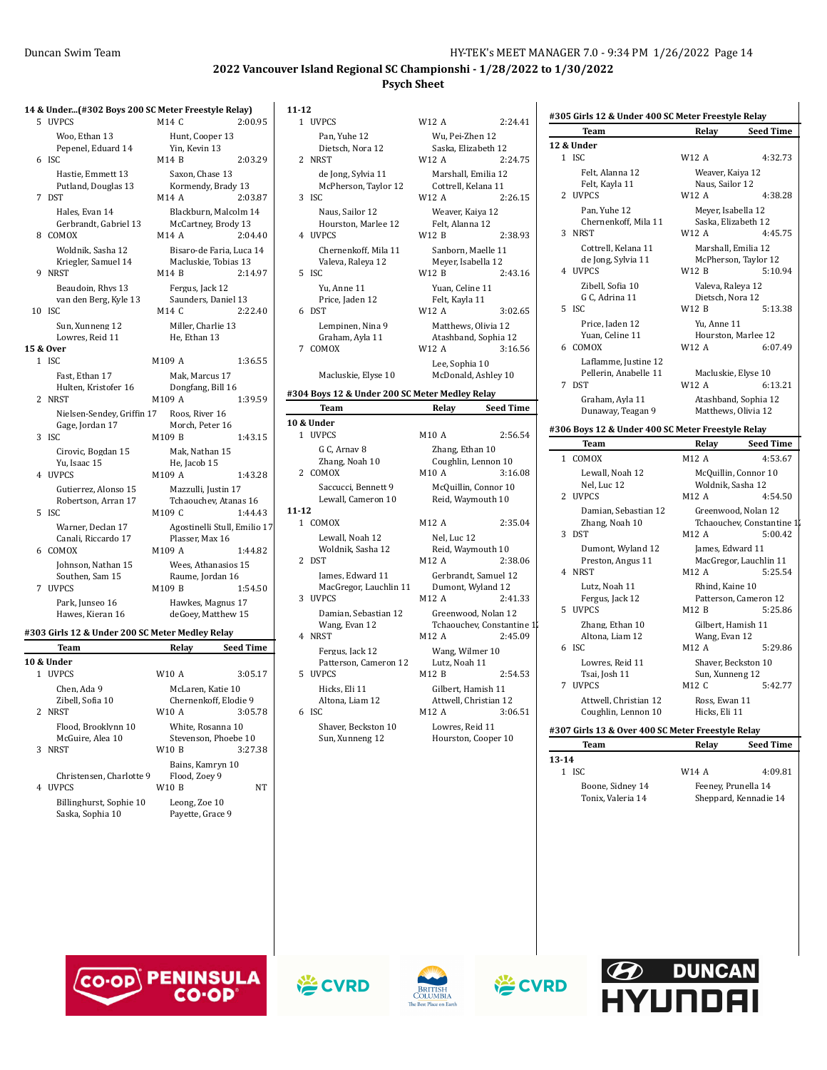**#305 Girls 12 & Under 400 SC Meter Freestyle Relay**

**Team Relay Seed Time**

### **2022 Vancouver Island Regional SC Championshi - 1/28/2022 to 1/30/2022 Psych Sheet**

|   | 14 & Under(#302 Boys 200 SC Meter Freestyle Relay) |                                              |                  |
|---|----------------------------------------------------|----------------------------------------------|------------------|
|   | 5 UVPCS                                            | M14 C                                        | 2:00.95          |
|   | Woo, Ethan 13<br>Pepenel, Eduard 14                | Hunt, Cooper 13<br>Yin, Kevin 13             |                  |
|   | $6$ ISC.                                           | M14 B                                        | 2:03.29          |
|   | Hastie, Emmett 13                                  | Saxon, Chase 13                              |                  |
| 7 | Putland, Douglas 13<br>DST                         | Kormendy, Brady 13<br>M14 A                  | 2:03.87          |
|   | Hales, Evan 14                                     |                                              |                  |
|   | Gerbrandt, Gabriel 13                              | Blackburn, Malcolm 14<br>McCartney, Brody 13 |                  |
| 8 | COMOX                                              | M14 A                                        | 2:04.40          |
|   | Woldnik, Sasha 12                                  | Bisaro-de Faria, Luca 14                     |                  |
| 9 | Kriegler, Samuel 14<br><b>NRST</b>                 | Macluskie, Tobias 13<br>M14 B                | 2:14.97          |
|   | Beaudoin, Rhys 13                                  | Fergus, Jack 12                              |                  |
|   | van den Berg, Kyle 13                              | Saunders, Daniel 13                          |                  |
|   | 10 ISC                                             | M14 C                                        | 2:22.40          |
|   | Sun, Xunneng 12                                    | Miller, Charlie 13                           |                  |
|   | Lowres, Reid 11<br>15 & Over                       | He, Ethan 13                                 |                  |
|   | 1 ISC                                              | M109 A                                       | 1:36.55          |
|   | Fast, Ethan 17                                     | Mak, Marcus 17                               |                  |
|   | Hulten, Kristofer 16                               | Dongfang, Bill 16                            |                  |
|   | 2 NRST                                             | M109 A                                       | 1:39.59          |
|   | Nielsen-Sendev, Griffin 17                         | Roos, River 16<br>Morch, Peter 16            |                  |
| 3 | Gage, Jordan 17<br><b>ISC</b>                      | M109 B                                       | 1:43.15          |
|   | Cirovic, Bogdan 15                                 | Mak, Nathan 15                               |                  |
|   | Yu, Isaac 15                                       | He, Jacob 15                                 |                  |
|   | 4 UVPCS                                            | M109 A                                       | 1:43.28          |
|   | Gutierrez, Alonso 15                               | Mazzulli, Justin 17<br>Tchaouchev, Atanas 16 |                  |
| 5 | Robertson, Arran 17<br><b>ISC</b>                  | M109 C                                       | 1:44.43          |
|   | Warner, Declan 17                                  | Agostinelli Stull, Emilio 17                 |                  |
|   | Canali, Riccardo 17                                | Plasser, Max 16                              |                  |
| 6 | COMOX                                              | M109 A                                       | 1:44.82          |
|   | Johnson, Nathan 15<br>Southen, Sam 15              | Wees, Athanasios 15<br>Raume, Jordan 16      |                  |
| 7 | <b>UVPCS</b>                                       | M109 B                                       | 1:54.50          |
|   | Park, Junseo 16                                    | Hawkes, Magnus 17                            |                  |
|   | Hawes, Kieran 16                                   | deGoey, Matthew 15                           |                  |
|   | #303 Girls 12 & Under 200 SC Meter Medley Relay    |                                              |                  |
|   | Team                                               | Relay                                        | <b>Seed Time</b> |
|   | 10 & Under                                         |                                              |                  |
|   | 1 UVPCS                                            | W10 A                                        | 3:05.17          |
|   | Chen, Ada 9<br>Zibell, Sofia 10                    | McLaren, Katie 10<br>Chernenkoff, Elodie 9   |                  |
|   | 2 NRST                                             | W10 A                                        | 3:05.78          |
|   | Flood, Brooklynn 10                                | White, Rosanna 10                            |                  |
|   | McGuire, Alea 10                                   | Stevenson, Phoebe 10                         |                  |
| 3 | <b>NRST</b>                                        | <b>W10B</b>                                  | 3:27.38          |
|   | Christensen, Charlotte 9                           | Bains, Kamryn 10<br>Flood, Zoev 9            |                  |
| 4 | UVPCS                                              | W10 B                                        | NΤ               |
|   | Billinghurst, Sophie 10                            | Leong, Zoe 10                                |                  |
|   | Saska, Sophia 10                                   | Pavette. Grace 9                             |                  |

| $11 - 12$      |                                                          |                                                         |                  |
|----------------|----------------------------------------------------------|---------------------------------------------------------|------------------|
|                | 1 UVPCS                                                  | W12 A                                                   | 2:24.41          |
| 2              | Pan, Yuhe 12<br>Dietsch, Nora 12<br>NRST                 | Wu, Pei-Zhen 12<br>Saska, Elizabeth 12<br>W12 A         | 2:24.75          |
| 3              | de Jong, Sylvia 11<br>McPherson, Taylor 12<br><b>ISC</b> | Marshall, Emilia 12<br>Cottrell, Kelana 11<br>W12 A     | 2:26.15          |
|                | Naus, Sailor 12<br>Hourston, Marlee 12<br>4 UVPCS        | Weaver, Kaiya 12<br>Felt, Alanna 12<br>W12 B            | 2:38.93          |
| 5              | Chernenkoff, Mila 11<br>Valeva, Raleya 12<br><b>ISC</b>  | Sanborn, Maelle 11<br>Meyer, Isabella 12<br>W12 B       | 2:43.16          |
|                | Yu, Anne 11<br>Price, Jaden 12                           | Yuan, Celine 11<br>Felt, Kayla 11                       |                  |
| 6              | <b>DST</b>                                               | W12 A                                                   | 3:02.65          |
|                | Lempinen, Nina 9<br>Graham, Ayla 11<br>7 COMOX           | Matthews, Olivia 12<br>Atashband, Sophia 12<br>W12 A    | 3:16.56          |
|                | Macluskie, Elyse 10                                      | Lee, Sophia 10<br>McDonald, Ashley 10                   |                  |
|                | #304 Boys 12 & Under 200 SC Meter Medley Relay           |                                                         |                  |
|                | Team                                                     | Relay                                                   | <b>Seed Time</b> |
|                |                                                          |                                                         |                  |
|                | 10 & Under                                               |                                                         |                  |
|                | 1 UVPCS                                                  | M10 A                                                   | 2:56.54          |
|                | G C, Arnav 8                                             | Zhang, Ethan 10                                         |                  |
|                | Zhang, Noah 10<br>2 COMOX                                | Coughlin, Lennon 10<br>M10 A                            | 3:16.08          |
|                | Saccucci, Bennett 9<br>Lewall, Cameron 10                | McQuillin, Connor 10<br>Reid, Waymouth 10               |                  |
| $11 - 12$      |                                                          |                                                         |                  |
|                | 1 COMOX<br>Lewall, Noah 12<br>Woldnik, Sasha 12          | M12 A<br>Nel, Luc 12<br>Reid, Waymouth 10               | 2:35.04          |
| $\overline{2}$ | <b>DST</b><br>James, Edward 11<br>MacGregor, Lauchlin 11 | M12 A<br>Gerbrandt, Samuel 12<br>Dumont, Wyland 12      | 2:38.06          |
|                | 3 UVPCS<br>Damian, Sebastian 12<br>Wang, Evan 12         | M12 A<br>Greenwood, Nolan 12<br>Tchaouchev, Constantine | 2:41.33          |
|                | 4 NRST<br>Fergus, Jack 12<br>Patterson, Cameron 12       | M12 A<br>Wang, Wilmer 10<br>Lutz, Noah 11               | 2:45.09          |
| 5              | <b>UVPCS</b><br>Hicks, Eli 11                            | M12 B<br>Gilbert, Hamish 11                             | 2:54.53          |
|                | Altona, Liam 12<br>6 ISC                                 | Attwell, Christian 12<br>M12 A                          | 3:06.51          |

| Pan, Yuhe 12                                   | Wu, Pei-Zhen 12                                   |                                                  |              | rea                          |
|------------------------------------------------|---------------------------------------------------|--------------------------------------------------|--------------|------------------------------|
| Dietsch, Nora 12                               | Saska, Elizabeth 12                               |                                                  |              | 12 & Under                   |
| ₹S⊤                                            | W12 A                                             | 2:24.75                                          |              | $1$ ISC                      |
| de Jong, Sylvia 11<br>McPherson, Taylor 12     | Marshall, Emilia 12<br>Cottrell, Kelana 11        |                                                  | 2            | Felt<br>Felt<br><b>UVPCS</b> |
| С                                              | W12 A                                             | 2:26.15                                          |              |                              |
| Naus, Sailor 12<br>Hourston, Marlee 12         | Weaver, Kaiya 12<br>Felt, Alanna 12               |                                                  |              | Pan<br>Che                   |
| /PCS                                           | W12 B                                             | 2:38.93                                          | 3            | NRST                         |
| Chernenkoff, Mila 11<br>Valeva, Raleya 12<br>C | Sanborn, Maelle 11<br>Meyer, Isabella 12<br>W12 B | 2:43.16                                          |              | Cott<br>de J<br>4 UVPCS      |
| Yu. Anne 11<br>Price, Jaden 12                 | Yuan, Celine 11<br>Felt, Kayla 11                 |                                                  |              | Zibe<br>G C,                 |
| ïТ.                                            | W12 A                                             | 3:02.65                                          |              | 5 ISC                        |
| Lempinen, Nina 9<br>Graham, Ayla 11<br>MOX)    | Matthews, Olivia 12<br>W12 A                      | Atashband, Sophia 12<br>3:16.56                  |              | Pric<br>Yua<br>6 COMO        |
| Macluskie, Elyse 10                            | Lee, Sophia 10                                    | McDonald, Ashley 10                              | 7            | Lafl<br>Pell<br><b>DST</b>   |
| yys 12 & Under 200 SC Meter Medley Relay       |                                                   |                                                  |              | Gral                         |
| Team                                           | Relay                                             | <b>Seed Time</b>                                 |              | Dun                          |
|                                                |                                                   |                                                  |              |                              |
| der                                            |                                                   |                                                  |              |                              |
| /PCS                                           | M10 A                                             | 2:56.54                                          |              | #306 Boys:                   |
| G C, Arnav 8                                   | Zhang, Ethan 10                                   |                                                  |              | Tea                          |
| Zhang, Noah 10<br><b>MOX</b>                   | M10 A                                             | Coughlin, Lennon 10<br>3:16.08                   | $\mathbf{1}$ | COMO<br>Lew                  |
| Saccucci, Bennett 9<br>Lewall, Cameron 10      | Reid, Waymouth 10                                 | McQuillin, Connor 10                             | 2            | Nel,<br><b>UVPCS</b>         |
| MOX                                            | M12 A                                             | 2:35.04                                          |              | Dan<br>Zha:                  |
| Lewall, Noah 12                                | Nel, Luc 12                                       |                                                  | 3            | <b>DST</b><br>Dun            |
| Woldnik, Sasha 12<br>ìТ,                       | Reid, Waymouth 10<br>M12 A                        | 2:38.06                                          |              | Pres                         |
| James, Edward 11                               |                                                   | Gerbrandt, Samuel 12                             |              | 4 NRST                       |
| MacGregor, Lauchlin 11<br>/PCS                 | M12 A                                             | Dumont, Wyland 12<br>2:41.33                     |              | Lutz<br>Fers                 |
| Damian, Sebastian 12<br>Wang, Evan 12          |                                                   | Greenwood, Nolan 12<br>Tchaouchev, Constantine 1 | 5            | <b>UVPCS</b><br>Zha          |
| ₹ST                                            | M12 A                                             | 2:45.09                                          |              | Alto                         |
| Fergus, Jack 12<br>Patterson, Cameron 12       | Wang, Wilmer 10<br>Lutz, Noah 11                  |                                                  |              | 6 ISC<br>Low                 |
| /PCS                                           | M12 B                                             | 2:54.53                                          |              | Tsai                         |
| Hicks, Eli 11<br>Altona, Liam 12               | Gilbert, Hamish 11                                | Attwell, Christian 12                            | 7            | <b>UVPCS</b><br>Attv         |

A 2:24.41

| $\Lambda$<br>2:24.75                      |           | 1 ISC                                             | W12 A                                     | 4:32.73                   |
|-------------------------------------------|-----------|---------------------------------------------------|-------------------------------------------|---------------------------|
| Aarshall, Emilia 12                       |           | Felt, Alanna 12                                   | Weaver, Kaiya 12                          |                           |
| ottrell, Kelana 11                        |           | Felt, Kayla 11                                    | Naus, Sailor 12                           |                           |
| 2:26.15<br>A                              |           | 2 UVPCS                                           | W12 A                                     | 4:38.28                   |
| Veaver, Kaiya 12                          |           | Pan, Yuhe 12                                      | Meyer, Isabella 12                        |                           |
| elt, Alanna 12                            |           | Chernenkoff, Mila 11                              | Saska, Elizabeth 12                       |                           |
| B<br>2:38.93                              |           | 3 NRST                                            | W12 A                                     | 4:45.75                   |
| anborn, Maelle 11                         |           | Cottrell, Kelana 11                               | Marshall, Emilia 12                       |                           |
| Jeyer, Isabella 12                        |           | de Jong, Sylvia 11<br>4 UVPCS                     | McPherson, Taylor 12<br>W12 B             | 5:10.94                   |
| $\mathbf{B}$<br>2:43.16                   |           |                                                   |                                           |                           |
| uan, Celine 11                            |           | Zibell. Sofia 10<br>G C, Adrina 11                | Valeva, Raleva 12<br>Dietsch, Nora 12     |                           |
| elt, Kayla 11<br>3:02.65                  |           | 5 ISC                                             | W12 B                                     | 5:13.38                   |
| A                                         |           | Price, Jaden 12                                   | Yu, Anne 11                               |                           |
| Aatthews, Olivia 12                       |           | Yuan, Celine 11                                   | Hourston, Marlee 12                       |                           |
| tashband, Sophia 12<br>A<br>3:16.56       |           | 6 COMOX                                           | W12 A                                     | 6:07.49                   |
|                                           |           | Laflamme, Justine 12                              |                                           |                           |
| ee, Sophia 10<br>IcDonald, Ashley 10      |           | Pellerin, Anabelle 11                             | Macluskie, Elyse 10                       |                           |
|                                           |           | 7 DST                                             | W12 A                                     | 6:13.21                   |
| Medley Relay                              |           | Graham. Avla 11                                   | Atashband, Sophia 12                      |                           |
| <b>Seed Time</b><br><b>lelay</b>          |           | Dunaway, Teagan 9                                 | Matthews, Olivia 12                       |                           |
|                                           |           | #306 Boys 12 & Under 400 SC Meter Freestyle Relay |                                           |                           |
| A<br>2:56.54                              |           | <b>Team</b>                                       | Relay                                     | <b>Seed Time</b>          |
| hang, Ethan 10                            |           | 1 COMOX                                           | M12 A                                     | 4:53.67                   |
| oughlin, Lennon 10'<br>۱A<br>3:16.08      |           | Lewall, Noah 12                                   |                                           |                           |
|                                           |           | Nel, Luc 12                                       | McQuillin, Connor 10<br>Woldnik, Sasha 12 |                           |
| IcQuillin, Connor 10<br>leid, Waymouth 10 |           | 2 UVPCS                                           | M12 A                                     | 4:54.50                   |
|                                           |           | Damian, Sebastian 12                              | Greenwood, Nolan 12                       |                           |
| $\Lambda$<br>2:35.04                      |           | Zhang, Noah 10                                    |                                           | Tchaouchev, Constantine 1 |
| Jel, Luc 12                               |           | 3 DST                                             | M12 A                                     | 5:00.42                   |
| eid, Waymouth 10                          |           | Dumont, Wyland 12                                 | James, Edward 11                          |                           |
| 2:38.06<br>Α                              |           | Preston, Angus 11                                 |                                           | MacGregor, Lauchlin 11    |
| erbrandt, Samuel 12                       |           | 4 NRST                                            | M <sub>12</sub> A                         | 5:25.54                   |
| Jumont, Wyland 12                         |           | Lutz, Noah 11                                     | Rhind, Kaine 10                           |                           |
| A<br>2:41.33                              |           | Fergus, Jack 12                                   |                                           | Patterson, Cameron 12     |
| Freenwood, Nolan 12                       |           | 5 UVPCS                                           | M12B                                      | 5:25.86                   |
| `chaouchev, Constantine 1¦                |           | Zhang, Ethan 10                                   | Gilbert, Hamish 11                        |                           |
| $\Lambda$<br>2:45.09                      |           | Altona, Liam 12                                   | Wang, Evan 12                             |                           |
| Vang, Wilmer 10                           |           | 6 ISC                                             | M12 A                                     | 5:29.86                   |
| utz, Noah 11                              |           | Lowres, Reid 11                                   | Shaver, Beckston 10                       |                           |
| B<br>2:54.53                              |           | Tsai, Josh 11                                     | Sun, Xunneng 12                           |                           |
| ilbert, Hamish 11                         |           | 7 UVPCS                                           | M12 C                                     | 5:42.77                   |
| ttwell, Christian 12                      |           | Attwell, Christian 12                             | Ross, Ewan 11<br>Hicks, Eli 11            |                           |
| $\Lambda$<br>3:06.51                      |           | Coughlin, Lennon 10                               |                                           |                           |
| owres, Reid 11،                           |           | #307 Girls 13 & Over 400 SC Meter Freestyle Relay |                                           |                           |
| Iourston, Cooper 10                       |           | <b>Team</b>                                       | Relay                                     | <b>Seed Time</b>          |
|                                           | $13 - 14$ |                                                   |                                           |                           |

| $-14$ |                   |                     |                       |
|-------|-------------------|---------------------|-----------------------|
|       | 1 ISC             | W14 A               | 4:09.81               |
|       | Boone. Sidney 14  | Feeney, Prunella 14 |                       |
|       | Tonix, Valeria 14 |                     | Sheppard, Kennadie 14 |
|       |                   |                     |                       |









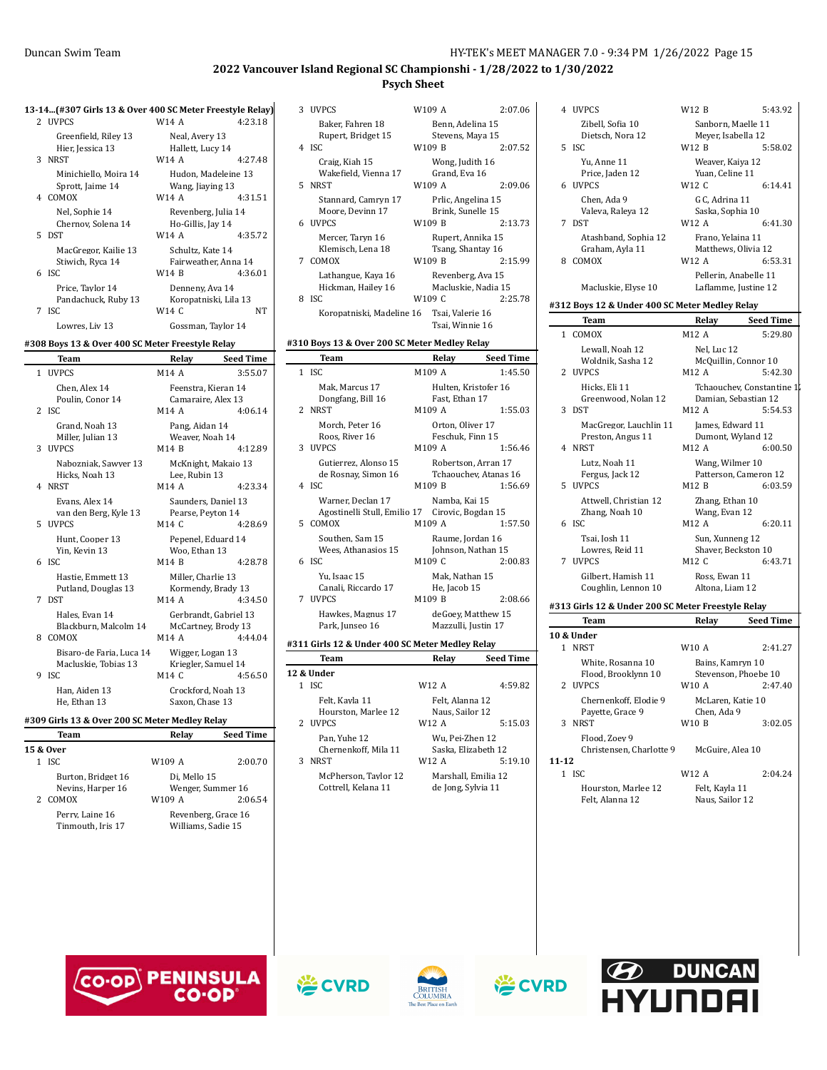|              | 13-14(#307 Girls 13 & Over 400 SC Meter Freestyle Relay) |                                                       |                  |
|--------------|----------------------------------------------------------|-------------------------------------------------------|------------------|
|              | 2 UVPCS                                                  | <b>W14 A</b>                                          | 4:23.18          |
| $\mathbf{3}$ | Greenfield, Riley 13<br>Hier, Jessica 13<br><b>NRST</b>  | Neal, Avery 13<br>Hallett, Lucy 14<br>W14 A           | 4:27.48          |
|              | Minichiello, Moira 14<br>Sprott, Jaime 14<br>4 COMOX     | Hudon, Madeleine 13<br>Wang, Jiaying 13<br>W14 A      | 4:31.51          |
| 5            | Nel, Sophie 14<br>Chernov, Solena 14<br><b>DST</b>       | Revenberg, Julia 14<br>Ho-Gillis, Jay 14<br>W14 A     | 4:35.72          |
|              | MacGregor, Kailie 13<br>Stiwich, Ryca 14<br>6 ISC        | Schultz, Kate 14<br>Fairweather, Anna 14<br>W14 B     | 4:36.01          |
| 7            | Price. Tavlor 14<br>Pandachuck, Ruby 13<br><b>ISC</b>    | Denneny, Ava 14<br>Koropatniski, Lila 13<br>W14 C     | NT               |
|              | Lowres. Liv 13                                           | Gossman, Taylor 14                                    |                  |
|              | #308 Boys 13 & Over 400 SC Meter Freestyle Relay         |                                                       |                  |
|              | <b>Team</b>                                              | Relay                                                 | <b>Seed Time</b> |
|              | 1 UVPCS                                                  | M14 A                                                 | 3:55.07          |
|              | Chen, Alex 14<br>Poulin, Conor 14<br>2 ISC               | Feenstra, Kieran 14<br>Camaraire, Alex 13<br>M14 A    | 4:06.14          |
|              |                                                          |                                                       |                  |
|              | Grand, Noah 13<br>Miller, Julian 13<br>3 UVPCS           | Pang, Aidan 14<br>Weaver, Noah 14<br>M14 B            | 4:12.89          |
|              | Nabozniak, Sawyer 13<br>Hicks, Noah 13<br>4 NRST         | McKnight, Makaio 13<br>Lee, Rubin 13<br>M14 A         | 4:23.34          |
|              | Evans, Alex 14<br>van den Berg, Kyle 13<br>5 UVPCS       | Saunders, Daniel 13<br>Pearse, Peyton 14<br>M14 C     | 4:28.69          |
| 6            | Hunt, Cooper 13<br>Yin, Kevin 13<br>ISC                  | Pepenel, Eduard 14<br>Woo, Ethan 13<br>M14 B          | 4:28.78          |
| 7            | Hastie, Emmett 13<br>Putland, Douglas 13<br><b>DST</b>   | Miller, Charlie 13<br>Kormendy, Brady 13<br>M14 A     | 4:34.50          |
|              | Hales, Evan 14<br>Blackburn, Malcolm 14<br>8 COMOX       | Gerbrandt, Gabriel 13<br>McCartney, Brody 13<br>M14 A | 4:44.04          |
| 9            | Bisaro-de Faria, Luca 14<br>Macluskie, Tobias 13<br>ISC  | Wigger, Logan 13<br>Kriegler, Samuel 14<br>M14 C      | 4:56.50          |

# **#309 Girls 13 & Over 200 SC Meter Medley Relay**

| Team                                 | Relay                                     | <b>Seed Time</b> |
|--------------------------------------|-------------------------------------------|------------------|
| 15 & Over                            |                                           |                  |
| $1$ ISC.                             | W109 A                                    | 2:00.70          |
| Burton, Bridget 16                   | Di. Mello 15                              |                  |
| Nevins, Harper 16                    | Wenger, Summer 16                         |                  |
| 2 COMOX                              | W109 A                                    | 2:06.54          |
| Perry. Laine 16<br>Tinmouth, Iris 17 | Revenberg, Grace 16<br>Williams, Sadie 15 |                  |

|   | 3 UVPCS                                     | W109 A                          |                                          | 2:07.06          |
|---|---------------------------------------------|---------------------------------|------------------------------------------|------------------|
|   | Baker, Fahren 18<br>Rupert, Bridget 15      |                                 | Benn. Adelina 15<br>Stevens, Maya 15     |                  |
|   | 4 ISC                                       | W109 B                          |                                          | 2:07.52          |
|   | Craig. Kiah 15<br>Wakefield, Vienna 17      |                                 | Wong, Judith 16<br>Grand, Eva 16         |                  |
| 5 | <b>NRST</b>                                 | W109 A                          |                                          | 2:09.06          |
|   | Stannard, Camryn 17<br>Moore, Devinn 17     |                                 | Prlic, Angelina 15<br>Brink, Sunelle 15  |                  |
|   | 6 UVPCS                                     | W109 B                          |                                          | 2:13.73          |
|   | Mercer, Taryn 16<br>Klemisch, Lena 18       |                                 | Rupert, Annika 15<br>Tsang, Shantay 16   |                  |
|   | 7 COMOX                                     | W109 B                          |                                          | 2:15.99          |
|   | Lathangue. Kava 16<br>Hickman, Hailey 16    |                                 | Revenberg, Ava 15<br>Macluskie, Nadia 15 |                  |
|   | 8 ISC                                       | W109 C                          |                                          | 2:25.78          |
|   | Koropatniski, Madeline 16 Tsai, Valerie 16  |                                 | Tsai, Winnie 16                          |                  |
|   | 10 Boys 13 & Over 200 SC Meter Medley Relay |                                 |                                          |                  |
|   | Team                                        |                                 | Relay                                    | <b>Seed Time</b> |
|   | $1$ ISC                                     | M109 A                          |                                          | 1:45.50          |
|   | Mak, Marcus 17                              |                                 | Hulten, Kristofer 16                     |                  |
|   | Dongfang, Bill 16<br>$\alpha$ , $\alpha$    | $\cdot$ $\cdot$ $\cdot$ $\cdot$ | Fast, Ethan 17                           | $    -$          |
|   |                                             |                                 |                                          |                  |

**#310 Boys 13 & Over 200 SC Meter Medley Relay**

|   | Dongfang, Bill 16                               | Fast, Ethan 17        |         |
|---|-------------------------------------------------|-----------------------|---------|
|   | 2 NRST                                          | M109 A                | 1:55.03 |
|   | Morch. Peter 16                                 | Orton, Oliver 17      |         |
|   | Roos, River 16                                  | Feschuk, Finn 15      |         |
|   | 3 UVPCS                                         | M109 A                | 1:56.46 |
|   | Gutierrez. Alonso 15                            | Robertson, Arran 17   |         |
|   | de Rosnay, Simon 16                             | Tchaouchev, Atanas 16 |         |
|   | 4 ISC                                           | M109 B                | 1:56.69 |
|   | Warner, Declan 17                               | Namba, Kai 15         |         |
|   | Agostinelli Stull, Emilio 17 Cirovic, Bogdan 15 |                       |         |
|   | 5 COMOX                                         | M109 A                | 1:57.50 |
|   | Southen. Sam 15                                 | Raume, Jordan 16      |         |
|   | Wees, Athanasios 15                             | Johnson, Nathan 15    |         |
|   | 6 ISC                                           | M109 C                | 2:00.83 |
|   | Yu. Isaac 15                                    | Mak, Nathan 15        |         |
|   | Canali, Riccardo 17                             | He, Jacob 15          |         |
| 7 | <b>UVPCS</b>                                    | M109 B                | 2:08.66 |
|   | Hawkes, Magnus 17                               | deGoey, Matthew 15    |         |
|   | Park, Junseo 16                                 | Mazzulli, Justin 17   |         |

#### **#311 Girls 12 & Under 400 SC Meter Medley Relay**

|   | Team                                        | Relay                                     | <b>Seed Time</b> |
|---|---------------------------------------------|-------------------------------------------|------------------|
|   | 12 & Under                                  |                                           |                  |
|   | <b>ISC</b>                                  | W12 A                                     | 4:59.82          |
|   | Felt, Kayla 11<br>Hourston, Marlee 12       | Felt, Alanna 12<br>Naus, Sailor 12        |                  |
|   | 2 <b>IJVPCS</b>                             | W12 A                                     | 5:15.03          |
|   | Pan. Yuhe 12<br>Chernenkoff. Mila 11        | Wu, Pei-Zhen 12<br>Saska. Elizabeth 12    |                  |
| 3 | <b>NRST</b>                                 | W12 A                                     | 5:19.10          |
|   | McPherson. Tavlor 12<br>Cottrell, Kelana 11 | Marshall, Emilia 12<br>de Jong, Sylvia 11 |                  |

| 4 UVPCS                                        | W12 B                                  | 5:43.92                   |
|------------------------------------------------|----------------------------------------|---------------------------|
| Zibell, Sofia 10                               | Sanborn, Maelle 11                     |                           |
| Dietsch, Nora 12                               | Meyer, Isabella 12                     |                           |
| 5 ISC                                          | W12 B                                  | 5:58.02                   |
| Yu. Anne 11                                    | Weaver, Kaiya 12                       |                           |
| Price, Jaden 12                                | Yuan, Celine 11                        |                           |
| 6 UVPCS                                        | W <sub>12</sub> C                      | 6:14.41                   |
| Chen. Ada 9                                    | G C, Adrina 11                         |                           |
| Valeva, Raleya 12                              | Saska, Sophia 10                       |                           |
| 7 DST                                          | W12 A                                  | 6:41.30                   |
| Atashband, Sophia 12                           | Frano, Yelaina 11                      |                           |
| Graham, Ayla 11                                | Matthews, Olivia 12                    |                           |
| 8 COMOX                                        | W12 A                                  | 6:53.31                   |
|                                                | Pellerin, Anabelle 11                  |                           |
| Macluskie, Elyse 10                            | Laflamme, Justine 12                   |                           |
| #312 Boys 12 & Under 400 SC Meter Medley Relay |                                        |                           |
| Team                                           | Relay                                  | <b>Seed Time</b>          |
| 1 COMOX                                        | M12 A                                  | 5:29.80                   |
| Lewall, Noah 12                                | Nel, Luc 12                            |                           |
| Woldnik, Sasha 12                              | McQuillin, Connor 10                   |                           |
| 2 <b>IJVPCS</b>                                | M <sub>12</sub> A                      | 5:42.30                   |
| Hicks, Eli 11                                  |                                        | Tchaouchev, Constantine 1 |
| Greenwood, Nolan 12                            | Damian, Sebastian 12                   |                           |
| 3 DST                                          | M12 A                                  | 5:54.53                   |
| MacGregor, Lauchlin 11                         | James, Edward 11                       |                           |
| Preston, Angus 11                              | Dumont, Wyland 12                      |                           |
| 4 NRST                                         | M12 A                                  | 6:00.50                   |
| Lutz, Noah 11                                  | Wang, Wilmer 10                        |                           |
| Fergus, Jack 12                                | Patterson. Cameron 12                  |                           |
| 5 UVPCS                                        | M12 B                                  | 6:03.59                   |
| Attwell, Christian 12                          | Zhang, Ethan 10                        |                           |
| Zhang, Noah 10                                 | Wang, Evan 12                          |                           |
| 6 ISC                                          | M12 A                                  | 6:20.11                   |
|                                                |                                        |                           |
| Tsai. Iosh 11                                  |                                        |                           |
| Lowres, Reid 11                                | Sun, Xunneng 12<br>Shaver, Beckston 10 |                           |
| 7 UVPCS                                        | M12 C                                  | 6:43.71                   |
| Gilbert. Hamish 11                             | Ross, Ewan 11                          |                           |
| Coughlin, Lennon 10                            | Altona, Liam 12                        |                           |

| Team                       |                                          | Relay                             | <b>Seed Time</b>                                    |
|----------------------------|------------------------------------------|-----------------------------------|-----------------------------------------------------|
| 10 & Under                 |                                          |                                   |                                                     |
| <b>NRST</b><br>1.          |                                          | W10 A                             | 2:41.27                                             |
| 2 <b>IJVPCS</b>            | White, Rosanna 10<br>Flood, Brooklynn 10 | W <sub>10</sub> A                 | Bains, Kamryn 10<br>Stevenson, Phoebe 10<br>2:47.40 |
| Payette, Grace 9<br>3 NRST | Chernenkoff. Elodie 9                    | Chen, Ada 9<br>W10 B              | McLaren. Katie 10<br>3:02.05                        |
| Flood, Zoev 9<br>11-12     | Christensen, Charlotte 9                 | McGuire. Alea 10                  |                                                     |
| $1$ ISC.                   |                                          | W12 A                             | 2:04.24                                             |
| Felt, Alanna 12            | Hourston, Marlee 12                      | Felt, Kayla 11<br>Naus, Sailor 12 |                                                     |